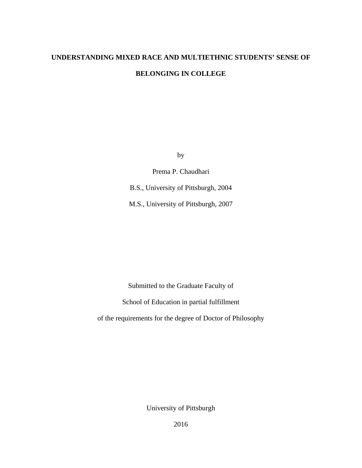# **UNDERSTANDING MIXED RACE AND MULTIETHNIC STUDENTS' SENSE OF BELONGING IN COLLEGE**

by

Prema P. Chaudhari

B.S., University of Pittsburgh, 2004

M.S., University of Pittsburgh, 2007

Submitted to the Graduate Faculty of

School of Education in partial fulfillment

of the requirements for the degree of Doctor of Philosophy

University of Pittsburgh

2016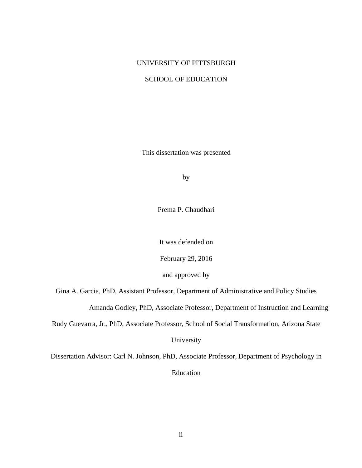# UNIVERSITY OF PITTSBURGH

## SCHOOL OF EDUCATION

This dissertation was presented

by

Prema P. Chaudhari

It was defended on

February 29, 2016

and approved by

Gina A. Garcia, PhD, Assistant Professor, Department of Administrative and Policy Studies

Amanda Godley, PhD, Associate Professor, Department of Instruction and Learning

Rudy Guevarra, Jr., PhD, Associate Professor, School of Social Transformation, Arizona State

University

Dissertation Advisor: Carl N. Johnson, PhD, Associate Professor, Department of Psychology in Education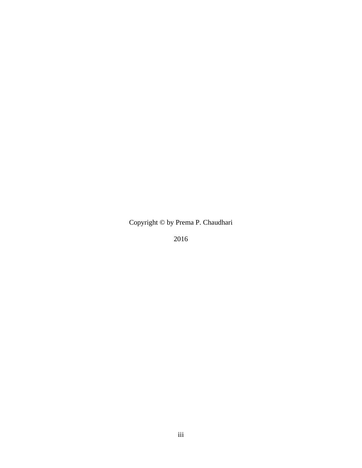Copyright © by Prema P. Chaudhari

2016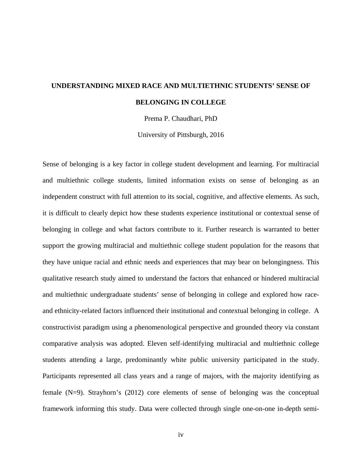# **UNDERSTANDING MIXED RACE AND MULTIETHNIC STUDENTS' SENSE OF BELONGING IN COLLEGE**

Prema P. Chaudhari, PhD

University of Pittsburgh, 2016

Sense of belonging is a key factor in college student development and learning. For multiracial and multiethnic college students, limited information exists on sense of belonging as an independent construct with full attention to its social, cognitive, and affective elements. As such, it is difficult to clearly depict how these students experience institutional or contextual sense of belonging in college and what factors contribute to it. Further research is warranted to better support the growing multiracial and multiethnic college student population for the reasons that they have unique racial and ethnic needs and experiences that may bear on belongingness. This qualitative research study aimed to understand the factors that enhanced or hindered multiracial and multiethnic undergraduate students' sense of belonging in college and explored how raceand ethnicity-related factors influenced their institutional and contextual belonging in college. A constructivist paradigm using a phenomenological perspective and grounded theory via constant comparative analysis was adopted. Eleven self-identifying multiracial and multiethnic college students attending a large, predominantly white public university participated in the study. Participants represented all class years and a range of majors, with the majority identifying as female (N=9). Strayhorn's (2012) core elements of sense of belonging was the conceptual framework informing this study. Data were collected through single one-on-one in-depth semi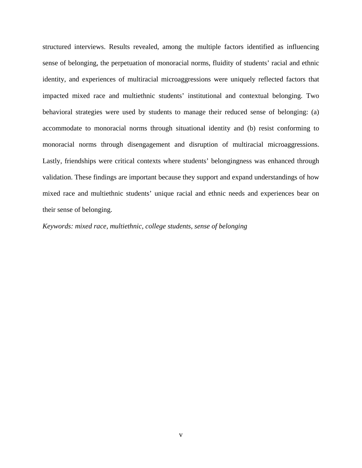structured interviews. Results revealed, among the multiple factors identified as influencing sense of belonging, the perpetuation of monoracial norms, fluidity of students' racial and ethnic identity, and experiences of multiracial microaggressions were uniquely reflected factors that impacted mixed race and multiethnic students' institutional and contextual belonging. Two behavioral strategies were used by students to manage their reduced sense of belonging: (a) accommodate to monoracial norms through situational identity and (b) resist conforming to monoracial norms through disengagement and disruption of multiracial microaggressions. Lastly, friendships were critical contexts where students' belongingness was enhanced through validation. These findings are important because they support and expand understandings of how mixed race and multiethnic students' unique racial and ethnic needs and experiences bear on their sense of belonging.

*Keywords: mixed race, multiethnic, college students, sense of belonging*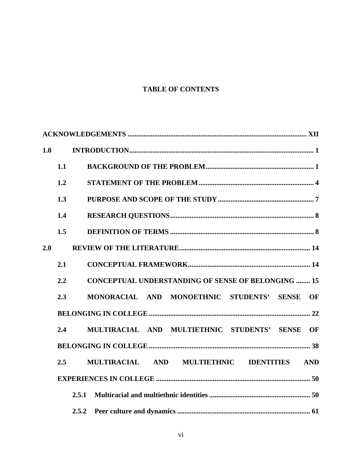# **TABLE OF CONTENTS**

| 1.0 |     |                                                           |  |  |  |
|-----|-----|-----------------------------------------------------------|--|--|--|
|     | 1.1 |                                                           |  |  |  |
|     | 1.2 |                                                           |  |  |  |
|     | 1.3 |                                                           |  |  |  |
|     | 1.4 |                                                           |  |  |  |
|     | 1.5 |                                                           |  |  |  |
| 2.0 |     |                                                           |  |  |  |
|     | 2.1 |                                                           |  |  |  |
|     | 2.2 | <b>CONCEPTUAL UNDERSTANDING OF SENSE OF BELONGING  15</b> |  |  |  |
|     | 2.3 | MONORACIAL AND MONOETHNIC STUDENTS' SENSE<br><b>OF</b>    |  |  |  |
|     |     |                                                           |  |  |  |
|     | 2.4 | MULTIRACIAL AND MULTIETHNIC STUDENTS' SENSE<br>OF         |  |  |  |
|     |     |                                                           |  |  |  |
|     | 2.5 | MULTIRACIAL AND MULTIETHNIC IDENTITIES AND                |  |  |  |
|     |     |                                                           |  |  |  |
|     |     | 2.5.1                                                     |  |  |  |
|     |     | 2.5.2                                                     |  |  |  |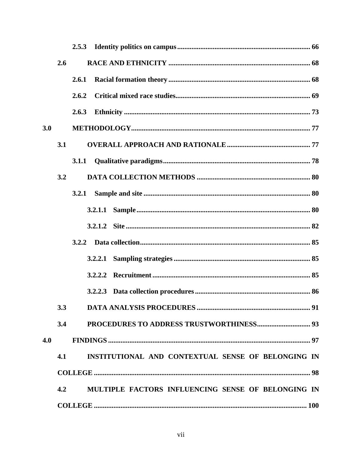|     |     | 2.5.3                                              |
|-----|-----|----------------------------------------------------|
|     | 2.6 |                                                    |
|     |     | 2.6.1                                              |
|     |     | 2.6.2                                              |
|     |     | 2.6.3                                              |
| 3.0 |     |                                                    |
|     | 3.1 |                                                    |
|     |     | 3.1.1                                              |
|     | 3.2 |                                                    |
|     |     | 3.2.1                                              |
|     |     |                                                    |
|     |     |                                                    |
|     |     |                                                    |
|     |     |                                                    |
|     |     |                                                    |
|     |     |                                                    |
|     | 3.3 |                                                    |
|     | 3.4 |                                                    |
| 4.0 |     |                                                    |
|     | 4.1 | INSTITUTIONAL AND CONTEXTUAL SENSE OF BELONGING IN |
|     |     |                                                    |
|     | 4.2 | MULTIPLE FACTORS INFLUENCING SENSE OF BELONGING IN |
|     |     |                                                    |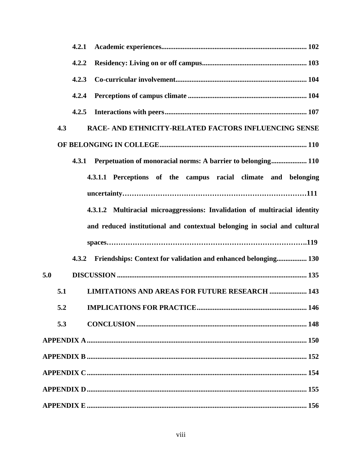| 4.2.1                                                                      |
|----------------------------------------------------------------------------|
| 4.2.2                                                                      |
| 4.2.3                                                                      |
| 4.2.4                                                                      |
| 4.2.5                                                                      |
| RACE- AND ETHNICITY-RELATED FACTORS INFLUENCING SENSE<br>4.3               |
|                                                                            |
| Perpetuation of monoracial norms: A barrier to belonging 110<br>4.3.1      |
| 4.3.1.1 Perceptions of the campus racial climate and belonging             |
|                                                                            |
| 4.3.1.2 Multiracial microaggressions: Invalidation of multiracial identity |
| and reduced institutional and contextual belonging in social and cultural  |
|                                                                            |
| Friendships: Context for validation and enhanced belonging 130<br>4.3.2    |
| 5.0                                                                        |
| 5.1<br><b>LIMITATIONS AND AREAS FOR FUTURE RESEARCH  143</b>               |
| 5.2<br>146                                                                 |
| 5.3                                                                        |
|                                                                            |
|                                                                            |
|                                                                            |
|                                                                            |
|                                                                            |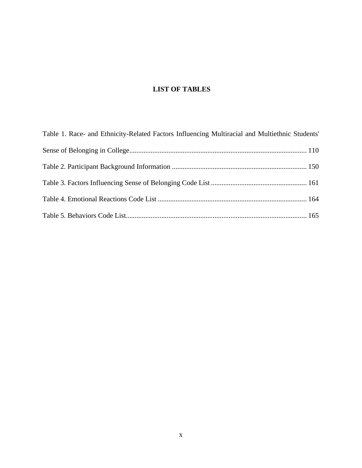# **LIST OF TABLES**

| Table 1. Race- and Ethnicity-Related Factors Influencing Multiracial and Multiethnic Students' |  |
|------------------------------------------------------------------------------------------------|--|
|                                                                                                |  |
|                                                                                                |  |
|                                                                                                |  |
|                                                                                                |  |
|                                                                                                |  |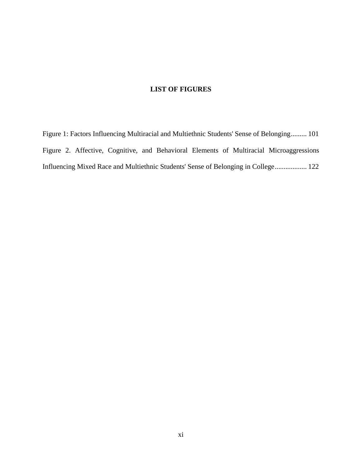# **LIST OF FIGURES**

[Figure 1: Factors Influencing Multiracial and Multiethnic Students' Sense of Belonging.........](#page-114-0) 101 [Figure 2. Affective, Cognitive, and Behavioral Elements of Multiracial Microaggressions](#page-135-0)  [Influencing Mixed Race and Multiethnic Students' Sense of Belonging in College..................](#page-135-0) 122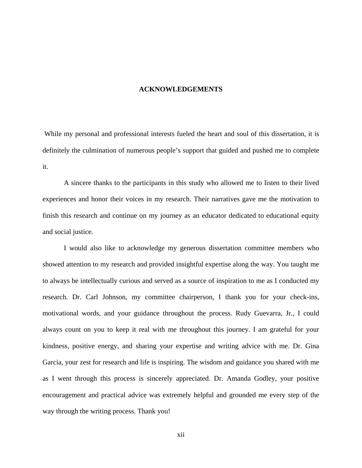#### **ACKNOWLEDGEMENTS**

<span id="page-11-0"></span>While my personal and professional interests fueled the heart and soul of this dissertation, it is definitely the culmination of numerous people's support that guided and pushed me to complete it.

A sincere thanks to the participants in this study who allowed me to listen to their lived experiences and honor their voices in my research. Their narratives gave me the motivation to finish this research and continue on my journey as an educator dedicated to educational equity and social justice.

I would also like to acknowledge my generous dissertation committee members who showed attention to my research and provided insightful expertise along the way. You taught me to always be intellectually curious and served as a source of inspiration to me as I conducted my research. Dr. Carl Johnson, my committee chairperson, I thank you for your check-ins, motivational words, and your guidance throughout the process. Rudy Guevarra, Jr., I could always count on you to keep it real with me throughout this journey. I am grateful for your kindness, positive energy, and sharing your expertise and writing advice with me. Dr. Gina Garcia, your zest for research and life is inspiring. The wisdom and guidance you shared with me as I went through this process is sincerely appreciated. Dr. Amanda Godley, your positive encouragement and practical advice was extremely helpful and grounded me every step of the way through the writing process. Thank you!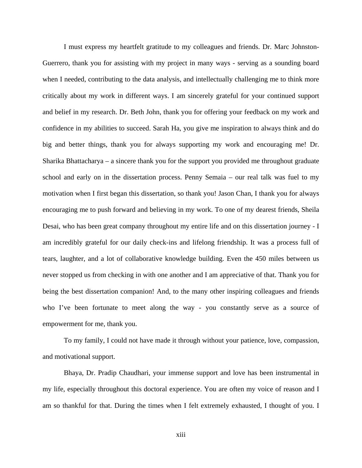I must express my heartfelt gratitude to my colleagues and friends. Dr. Marc Johnston-Guerrero, thank you for assisting with my project in many ways - serving as a sounding board when I needed, contributing to the data analysis, and intellectually challenging me to think more critically about my work in different ways. I am sincerely grateful for your continued support and belief in my research. Dr. Beth John, thank you for offering your feedback on my work and confidence in my abilities to succeed. Sarah Ha, you give me inspiration to always think and do big and better things, thank you for always supporting my work and encouraging me! Dr. Sharika Bhattacharya – a sincere thank you for the support you provided me throughout graduate school and early on in the dissertation process. Penny Semaia – our real talk was fuel to my motivation when I first began this dissertation, so thank you! Jason Chan, I thank you for always encouraging me to push forward and believing in my work. To one of my dearest friends, Sheila Desai, who has been great company throughout my entire life and on this dissertation journey - I am incredibly grateful for our daily check-ins and lifelong friendship. It was a process full of tears, laughter, and a lot of collaborative knowledge building. Even the 450 miles between us never stopped us from checking in with one another and I am appreciative of that. Thank you for being the best dissertation companion! And, to the many other inspiring colleagues and friends who I've been fortunate to meet along the way - you constantly serve as a source of empowerment for me, thank you.

To my family, I could not have made it through without your patience, love, compassion, and motivational support.

Bhaya, Dr. Pradip Chaudhari, your immense support and love has been instrumental in my life, especially throughout this doctoral experience. You are often my voice of reason and I am so thankful for that. During the times when I felt extremely exhausted, I thought of you. I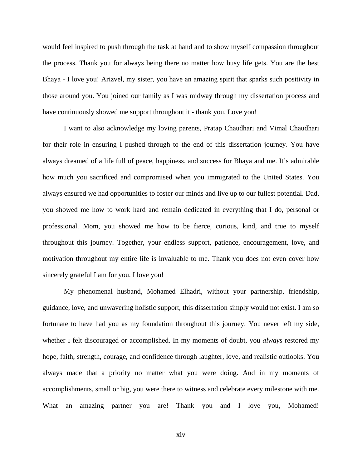would feel inspired to push through the task at hand and to show myself compassion throughout the process. Thank you for always being there no matter how busy life gets. You are the best Bhaya - I love you! Arizvel, my sister, you have an amazing spirit that sparks such positivity in those around you. You joined our family as I was midway through my dissertation process and have continuously showed me support throughout it - thank you. Love you!

I want to also acknowledge my loving parents, Pratap Chaudhari and Vimal Chaudhari for their role in ensuring I pushed through to the end of this dissertation journey. You have always dreamed of a life full of peace, happiness, and success for Bhaya and me. It's admirable how much you sacrificed and compromised when you immigrated to the United States. You always ensured we had opportunities to foster our minds and live up to our fullest potential. Dad, you showed me how to work hard and remain dedicated in everything that I do, personal or professional. Mom, you showed me how to be fierce, curious, kind, and true to myself throughout this journey. Together, your endless support, patience, encouragement, love, and motivation throughout my entire life is invaluable to me. Thank you does not even cover how sincerely grateful I am for you. I love you!

My phenomenal husband, Mohamed Elhadri, without your partnership, friendship, guidance, love, and unwavering holistic support, this dissertation simply would not exist. I am so fortunate to have had you as my foundation throughout this journey. You never left my side, whether I felt discouraged or accomplished. In my moments of doubt, you *always* restored my hope, faith, strength, courage, and confidence through laughter, love, and realistic outlooks. You always made that a priority no matter what you were doing. And in my moments of accomplishments, small or big, you were there to witness and celebrate every milestone with me. What an amazing partner you are! Thank you and I love you, Mohamed!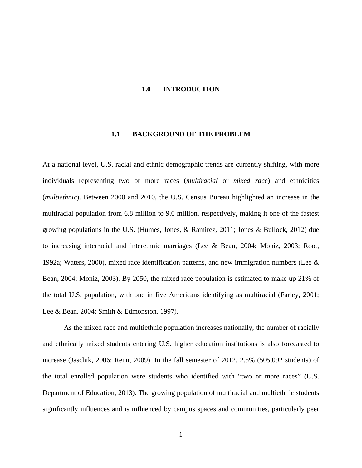### <span id="page-14-0"></span>**1.0 INTRODUCTION**

#### **1.1 BACKGROUND OF THE PROBLEM**

<span id="page-14-1"></span>At a national level, U.S. racial and ethnic demographic trends are currently shifting, with more individuals representing two or more races (*multiracial* or *mixed race*) and ethnicities (*multiethnic*). Between 2000 and 2010, the U.S. Census Bureau highlighted an increase in the multiracial population from 6.8 million to 9.0 million, respectively, making it one of the fastest growing populations in the U.S. (Humes, Jones, & Ramirez, 2011; Jones & Bullock, 2012) due to increasing interracial and interethnic marriages (Lee & Bean, 2004; Moniz, 2003; Root, 1992a; Waters, 2000), mixed race identification patterns, and new immigration numbers (Lee & Bean, 2004; Moniz, 2003). By 2050, the mixed race population is estimated to make up 21% of the total U.S. population, with one in five Americans identifying as multiracial (Farley, 2001; Lee & Bean, 2004; Smith & Edmonston, 1997).

As the mixed race and multiethnic population increases nationally, the number of racially and ethnically mixed students entering U.S. higher education institutions is also forecasted to increase (Jaschik, 2006; Renn, 2009). In the fall semester of 2012, 2.5% (505,092 students) of the total enrolled population were students who identified with "two or more races" (U.S. Department of Education, 2013). The growing population of multiracial and multiethnic students significantly influences and is influenced by campus spaces and communities, particularly peer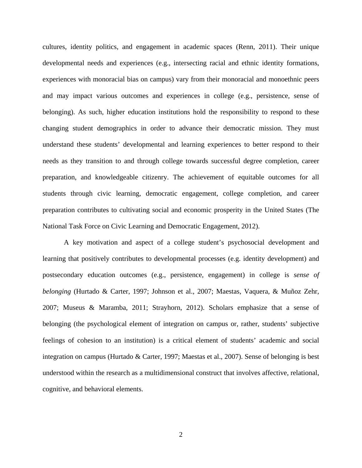cultures, identity politics, and engagement in academic spaces (Renn, 2011). Their unique developmental needs and experiences (e.g., intersecting racial and ethnic identity formations, experiences with monoracial bias on campus) vary from their monoracial and monoethnic peers and may impact various outcomes and experiences in college (e.g., persistence, sense of belonging). As such, higher education institutions hold the responsibility to respond to these changing student demographics in order to advance their democratic mission. They must understand these students' developmental and learning experiences to better respond to their needs as they transition to and through college towards successful degree completion, career preparation, and knowledgeable citizenry. The achievement of equitable outcomes for all students through civic learning, democratic engagement, college completion, and career preparation contributes to cultivating social and economic prosperity in the United States (The National Task Force on Civic Learning and Democratic Engagement, 2012).

A key motivation and aspect of a college student's psychosocial development and learning that positively contributes to developmental processes (e.g. identity development) and postsecondary education outcomes (e.g., persistence, engagement) in college is *sense of belonging* (Hurtado & Carter, 1997; Johnson et al., 2007; Maestas, Vaquera, & Muñoz Zehr, 2007; Museus & Maramba, 2011; Strayhorn, 2012). Scholars emphasize that a sense of belonging (the psychological element of integration on campus or, rather, students' subjective feelings of cohesion to an institution) is a critical element of students' academic and social integration on campus (Hurtado & Carter, 1997; Maestas et al., 2007). Sense of belonging is best understood within the research as a multidimensional construct that involves affective, relational, cognitive, and behavioral elements.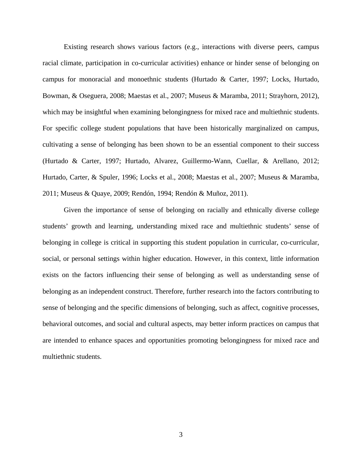Existing research shows various factors (e.g., interactions with diverse peers, campus racial climate, participation in co-curricular activities) enhance or hinder sense of belonging on campus for monoracial and monoethnic students (Hurtado & Carter, 1997; Locks, Hurtado, Bowman, & Oseguera, 2008; Maestas et al., 2007; Museus & Maramba, 2011; Strayhorn, 2012), which may be insightful when examining belongingness for mixed race and multiethnic students. For specific college student populations that have been historically marginalized on campus, cultivating a sense of belonging has been shown to be an essential component to their success (Hurtado & Carter, 1997; Hurtado, Alvarez, Guillermo-Wann, Cuellar, & Arellano, 2012; Hurtado, Carter, & Spuler, 1996; Locks et al., 2008; Maestas et al., 2007; Museus & Maramba, 2011; Museus & Quaye, 2009; Rendón, 1994; Rendón & Muñoz, 2011).

Given the importance of sense of belonging on racially and ethnically diverse college students' growth and learning, understanding mixed race and multiethnic students' sense of belonging in college is critical in supporting this student population in curricular, co-curricular, social, or personal settings within higher education. However, in this context, little information exists on the factors influencing their sense of belonging as well as understanding sense of belonging as an independent construct. Therefore, further research into the factors contributing to sense of belonging and the specific dimensions of belonging, such as affect, cognitive processes, behavioral outcomes, and social and cultural aspects, may better inform practices on campus that are intended to enhance spaces and opportunities promoting belongingness for mixed race and multiethnic students.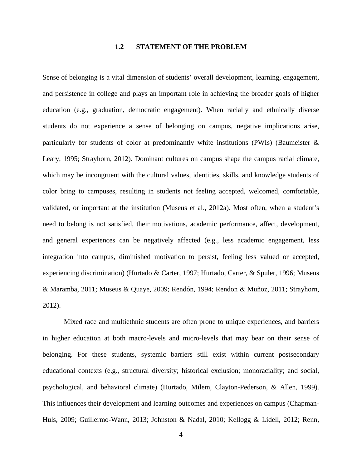## **1.2 STATEMENT OF THE PROBLEM**

<span id="page-17-0"></span>Sense of belonging is a vital dimension of students' overall development, learning, engagement, and persistence in college and plays an important role in achieving the broader goals of higher education (e.g., graduation, democratic engagement). When racially and ethnically diverse students do not experience a sense of belonging on campus, negative implications arise, particularly for students of color at predominantly white institutions (PWIs) (Baumeister & Leary, 1995; Strayhorn, 2012). Dominant cultures on campus shape the campus racial climate, which may be incongruent with the cultural values, identities, skills, and knowledge students of color bring to campuses, resulting in students not feeling accepted, welcomed, comfortable, validated, or important at the institution (Museus et al., 2012a). Most often, when a student's need to belong is not satisfied, their motivations, academic performance, affect, development, and general experiences can be negatively affected (e.g., less academic engagement, less integration into campus, diminished motivation to persist, feeling less valued or accepted, experiencing discrimination) (Hurtado & Carter, 1997; Hurtado, Carter, & Spuler, 1996; Museus & Maramba, 2011; Museus & Quaye, 2009; Rendón, 1994; Rendon & Muñoz, 2011; Strayhorn, 2012).

Mixed race and multiethnic students are often prone to unique experiences, and barriers in higher education at both macro-levels and micro-levels that may bear on their sense of belonging. For these students, systemic barriers still exist within current postsecondary educational contexts (e.g., structural diversity; historical exclusion; monoraciality; and social, psychological, and behavioral climate) (Hurtado, Milem, Clayton-Pederson, & Allen, 1999). This influences their development and learning outcomes and experiences on campus (Chapman-Huls, 2009; Guillermo-Wann, 2013; Johnston & Nadal, 2010; Kellogg & Lidell, 2012; Renn,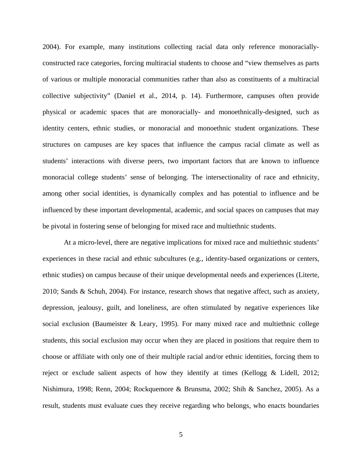2004). For example, many institutions collecting racial data only reference monoraciallyconstructed race categories, forcing multiracial students to choose and "view themselves as parts of various or multiple monoracial communities rather than also as constituents of a multiracial collective subjectivity" (Daniel et al., 2014, p. 14). Furthermore, campuses often provide physical or academic spaces that are monoracially- and monoethnically-designed, such as identity centers, ethnic studies, or monoracial and monoethnic student organizations. These structures on campuses are key spaces that influence the campus racial climate as well as students' interactions with diverse peers, two important factors that are known to influence monoracial college students' sense of belonging. The intersectionality of race and ethnicity, among other social identities, is dynamically complex and has potential to influence and be influenced by these important developmental, academic, and social spaces on campuses that may be pivotal in fostering sense of belonging for mixed race and multiethnic students.

At a micro-level, there are negative implications for mixed race and multiethnic students' experiences in these racial and ethnic subcultures (e.g., identity-based organizations or centers, ethnic studies) on campus because of their unique developmental needs and experiences (Literte, 2010; Sands & Schuh, 2004). For instance, research shows that negative affect, such as anxiety, depression, jealousy, guilt, and loneliness, are often stimulated by negative experiences like social exclusion (Baumeister & Leary, 1995). For many mixed race and multiethnic college students, this social exclusion may occur when they are placed in positions that require them to choose or affiliate with only one of their multiple racial and/or ethnic identities, forcing them to reject or exclude salient aspects of how they identify at times (Kellogg & Lidell, 2012; Nishimura, 1998; Renn, 2004; Rockquemore & Brunsma, 2002; Shih & Sanchez, 2005). As a result, students must evaluate cues they receive regarding who belongs, who enacts boundaries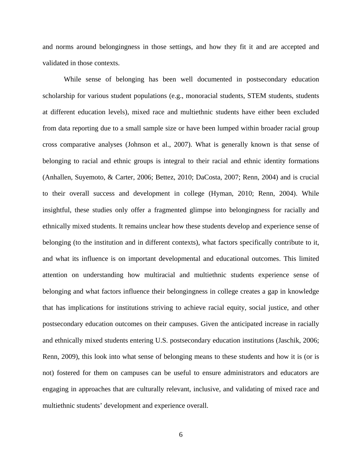and norms around belongingness in those settings, and how they fit it and are accepted and validated in those contexts.

While sense of belonging has been well documented in postsecondary education scholarship for various student populations (e.g., monoracial students, STEM students, students at different education levels), mixed race and multiethnic students have either been excluded from data reporting due to a small sample size or have been lumped within broader racial group cross comparative analyses (Johnson et al., 2007). What is generally known is that sense of belonging to racial and ethnic groups is integral to their racial and ethnic identity formations (Anhallen, Suyemoto, & Carter, 2006; Bettez, 2010; DaCosta, 2007; Renn, 2004) and is crucial to their overall success and development in college (Hyman, 2010; Renn, 2004). While insightful, these studies only offer a fragmented glimpse into belongingness for racially and ethnically mixed students. It remains unclear how these students develop and experience sense of belonging (to the institution and in different contexts), what factors specifically contribute to it, and what its influence is on important developmental and educational outcomes. This limited attention on understanding how multiracial and multiethnic students experience sense of belonging and what factors influence their belongingness in college creates a gap in knowledge that has implications for institutions striving to achieve racial equity, social justice, and other postsecondary education outcomes on their campuses. Given the anticipated increase in racially and ethnically mixed students entering U.S. postsecondary education institutions (Jaschik, 2006; Renn, 2009), this look into what sense of belonging means to these students and how it is (or is not) fostered for them on campuses can be useful to ensure administrators and educators are engaging in approaches that are culturally relevant, inclusive, and validating of mixed race and multiethnic students' development and experience overall.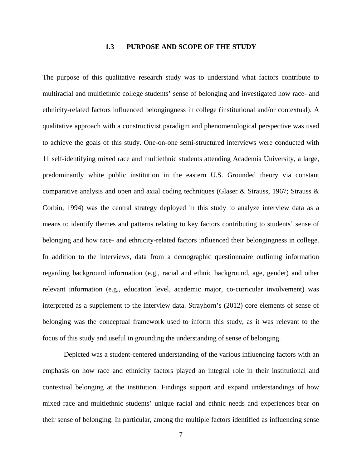## **1.3 PURPOSE AND SCOPE OF THE STUDY**

<span id="page-20-0"></span>The purpose of this qualitative research study was to understand what factors contribute to multiracial and multiethnic college students' sense of belonging and investigated how race- and ethnicity-related factors influenced belongingness in college (institutional and/or contextual). A qualitative approach with a constructivist paradigm and phenomenological perspective was used to achieve the goals of this study. One-on-one semi-structured interviews were conducted with 11 self-identifying mixed race and multiethnic students attending Academia University, a large, predominantly white public institution in the eastern U.S. Grounded theory via constant comparative analysis and open and axial coding techniques (Glaser & Strauss, 1967; Strauss & Corbin, 1994) was the central strategy deployed in this study to analyze interview data as a means to identify themes and patterns relating to key factors contributing to students' sense of belonging and how race- and ethnicity-related factors influenced their belongingness in college. In addition to the interviews, data from a demographic questionnaire outlining information regarding background information (e.g., racial and ethnic background, age, gender) and other relevant information (e.g., education level, academic major, co-curricular involvement) was interpreted as a supplement to the interview data. Strayhorn's (2012) core elements of sense of belonging was the conceptual framework used to inform this study, as it was relevant to the focus of this study and useful in grounding the understanding of sense of belonging.

Depicted was a student-centered understanding of the various influencing factors with an emphasis on how race and ethnicity factors played an integral role in their institutional and contextual belonging at the institution. Findings support and expand understandings of how mixed race and multiethnic students' unique racial and ethnic needs and experiences bear on their sense of belonging. In particular, among the multiple factors identified as influencing sense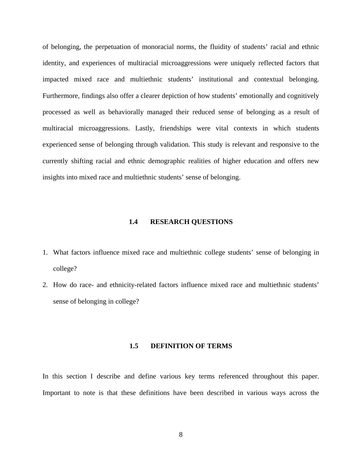of belonging, the perpetuation of monoracial norms, the fluidity of students' racial and ethnic identity, and experiences of multiracial microaggressions were uniquely reflected factors that impacted mixed race and multiethnic students' institutional and contextual belonging. Furthermore, findings also offer a clearer depiction of how students' emotionally and cognitively processed as well as behaviorally managed their reduced sense of belonging as a result of multiracial microaggressions. Lastly, friendships were vital contexts in which students experienced sense of belonging through validation. This study is relevant and responsive to the currently shifting racial and ethnic demographic realities of higher education and offers new insights into mixed race and multiethnic students' sense of belonging.

#### **1.4 RESEARCH QUESTIONS**

- <span id="page-21-0"></span>1. What factors influence mixed race and multiethnic college students' sense of belonging in college?
- <span id="page-21-1"></span>2. How do race- and ethnicity-related factors influence mixed race and multiethnic students' sense of belonging in college?

# **1.5 DEFINITION OF TERMS**

In this section I describe and define various key terms referenced throughout this paper. Important to note is that these definitions have been described in various ways across the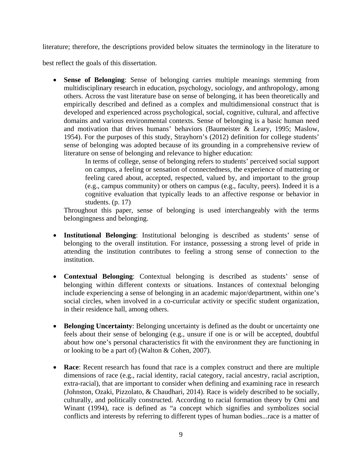literature; therefore, the descriptions provided below situates the terminology in the literature to

best reflect the goals of this dissertation.

• **Sense of Belonging**: Sense of belonging carries multiple meanings stemming from multidisciplinary research in education, psychology, sociology, and anthropology, among others. Across the vast literature base on sense of belonging, it has been theoretically and empirically described and defined as a complex and multidimensional construct that is developed and experienced across psychological, social, cognitive, cultural, and affective domains and various environmental contexts. Sense of belonging is a basic human need and motivation that drives humans' behaviors (Baumeister & Leary, 1995; Maslow, 1954). For the purposes of this study, Strayhorn's (2012) definition for college students' sense of belonging was adopted because of its grounding in a comprehensive review of literature on sense of belonging and relevance to higher education:

In terms of college, sense of belonging refers to students' perceived social support on campus, a feeling or sensation of connectedness, the experience of mattering or feeling cared about, accepted, respected, valued by, and important to the group (e.g., campus community) or others on campus (e.g., faculty, peers). Indeed it is a cognitive evaluation that typically leads to an affective response or behavior in students. (p. 17)

Throughout this paper, sense of belonging is used interchangeably with the terms belongingness and belonging.

- **Institutional Belonging**: Institutional belonging is described as students' sense of belonging to the overall institution. For instance, possessing a strong level of pride in attending the institution contributes to feeling a strong sense of connection to the institution.
- **Contextual Belonging**: Contextual belonging is described as students' sense of belonging within different contexts or situations. Instances of contextual belonging include experiencing a sense of belonging in an academic major/department, within one's social circles, when involved in a co-curricular activity or specific student organization, in their residence hall, among others.
- **Belonging Uncertainty**: Belonging uncertainty is defined as the doubt or uncertainty one feels about their sense of belonging (e.g., unsure if one is or will be accepted, doubtful about how one's personal characteristics fit with the environment they are functioning in or looking to be a part of) (Walton & Cohen, 2007).
- **Race**: Recent research has found that race is a complex construct and there are multiple dimensions of race (e.g., racial identity, racial category, racial ancestry, racial ascription, extra-racial), that are important to consider when defining and examining race in research (Johnston, Ozaki, Pizzolato, & Chaudhari, 2014). Race is widely described to be socially, culturally, and politically constructed. According to racial formation theory by Omi and Winant (1994), race is defined as "a concept which signifies and symbolizes social conflicts and interests by referring to different types of human bodies...race is a matter of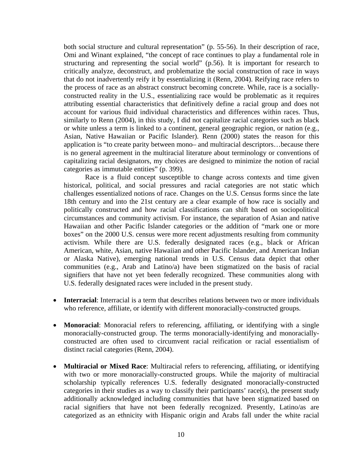both social structure and cultural representation" (p. 55-56). In their description of race, Omi and Winant explained, "the concept of race continues to play a fundamental role in structuring and representing the social world" (p.56). It is important for research to critically analyze, deconstruct, and problematize the social construction of race in ways that do not inadvertently reify it by essentializing it (Renn, 2004). Reifying race refers to the process of race as an abstract construct becoming concrete. While, race is a sociallyconstructed reality in the U.S., essentializing race would be problematic as it requires attributing essential characteristics that definitively define a racial group and does not account for various fluid individual characteristics and differences within races. Thus, similarly to Renn (2004), in this study, I did not capitalize racial categories such as black or white unless a term is linked to a continent, general geographic region, or nation (e.g., Asian, Native Hawaiian or Pacific Islander). Renn (2000) states the reason for this application is "to create parity between mono– and multiracial descriptors…because there is no general agreement in the multiracial literature about terminology or conventions of capitalizing racial designators, my choices are designed to minimize the notion of racial categories as immutable entities" (p. 399).

Race is a fluid concept susceptible to change across contexts and time given historical, political, and social pressures and racial categories are not static which challenges essentialized notions of race. Changes on the U.S. Census forms since the late 18th century and into the 21st century are a clear example of how race is socially and politically constructed and how racial classifications can shift based on sociopolitical circumstances and community activism. For instance, the separation of Asian and native Hawaiian and other Pacific Islander categories or the addition of "mark one or more boxes" on the 2000 U.S. census were more recent adjustments resulting from community activism. While there are U.S. federally designated races (e.g., black or African American, white, Asian, native Hawaiian and other Pacific Islander, and American Indian or Alaska Native), emerging national trends in U.S. Census data depict that other communities (e.g., Arab and Latino/a) have been stigmatized on the basis of racial signifiers that have not yet been federally recognized. These communities along with U.S. federally designated races were included in the present study.

- **Interracial**: Interracial is a term that describes relations between two or more individuals who reference, affiliate, or identify with different monoracially-constructed groups.
- **Monoracial**: Monoracial refers to referencing, affiliating, or identifying with a single monoracially-constructed group. The terms monoracially-identifying and monoraciallyconstructed are often used to circumvent racial reification or racial essentialism of distinct racial categories (Renn, 2004).
- **Multiracial or Mixed Race**: Multiracial refers to referencing, affiliating, or identifying with two or more monoracially-constructed groups. While the majority of multiracial scholarship typically references U.S. federally designated monoracially-constructed categories in their studies as a way to classify their participants' race(s), the present study additionally acknowledged including communities that have been stigmatized based on racial signifiers that have not been federally recognized. Presently, Latino/as are categorized as an ethnicity with Hispanic origin and Arabs fall under the white racial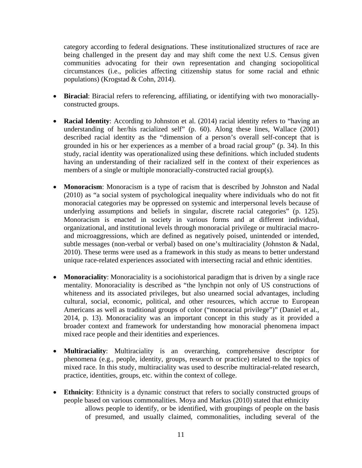category according to federal designations. These institutionalized structures of race are being challenged in the present day and may shift come the next U.S. Census given communities advocating for their own representation and changing sociopolitical circumstances (i.e., policies affecting citizenship status for some racial and ethnic populations) (Krogstad & Cohn, 2014).

- **Biracial**: Biracial refers to referencing, affiliating, or identifying with two monoraciallyconstructed groups.
- **Racial Identity**: According to Johnston et al. (2014) racial identity refers to "having an understanding of her/his racialized self" (p. 60). Along these lines, Wallace (2001) described racial identity as the "dimension of a person's overall self-concept that is grounded in his or her experiences as a member of a broad racial group" (p. 34). In this study, racial identity was operationalized using these definitions. which included students having an understanding of their racialized self in the context of their experiences as members of a single or multiple monoracially-constructed racial group(s).
- **Monoracism**: Monoracism is a type of racism that is described by Johnston and Nadal (2010) as "a social system of psychological inequality where individuals who do not fit monoracial categories may be oppressed on systemic and interpersonal levels because of underlying assumptions and beliefs in singular, discrete racial categories" (p. 125). Monoracism is enacted in society in various forms and at different individual, organizational, and institutional levels through monoracial privilege or multiracial macroand microaggressions, which are defined as negatively poised, unintended or intended, subtle messages (non-verbal or verbal) based on one's multiraciality (Johnston & Nadal, 2010). These terms were used as a framework in this study as means to better understand unique race-related experiences associated with intersecting racial and ethnic identities.
- **Monoraciality**: Monoraciality is a sociohistorical paradigm that is driven by a single race mentality. Monoraciality is described as "the lynchpin not only of US constructions of whiteness and its associated privileges, but also unearned social advantages, including cultural, social, economic, political, and other resources, which accrue to European Americans as well as traditional groups of color ("monoracial privilege")" (Daniel et al., 2014, p. 13). Monoraciality was an important concept in this study as it provided a broader context and framework for understanding how monoracial phenomena impact mixed race people and their identities and experiences.
- **Multiraciality**: Multiraciality is an overarching, comprehensive descriptor for phenomena (e.g., people, identity, groups, research or practice) related to the topics of mixed race. In this study, multiraciality was used to describe multiracial-related research, practice, identities, groups, etc. within the context of college.
- **Ethnicity**: Ethnicity is a dynamic construct that refers to socially constructed groups of people based on various commonalities. Moya and Markus (2010) stated that ethnicity allows people to identify, or be identified, with groupings of people on the basis of presumed, and usually claimed, commonalities, including several of the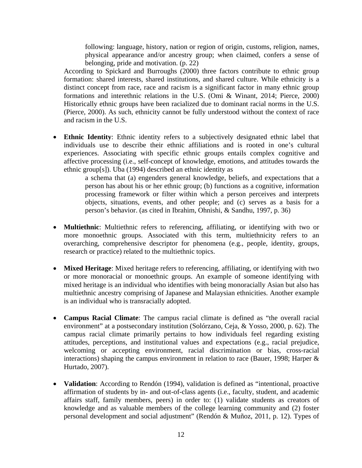following: language, history, nation or region of origin, customs, religion, names, physical appearance and/or ancestry group; when claimed, confers a sense of belonging, pride and motivation. (p. 22)

According to Spickard and Burroughs (2000) three factors contribute to ethnic group formation: shared interests, shared institutions, and shared culture. While ethnicity is a distinct concept from race, race and racism is a significant factor in many ethnic group formations and interethnic relations in the U.S. (Omi & Winant, 2014; Pierce, 2000) Historically ethnic groups have been racialized due to dominant racial norms in the U.S. (Pierce, 2000). As such, ethnicity cannot be fully understood without the context of race and racism in the U.S.

• **Ethnic Identity**: Ethnic identity refers to a subjectively designated ethnic label that individuals use to describe their ethnic affiliations and is rooted in one's cultural experiences. Associating with specific ethnic groups entails complex cognitive and affective processing (i.e., self-concept of knowledge, emotions, and attitudes towards the ethnic group[s]). Uba (1994) described an ethnic identity as

> a schema that (a) engenders general knowledge, beliefs, and expectations that a person has about his or her ethnic group; (b) functions as a cognitive, information processing framework or filter within which a person perceives and interprets objects, situations, events, and other people; and (c) serves as a basis for a person's behavior. (as cited in Ibrahim, Ohnishi, & Sandhu, 1997, p. 36)

- **Multiethnic**: Multiethnic refers to referencing, affiliating, or identifying with two or more monoethnic groups. Associated with this term, multiethnicity refers to an overarching, comprehensive descriptor for phenomena (e.g., people, identity, groups, research or practice) related to the multiethnic topics.
- **Mixed Heritage**: Mixed heritage refers to referencing, affiliating, or identifying with two or more monoracial or monoethnic groups. An example of someone identifying with mixed heritage is an individual who identifies with being monoracially Asian but also has multiethnic ancestry comprising of Japanese and Malaysian ethnicities. Another example is an individual who is transracially adopted.
- **Campus Racial Climate**: The campus racial climate is defined as "the overall racial environment" at a postsecondary institution (Solórzano, Ceja, & Yosso, 2000, p. 62). The campus racial climate primarily pertains to how individuals feel regarding existing attitudes, perceptions, and institutional values and expectations (e.g., racial prejudice, welcoming or accepting environment, racial discrimination or bias, cross-racial interactions) shaping the campus environment in relation to race (Bauer, 1998; Harper & Hurtado, 2007).
- **Validation**: According to Rendón (1994), validation is defined as "intentional, proactive affirmation of students by in- and out-of-class agents (i.e., faculty, student, and academic affairs staff, family members, peers) in order to: (1) validate students as creators of knowledge and as valuable members of the college learning community and (2) foster personal development and social adjustment" (Rendón & Muñoz, 2011, p. 12). Types of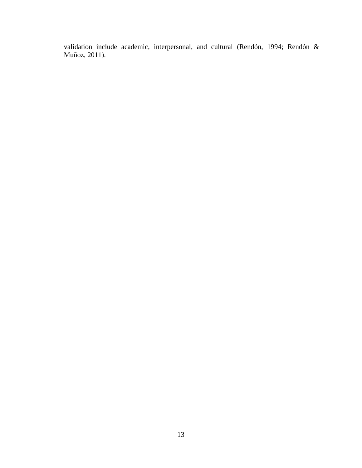validation include academic, interpersonal, and cultural (Rendón, 1994; Rendón & Muñoz, 2011).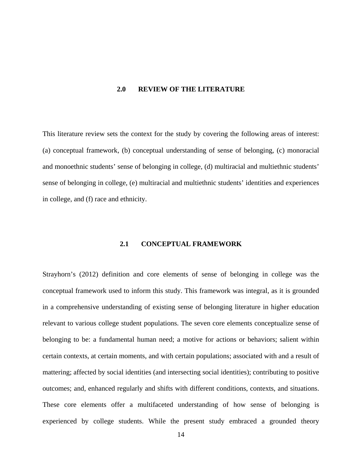#### <span id="page-27-0"></span>**2.0 REVIEW OF THE LITERATURE**

This literature review sets the context for the study by covering the following areas of interest: (a) conceptual framework, (b) conceptual understanding of sense of belonging, (c) monoracial and monoethnic students' sense of belonging in college, (d) multiracial and multiethnic students' sense of belonging in college, (e) multiracial and multiethnic students' identities and experiences in college, and (f) race and ethnicity.

## **2.1 CONCEPTUAL FRAMEWORK**

<span id="page-27-1"></span>Strayhorn's (2012) definition and core elements of sense of belonging in college was the conceptual framework used to inform this study. This framework was integral, as it is grounded in a comprehensive understanding of existing sense of belonging literature in higher education relevant to various college student populations. The seven core elements conceptualize sense of belonging to be: a fundamental human need; a motive for actions or behaviors; salient within certain contexts, at certain moments, and with certain populations; associated with and a result of mattering; affected by social identities (and intersecting social identities); contributing to positive outcomes; and, enhanced regularly and shifts with different conditions, contexts, and situations. These core elements offer a multifaceted understanding of how sense of belonging is experienced by college students. While the present study embraced a grounded theory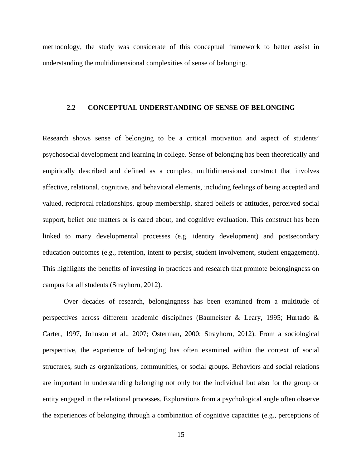<span id="page-28-0"></span>methodology, the study was considerate of this conceptual framework to better assist in understanding the multidimensional complexities of sense of belonging.

# **2.2 CONCEPTUAL UNDERSTANDING OF SENSE OF BELONGING**

Research shows sense of belonging to be a critical motivation and aspect of students' psychosocial development and learning in college. Sense of belonging has been theoretically and empirically described and defined as a complex, multidimensional construct that involves affective, relational, cognitive, and behavioral elements, including feelings of being accepted and valued, reciprocal relationships, group membership, shared beliefs or attitudes, perceived social support, belief one matters or is cared about, and cognitive evaluation. This construct has been linked to many developmental processes (e.g. identity development) and postsecondary education outcomes (e.g., retention, intent to persist, student involvement, student engagement). This highlights the benefits of investing in practices and research that promote belongingness on campus for all students (Strayhorn, 2012).

Over decades of research, belongingness has been examined from a multitude of perspectives across different academic disciplines (Baumeister & Leary, 1995; Hurtado & Carter, 1997, Johnson et al., 2007; Osterman, 2000; Strayhorn, 2012). From a sociological perspective, the experience of belonging has often examined within the context of social structures, such as organizations, communities, or social groups. Behaviors and social relations are important in understanding belonging not only for the individual but also for the group or entity engaged in the relational processes. Explorations from a psychological angle often observe the experiences of belonging through a combination of cognitive capacities (e.g., perceptions of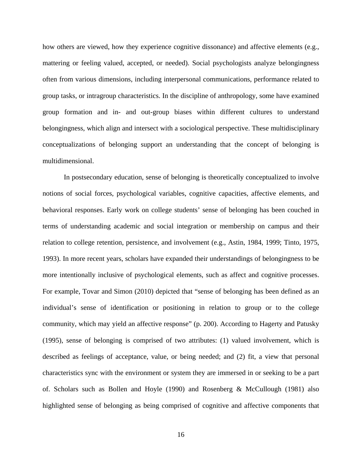how others are viewed, how they experience cognitive dissonance) and affective elements (e.g., mattering or feeling valued, accepted, or needed). Social psychologists analyze belongingness often from various dimensions, including interpersonal communications, performance related to group tasks, or intragroup characteristics. In the discipline of anthropology, some have examined group formation and in- and out-group biases within different cultures to understand belongingness, which align and intersect with a sociological perspective. These multidisciplinary conceptualizations of belonging support an understanding that the concept of belonging is multidimensional.

In postsecondary education, sense of belonging is theoretically conceptualized to involve notions of social forces, psychological variables, cognitive capacities, affective elements, and behavioral responses. Early work on college students' sense of belonging has been couched in terms of understanding academic and social integration or membership on campus and their relation to college retention, persistence, and involvement (e.g., Astin, 1984, 1999; Tinto, 1975, 1993). In more recent years, scholars have expanded their understandings of belongingness to be more intentionally inclusive of psychological elements, such as affect and cognitive processes. For example, Tovar and Simon (2010) depicted that "sense of belonging has been defined as an individual's sense of identification or positioning in relation to group or to the college community, which may yield an affective response" (p. 200). According to Hagerty and Patusky (1995), sense of belonging is comprised of two attributes: (1) valued involvement, which is described as feelings of acceptance, value, or being needed; and (2) fit, a view that personal characteristics sync with the environment or system they are immersed in or seeking to be a part of. Scholars such as Bollen and Hoyle (1990) and Rosenberg & McCullough (1981) also highlighted sense of belonging as being comprised of cognitive and affective components that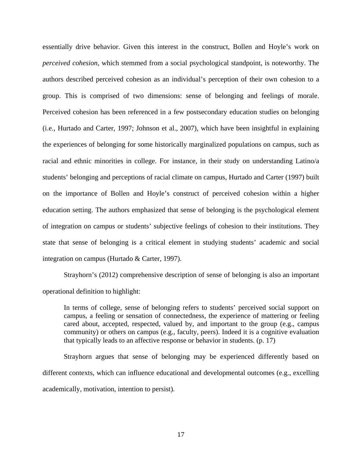essentially drive behavior. Given this interest in the construct, Bollen and Hoyle's work on *perceived cohesion*, which stemmed from a social psychological standpoint, is noteworthy. The authors described perceived cohesion as an individual's perception of their own cohesion to a group. This is comprised of two dimensions: sense of belonging and feelings of morale. Perceived cohesion has been referenced in a few postsecondary education studies on belonging (i.e., Hurtado and Carter, 1997; Johnson et al., 2007), which have been insightful in explaining the experiences of belonging for some historically marginalized populations on campus, such as racial and ethnic minorities in college. For instance, in their study on understanding Latino/a students' belonging and perceptions of racial climate on campus, Hurtado and Carter (1997) built on the importance of Bollen and Hoyle's construct of perceived cohesion within a higher education setting. The authors emphasized that sense of belonging is the psychological element of integration on campus or students' subjective feelings of cohesion to their institutions. They state that sense of belonging is a critical element in studying students' academic and social integration on campus (Hurtado & Carter, 1997).

Strayhorn's (2012) comprehensive description of sense of belonging is also an important operational definition to highlight:

In terms of college, sense of belonging refers to students' perceived social support on campus, a feeling or sensation of connectedness, the experience of mattering or feeling cared about, accepted, respected, valued by, and important to the group (e.g., campus community) or others on campus (e.g., faculty, peers). Indeed it is a cognitive evaluation that typically leads to an affective response or behavior in students. (p. 17)

Strayhorn argues that sense of belonging may be experienced differently based on different contexts, which can influence educational and developmental outcomes (e.g., excelling academically, motivation, intention to persist).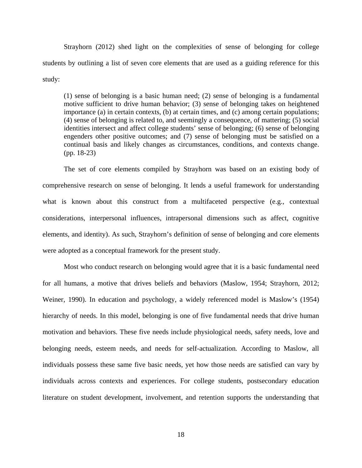Strayhorn (2012) shed light on the complexities of sense of belonging for college students by outlining a list of seven core elements that are used as a guiding reference for this study:

(1) sense of belonging is a basic human need; (2) sense of belonging is a fundamental motive sufficient to drive human behavior; (3) sense of belonging takes on heightened importance (a) in certain contexts, (b) at certain times, and (c) among certain populations; (4) sense of belonging is related to, and seemingly a consequence, of mattering; (5) social identities intersect and affect college students' sense of belonging; (6) sense of belonging engenders other positive outcomes; and (7) sense of belonging must be satisfied on a continual basis and likely changes as circumstances, conditions, and contexts change. (pp. 18-23)

The set of core elements compiled by Strayhorn was based on an existing body of comprehensive research on sense of belonging. It lends a useful framework for understanding what is known about this construct from a multifaceted perspective (e.g., contextual considerations, interpersonal influences, intrapersonal dimensions such as affect, cognitive elements, and identity). As such, Strayhorn's definition of sense of belonging and core elements were adopted as a conceptual framework for the present study.

Most who conduct research on belonging would agree that it is a basic fundamental need for all humans, a motive that drives beliefs and behaviors (Maslow, 1954; Strayhorn, 2012; Weiner, 1990). In education and psychology, a widely referenced model is Maslow's (1954) hierarchy of needs. In this model, belonging is one of five fundamental needs that drive human motivation and behaviors. These five needs include physiological needs, safety needs, love and belonging needs, esteem needs, and needs for self-actualization*.* According to Maslow, all individuals possess these same five basic needs, yet how those needs are satisfied can vary by individuals across contexts and experiences. For college students, postsecondary education literature on student development, involvement, and retention supports the understanding that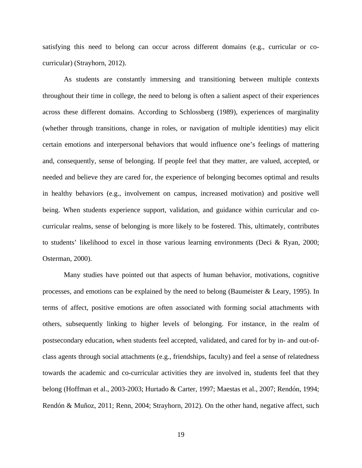satisfying this need to belong can occur across different domains (e.g., curricular or cocurricular) (Strayhorn, 2012).

As students are constantly immersing and transitioning between multiple contexts throughout their time in college, the need to belong is often a salient aspect of their experiences across these different domains. According to Schlossberg (1989), experiences of marginality (whether through transitions, change in roles, or navigation of multiple identities) may elicit certain emotions and interpersonal behaviors that would influence one's feelings of mattering and, consequently, sense of belonging. If people feel that they matter, are valued, accepted, or needed and believe they are cared for, the experience of belonging becomes optimal and results in healthy behaviors (e.g., involvement on campus, increased motivation) and positive well being. When students experience support, validation, and guidance within curricular and cocurricular realms, sense of belonging is more likely to be fostered. This, ultimately, contributes to students' likelihood to excel in those various learning environments (Deci & Ryan, 2000; Osterman, 2000).

Many studies have pointed out that aspects of human behavior, motivations, cognitive processes, and emotions can be explained by the need to belong (Baumeister & Leary, 1995). In terms of affect, positive emotions are often associated with forming social attachments with others, subsequently linking to higher levels of belonging. For instance, in the realm of postsecondary education, when students feel accepted, validated, and cared for by in- and out-ofclass agents through social attachments (e.g., friendships, faculty) and feel a sense of relatedness towards the academic and co-curricular activities they are involved in, students feel that they belong (Hoffman et al., 2003-2003; Hurtado & Carter, 1997; Maestas et al., 2007; Rendón, 1994; Rendón & Muñoz, 2011; Renn, 2004; Strayhorn, 2012). On the other hand, negative affect, such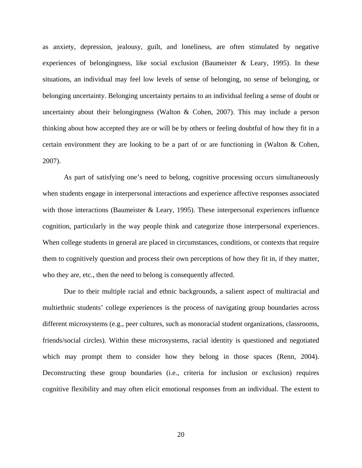as anxiety, depression, jealousy, guilt, and loneliness, are often stimulated by negative experiences of belongingness, like social exclusion (Baumeister & Leary, 1995). In these situations, an individual may feel low levels of sense of belonging, no sense of belonging, or belonging uncertainty. Belonging uncertainty pertains to an individual feeling a sense of doubt or uncertainty about their belongingness (Walton & Cohen, 2007). This may include a person thinking about how accepted they are or will be by others or feeling doubtful of how they fit in a certain environment they are looking to be a part of or are functioning in (Walton & Cohen, 2007).

As part of satisfying one's need to belong, cognitive processing occurs simultaneously when students engage in interpersonal interactions and experience affective responses associated with those interactions (Baumeister & Leary, 1995). These interpersonal experiences influence cognition, particularly in the way people think and categorize those interpersonal experiences. When college students in general are placed in circumstances, conditions, or contexts that require them to cognitively question and process their own perceptions of how they fit in, if they matter, who they are, etc., then the need to belong is consequently affected.

Due to their multiple racial and ethnic backgrounds, a salient aspect of multiracial and multiethnic students' college experiences is the process of navigating group boundaries across different microsystems (e.g., peer cultures, such as monoracial student organizations, classrooms, friends/social circles). Within these microsystems, racial identity is questioned and negotiated which may prompt them to consider how they belong in those spaces (Renn, 2004). Deconstructing these group boundaries (i.e., criteria for inclusion or exclusion) requires cognitive flexibility and may often elicit emotional responses from an individual. The extent to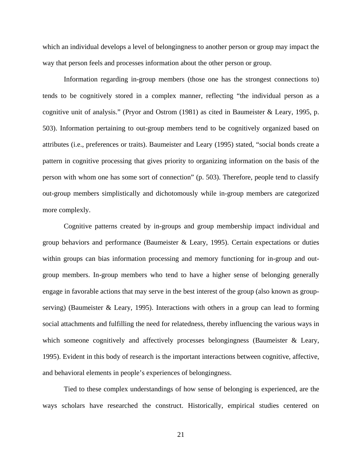which an individual develops a level of belongingness to another person or group may impact the way that person feels and processes information about the other person or group.

Information regarding in-group members (those one has the strongest connections to) tends to be cognitively stored in a complex manner, reflecting "the individual person as a cognitive unit of analysis." (Pryor and Ostrom (1981) as cited in Baumeister & Leary, 1995, p. 503). Information pertaining to out-group members tend to be cognitively organized based on attributes (i.e., preferences or traits). Baumeister and Leary (1995) stated, "social bonds create a pattern in cognitive processing that gives priority to organizing information on the basis of the person with whom one has some sort of connection" (p. 503). Therefore, people tend to classify out-group members simplistically and dichotomously while in-group members are categorized more complexly.

Cognitive patterns created by in-groups and group membership impact individual and group behaviors and performance (Baumeister & Leary, 1995). Certain expectations or duties within groups can bias information processing and memory functioning for in-group and outgroup members. In-group members who tend to have a higher sense of belonging generally engage in favorable actions that may serve in the best interest of the group (also known as groupserving) (Baumeister  $\&$  Leary, 1995). Interactions with others in a group can lead to forming social attachments and fulfilling the need for relatedness, thereby influencing the various ways in which someone cognitively and affectively processes belongingness (Baumeister  $\&$  Leary, 1995). Evident in this body of research is the important interactions between cognitive, affective, and behavioral elements in people's experiences of belongingness.

Tied to these complex understandings of how sense of belonging is experienced, are the ways scholars have researched the construct. Historically, empirical studies centered on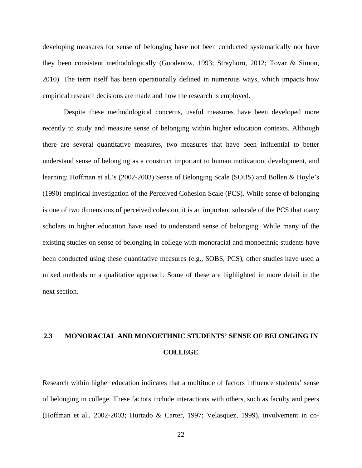developing measures for sense of belonging have not been conducted systematically nor have they been consistent methodologically (Goodenow, 1993; Strayhorn, 2012; Tovar & Simon, 2010). The term itself has been operationally defined in numerous ways, which impacts how empirical research decisions are made and how the research is employed.

Despite these methodological concerns, useful measures have been developed more recently to study and measure sense of belonging within higher education contexts. Although there are several quantitative measures, two measures that have been influential to better understand sense of belonging as a construct important to human motivation, development, and learning: Hoffman et al.'s (2002-2003) Sense of Belonging Scale (SOBS) and Bollen & Hoyle's (1990) empirical investigation of the Perceived Cohesion Scale (PCS). While sense of belonging is one of two dimensions of perceived cohesion, it is an important subscale of the PCS that many scholars in higher education have used to understand sense of belonging. While many of the existing studies on sense of belonging in college with monoracial and monoethnic students have been conducted using these quantitative measures (e.g., SOBS, PCS), other studies have used a mixed methods or a qualitative approach. Some of these are highlighted in more detail in the next section.

# <span id="page-35-0"></span>**2.3 MONORACIAL AND MONOETHNIC STUDENTS' SENSE OF BELONGING IN COLLEGE**

Research within higher education indicates that a multitude of factors influence students' sense of belonging in college. These factors include interactions with others, such as faculty and peers (Hoffman et al., 2002-2003; Hurtado & Carter, 1997; Velasquez, 1999), involvement in co-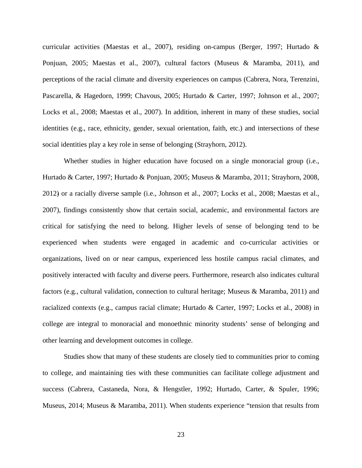curricular activities (Maestas et al., 2007), residing on-campus (Berger, 1997; Hurtado & Ponjuan, 2005; Maestas et al., 2007), cultural factors (Museus & Maramba, 2011), and perceptions of the racial climate and diversity experiences on campus (Cabrera, Nora, Terenzini, Pascarella, & Hagedorn, 1999; Chavous, 2005; Hurtado & Carter, 1997; Johnson et al., 2007; Locks et al., 2008; Maestas et al., 2007). In addition, inherent in many of these studies, social identities (e.g., race, ethnicity, gender, sexual orientation, faith, etc.) and intersections of these social identities play a key role in sense of belonging (Strayhorn, 2012).

Whether studies in higher education have focused on a single monoracial group (i.e., Hurtado & Carter, 1997; Hurtado & Ponjuan, 2005; Museus & Maramba, 2011; Strayhorn, 2008, 2012) or a racially diverse sample (i.e., Johnson et al., 2007; Locks et al., 2008; Maestas et al., 2007), findings consistently show that certain social, academic, and environmental factors are critical for satisfying the need to belong. Higher levels of sense of belonging tend to be experienced when students were engaged in academic and co-curricular activities or organizations, lived on or near campus, experienced less hostile campus racial climates, and positively interacted with faculty and diverse peers. Furthermore, research also indicates cultural factors (e.g., cultural validation, connection to cultural heritage; Museus & Maramba, 2011) and racialized contexts (e.g., campus racial climate; Hurtado & Carter, 1997; Locks et al., 2008) in college are integral to monoracial and monoethnic minority students' sense of belonging and other learning and development outcomes in college.

Studies show that many of these students are closely tied to communities prior to coming to college, and maintaining ties with these communities can facilitate college adjustment and success (Cabrera, Castaneda, Nora, & Hengstler, 1992; Hurtado, Carter, & Spuler, 1996; Museus, 2014; Museus & Maramba, 2011). When students experience "tension that results from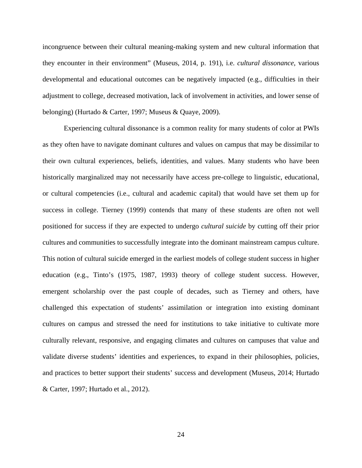incongruence between their cultural meaning-making system and new cultural information that they encounter in their environment" (Museus, 2014, p. 191), i.e. *cultural dissonance*, various developmental and educational outcomes can be negatively impacted (e.g., difficulties in their adjustment to college, decreased motivation, lack of involvement in activities, and lower sense of belonging) (Hurtado & Carter, 1997; Museus & Quaye, 2009).

Experiencing cultural dissonance is a common reality for many students of color at PWIs as they often have to navigate dominant cultures and values on campus that may be dissimilar to their own cultural experiences, beliefs, identities, and values. Many students who have been historically marginalized may not necessarily have access pre-college to linguistic, educational, or cultural competencies (i.e., cultural and academic capital) that would have set them up for success in college. Tierney (1999) contends that many of these students are often not well positioned for success if they are expected to undergo *cultural suicide* by cutting off their prior cultures and communities to successfully integrate into the dominant mainstream campus culture. This notion of cultural suicide emerged in the earliest models of college student success in higher education (e.g., Tinto's (1975, 1987, 1993) theory of college student success. However, emergent scholarship over the past couple of decades, such as Tierney and others, have challenged this expectation of students' assimilation or integration into existing dominant cultures on campus and stressed the need for institutions to take initiative to cultivate more culturally relevant, responsive, and engaging climates and cultures on campuses that value and validate diverse students' identities and experiences, to expand in their philosophies, policies, and practices to better support their students' success and development (Museus, 2014; Hurtado & Carter, 1997; Hurtado et al., 2012).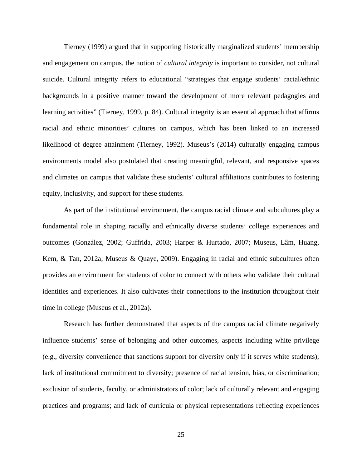Tierney (1999) argued that in supporting historically marginalized students' membership and engagement on campus, the notion of *cultural integrity* is important to consider, not cultural suicide. Cultural integrity refers to educational "strategies that engage students' racial/ethnic backgrounds in a positive manner toward the development of more relevant pedagogies and learning activities" (Tierney, 1999, p. 84). Cultural integrity is an essential approach that affirms racial and ethnic minorities' cultures on campus, which has been linked to an increased likelihood of degree attainment (Tierney, 1992). Museus's (2014) culturally engaging campus environments model also postulated that creating meaningful, relevant, and responsive spaces and climates on campus that validate these students' cultural affiliations contributes to fostering equity, inclusivity, and support for these students.

As part of the institutional environment, the campus racial climate and subcultures play a fundamental role in shaping racially and ethnically diverse students' college experiences and outcomes (González, 2002; Guffrida, 2003; Harper & Hurtado, 2007; Museus, Lâm, Huang, Kem, & Tan, 2012a; Museus & Quaye, 2009). Engaging in racial and ethnic subcultures often provides an environment for students of color to connect with others who validate their cultural identities and experiences. It also cultivates their connections to the institution throughout their time in college (Museus et al., 2012a).

Research has further demonstrated that aspects of the campus racial climate negatively influence students' sense of belonging and other outcomes, aspects including white privilege (e.g., diversity convenience that sanctions support for diversity only if it serves white students); lack of institutional commitment to diversity; presence of racial tension, bias, or discrimination; exclusion of students, faculty, or administrators of color; lack of culturally relevant and engaging practices and programs; and lack of curricula or physical representations reflecting experiences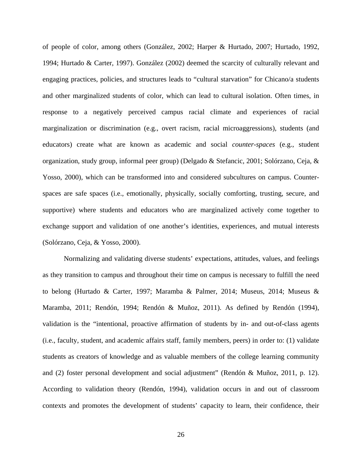of people of color, among others (González, 2002; Harper & Hurtado, 2007; Hurtado, 1992, 1994; Hurtado & Carter, 1997). González (2002) deemed the scarcity of culturally relevant and engaging practices, policies, and structures leads to "cultural starvation" for Chicano/a students and other marginalized students of color, which can lead to cultural isolation. Often times, in response to a negatively perceived campus racial climate and experiences of racial marginalization or discrimination (e.g., overt racism, racial microaggressions), students (and educators) create what are known as academic and social *counter-spaces* (e.g., student organization, study group, informal peer group) (Delgado & Stefancic, 2001; Solórzano, Ceja, & Yosso, 2000), which can be transformed into and considered subcultures on campus. Counterspaces are safe spaces (i.e., emotionally, physically, socially comforting, trusting, secure, and supportive) where students and educators who are marginalized actively come together to exchange support and validation of one another's identities, experiences, and mutual interests (Solórzano, Ceja, & Yosso, 2000).

Normalizing and validating diverse students' expectations, attitudes, values, and feelings as they transition to campus and throughout their time on campus is necessary to fulfill the need to belong (Hurtado & Carter, 1997; Maramba & Palmer, 2014; Museus, 2014; Museus & Maramba, 2011; Rendón, 1994; Rendón & Muñoz, 2011). As defined by Rendón (1994), validation is the "intentional, proactive affirmation of students by in- and out-of-class agents (i.e., faculty, student, and academic affairs staff, family members, peers) in order to: (1) validate students as creators of knowledge and as valuable members of the college learning community and (2) foster personal development and social adjustment" (Rendón & Muñoz, 2011, p. 12). According to validation theory (Rendón, 1994), validation occurs in and out of classroom contexts and promotes the development of students' capacity to learn, their confidence, their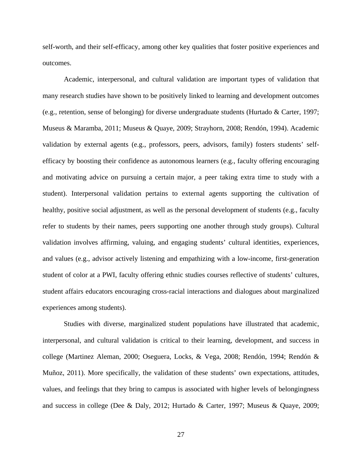self-worth, and their self-efficacy, among other key qualities that foster positive experiences and outcomes.

Academic, interpersonal, and cultural validation are important types of validation that many research studies have shown to be positively linked to learning and development outcomes (e.g., retention, sense of belonging) for diverse undergraduate students (Hurtado & Carter, 1997; Museus & Maramba, 2011; Museus & Quaye, 2009; Strayhorn, 2008; Rendón, 1994). Academic validation by external agents (e.g., professors, peers, advisors, family) fosters students' selfefficacy by boosting their confidence as autonomous learners (e.g., faculty offering encouraging and motivating advice on pursuing a certain major, a peer taking extra time to study with a student). Interpersonal validation pertains to external agents supporting the cultivation of healthy, positive social adjustment, as well as the personal development of students (e.g., faculty refer to students by their names, peers supporting one another through study groups). Cultural validation involves affirming, valuing, and engaging students' cultural identities, experiences, and values (e.g., advisor actively listening and empathizing with a low-income, first-generation student of color at a PWI, faculty offering ethnic studies courses reflective of students' cultures, student affairs educators encouraging cross-racial interactions and dialogues about marginalized experiences among students).

Studies with diverse, marginalized student populations have illustrated that academic, interpersonal, and cultural validation is critical to their learning, development, and success in college (Martinez Aleman, 2000; Oseguera, Locks, & Vega, 2008; Rendón, 1994; Rendón & Muñoz, 2011). More specifically, the validation of these students' own expectations, attitudes, values, and feelings that they bring to campus is associated with higher levels of belongingness and success in college (Dee & Daly, 2012; Hurtado & Carter, 1997; Museus & Quaye, 2009;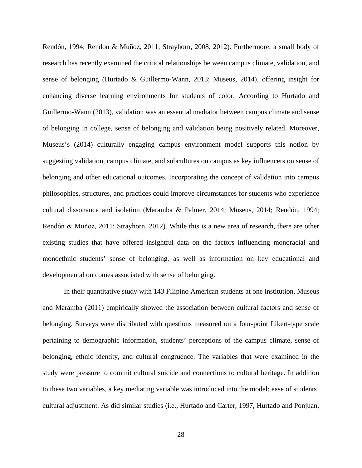Rendón, 1994; Rendon & Muñoz, 2011; Strayhorn, 2008, 2012). Furthermore, a small body of research has recently examined the critical relationships between campus climate, validation, and sense of belonging (Hurtado & Guillermo-Wann, 2013; Museus, 2014), offering insight for enhancing diverse learning environments for students of color. According to Hurtado and Guillermo-Wann (2013), validation was an essential mediator between campus climate and sense of belonging in college, sense of belonging and validation being positively related. Moreover, Museus's (2014) culturally engaging campus environment model supports this notion by suggesting validation, campus climate, and subcultures on campus as key influencers on sense of belonging and other educational outcomes. Incorporating the concept of validation into campus philosophies, structures, and practices could improve circumstances for students who experience cultural dissonance and isolation (Maramba & Palmer, 2014; Museus, 2014; Rendón, 1994; Rendón & Muñoz, 2011; Strayhorn, 2012). While this is a new area of research, there are other existing studies that have offered insightful data on the factors influencing monoracial and monoethnic students' sense of belonging, as well as information on key educational and developmental outcomes associated with sense of belonging.

In their quantitative study with 143 Filipino American students at one institution, Museus and Maramba (2011) empirically showed the association between cultural factors and sense of belonging. Surveys were distributed with questions measured on a four-point Likert-type scale pertaining to demographic information, students' perceptions of the campus climate, sense of belonging, ethnic identity, and cultural congruence. The variables that were examined in the study were pressure to commit cultural suicide and connections to cultural heritage. In addition to these two variables, a key mediating variable was introduced into the model: ease of students' cultural adjustment. As did similar studies (i.e., Hurtado and Carter, 1997, Hurtado and Ponjuan,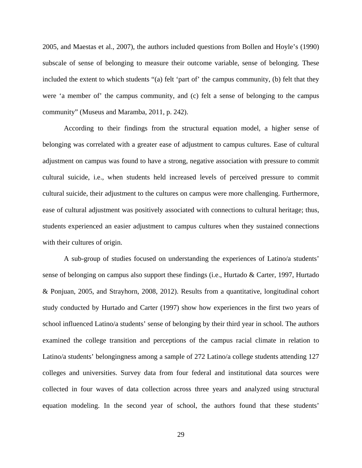2005, and Maestas et al., 2007), the authors included questions from Bollen and Hoyle's (1990) subscale of sense of belonging to measure their outcome variable, sense of belonging. These included the extent to which students "(a) felt 'part of' the campus community, (b) felt that they were 'a member of' the campus community, and (c) felt a sense of belonging to the campus community" (Museus and Maramba, 2011, p. 242).

According to their findings from the structural equation model, a higher sense of belonging was correlated with a greater ease of adjustment to campus cultures. Ease of cultural adjustment on campus was found to have a strong, negative association with pressure to commit cultural suicide, i.e., when students held increased levels of perceived pressure to commit cultural suicide, their adjustment to the cultures on campus were more challenging. Furthermore, ease of cultural adjustment was positively associated with connections to cultural heritage; thus, students experienced an easier adjustment to campus cultures when they sustained connections with their cultures of origin.

A sub-group of studies focused on understanding the experiences of Latino/a students' sense of belonging on campus also support these findings (i.e., Hurtado & Carter, 1997, Hurtado & Ponjuan, 2005, and Strayhorn, 2008, 2012). Results from a quantitative, longitudinal cohort study conducted by Hurtado and Carter (1997) show how experiences in the first two years of school influenced Latino/a students' sense of belonging by their third year in school. The authors examined the college transition and perceptions of the campus racial climate in relation to Latino/a students' belongingness among a sample of 272 Latino/a college students attending 127 colleges and universities. Survey data from four federal and institutional data sources were collected in four waves of data collection across three years and analyzed using structural equation modeling. In the second year of school, the authors found that these students'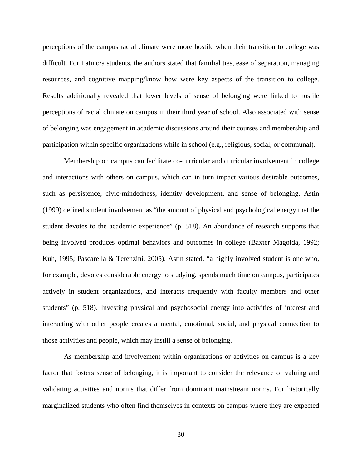perceptions of the campus racial climate were more hostile when their transition to college was difficult. For Latino/a students, the authors stated that familial ties, ease of separation, managing resources, and cognitive mapping/know how were key aspects of the transition to college. Results additionally revealed that lower levels of sense of belonging were linked to hostile perceptions of racial climate on campus in their third year of school. Also associated with sense of belonging was engagement in academic discussions around their courses and membership and participation within specific organizations while in school (e.g., religious, social, or communal).

Membership on campus can facilitate co-curricular and curricular involvement in college and interactions with others on campus, which can in turn impact various desirable outcomes, such as persistence, civic-mindedness, identity development, and sense of belonging. Astin (1999) defined student involvement as "the amount of physical and psychological energy that the student devotes to the academic experience" (p. 518). An abundance of research supports that being involved produces optimal behaviors and outcomes in college (Baxter Magolda, 1992; Kuh, 1995; Pascarella & Terenzini, 2005). Astin stated, "a highly involved student is one who, for example, devotes considerable energy to studying, spends much time on campus, participates actively in student organizations, and interacts frequently with faculty members and other students" (p. 518). Investing physical and psychosocial energy into activities of interest and interacting with other people creates a mental, emotional, social, and physical connection to those activities and people, which may instill a sense of belonging.

As membership and involvement within organizations or activities on campus is a key factor that fosters sense of belonging, it is important to consider the relevance of valuing and validating activities and norms that differ from dominant mainstream norms. For historically marginalized students who often find themselves in contexts on campus where they are expected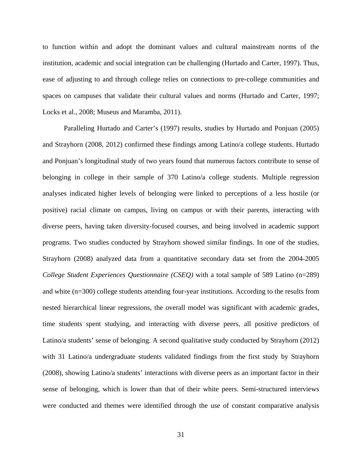to function within and adopt the dominant values and cultural mainstream norms of the institution, academic and social integration can be challenging (Hurtado and Carter, 1997). Thus, ease of adjusting to and through college relies on connections to pre-college communities and spaces on campuses that validate their cultural values and norms (Hurtado and Carter, 1997; Locks et al., 2008; Museus and Maramba, 2011).

Paralleling Hurtado and Carter's (1997) results, studies by Hurtado and Ponjuan (2005) and Strayhorn (2008, 2012) confirmed these findings among Latino/a college students. Hurtado and Ponjuan's longitudinal study of two years found that numerous factors contribute to sense of belonging in college in their sample of 370 Latino/a college students. Multiple regression analyses indicated higher levels of belonging were linked to perceptions of a less hostile (or positive) racial climate on campus, living on campus or with their parents, interacting with diverse peers, having taken diversity-focused courses, and being involved in academic support programs. Two studies conducted by Strayhorn showed similar findings. In one of the studies, Strayhorn (2008) analyzed data from a quantitative secondary data set from the 2004-2005 *College Student Experiences Questionnaire (CSEQ)* with a total sample of 589 Latino (n=289) and white (n=300) college students attending four-year institutions. According to the results from nested hierarchical linear regressions, the overall model was significant with academic grades, time students spent studying, and interacting with diverse peers, all positive predictors of Latino/a students' sense of belonging. A second qualitative study conducted by Strayhorn (2012) with 31 Latino/a undergraduate students validated findings from the first study by Strayhorn (2008), showing Latino/a students' interactions with diverse peers as an important factor in their sense of belonging, which is lower than that of their white peers. Semi-structured interviews were conducted and themes were identified through the use of constant comparative analysis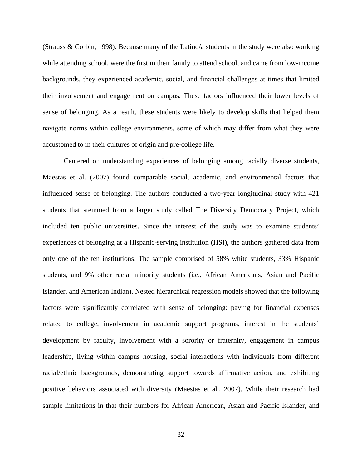(Strauss & Corbin, 1998). Because many of the Latino/a students in the study were also working while attending school, were the first in their family to attend school, and came from low-income backgrounds, they experienced academic, social, and financial challenges at times that limited their involvement and engagement on campus. These factors influenced their lower levels of sense of belonging. As a result, these students were likely to develop skills that helped them navigate norms within college environments, some of which may differ from what they were accustomed to in their cultures of origin and pre-college life.

Centered on understanding experiences of belonging among racially diverse students, Maestas et al. (2007) found comparable social, academic, and environmental factors that influenced sense of belonging. The authors conducted a two-year longitudinal study with 421 students that stemmed from a larger study called The Diversity Democracy Project, which included ten public universities. Since the interest of the study was to examine students' experiences of belonging at a Hispanic-serving institution (HSI), the authors gathered data from only one of the ten institutions. The sample comprised of 58% white students, 33% Hispanic students, and 9% other racial minority students (i.e., African Americans, Asian and Pacific Islander, and American Indian). Nested hierarchical regression models showed that the following factors were significantly correlated with sense of belonging: paying for financial expenses related to college, involvement in academic support programs, interest in the students' development by faculty, involvement with a sorority or fraternity, engagement in campus leadership, living within campus housing, social interactions with individuals from different racial/ethnic backgrounds, demonstrating support towards affirmative action, and exhibiting positive behaviors associated with diversity (Maestas et al., 2007). While their research had sample limitations in that their numbers for African American, Asian and Pacific Islander, and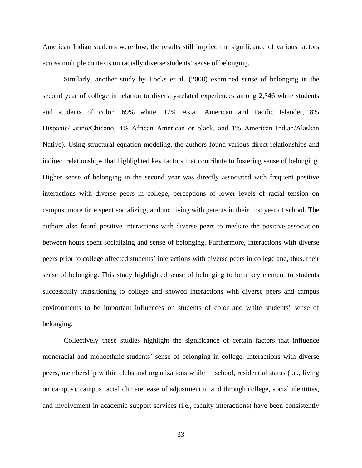American Indian students were low, the results still implied the significance of various factors across multiple contexts on racially diverse students' sense of belonging.

Similarly, another study by Locks et al. (2008) examined sense of belonging in the second year of college in relation to diversity-related experiences among 2,346 white students and students of color (69% white, 17% Asian American and Pacific Islander, 8% Hispanic/Latino/Chicano, 4% African American or black, and 1% American Indian/Alaskan Native). Using structural equation modeling, the authors found various direct relationships and indirect relationships that highlighted key factors that contribute to fostering sense of belonging. Higher sense of belonging in the second year was directly associated with frequent positive interactions with diverse peers in college, perceptions of lower levels of racial tension on campus, more time spent socializing, and not living with parents in their first year of school. The authors also found positive interactions with diverse peers to mediate the positive association between hours spent socializing and sense of belonging. Furthermore, interactions with diverse peers prior to college affected students' interactions with diverse peers in college and, thus, their sense of belonging. This study highlighted sense of belonging to be a key element to students successfully transitioning to college and showed interactions with diverse peers and campus environments to be important influences on students of color and white students' sense of belonging.

Collectively these studies highlight the significance of certain factors that influence monoracial and monoethnic students' sense of belonging in college. Interactions with diverse peers, membership within clubs and organizations while in school, residential status (i.e., living on campus), campus racial climate, ease of adjustment to and through college, social identities, and involvement in academic support services (i.e., faculty interactions) have been consistently

33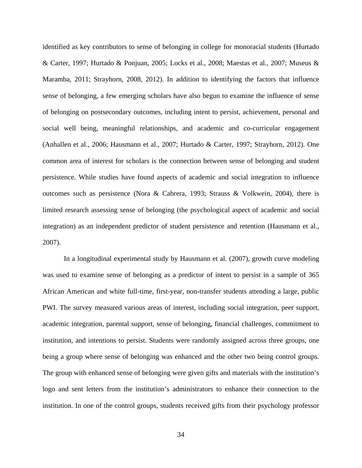identified as key contributors to sense of belonging in college for monoracial students (Hurtado & Carter, 1997; Hurtado & Ponjuan, 2005; Locks et al., 2008; Maestas et al., 2007; Museus & Maramba, 2011; Strayhorn, 2008, 2012). In addition to identifying the factors that influence sense of belonging, a few emerging scholars have also begun to examine the influence of sense of belonging on postsecondary outcomes, including intent to persist, achievement, personal and social well being, meaningful relationships, and academic and co-curricular engagement (Anhallen et al., 2006; Hausmann et al., 2007; Hurtado & Carter, 1997; Strayhorn, 2012). One common area of interest for scholars is the connection between sense of belonging and student persistence. While studies have found aspects of academic and social integration to influence outcomes such as persistence (Nora & Cabrera, 1993; Strauss & Volkwein, 2004), there is limited research assessing sense of belonging (the psychological aspect of academic and social integration) as an independent predictor of student persistence and retention (Hausmann et al., 2007).

In a longitudinal experimental study by Hausmann et al. (2007), growth curve modeling was used to examine sense of belonging as a predictor of intent to persist in a sample of 365 African American and white full-time, first-year, non-transfer students attending a large, public PWI. The survey measured various areas of interest, including social integration, peer support, academic integration, parental support, sense of belonging, financial challenges, commitment to institution, and intentions to persist. Students were randomly assigned across three groups, one being a group where sense of belonging was enhanced and the other two being control groups. The group with enhanced sense of belonging were given gifts and materials with the institution's logo and sent letters from the institution's administrators to enhance their connection to the institution. In one of the control groups, students received gifts from their psychology professor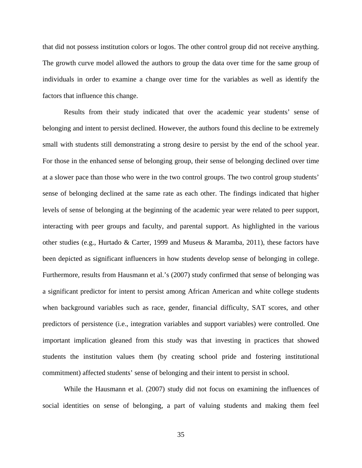that did not possess institution colors or logos. The other control group did not receive anything. The growth curve model allowed the authors to group the data over time for the same group of individuals in order to examine a change over time for the variables as well as identify the factors that influence this change.

Results from their study indicated that over the academic year students' sense of belonging and intent to persist declined. However, the authors found this decline to be extremely small with students still demonstrating a strong desire to persist by the end of the school year. For those in the enhanced sense of belonging group, their sense of belonging declined over time at a slower pace than those who were in the two control groups. The two control group students' sense of belonging declined at the same rate as each other. The findings indicated that higher levels of sense of belonging at the beginning of the academic year were related to peer support, interacting with peer groups and faculty, and parental support. As highlighted in the various other studies (e.g., Hurtado & Carter, 1999 and Museus & Maramba, 2011), these factors have been depicted as significant influencers in how students develop sense of belonging in college. Furthermore, results from Hausmann et al.'s (2007) study confirmed that sense of belonging was a significant predictor for intent to persist among African American and white college students when background variables such as race, gender, financial difficulty, SAT scores, and other predictors of persistence (i.e., integration variables and support variables) were controlled. One important implication gleaned from this study was that investing in practices that showed students the institution values them (by creating school pride and fostering institutional commitment) affected students' sense of belonging and their intent to persist in school.

While the Hausmann et al. (2007) study did not focus on examining the influences of social identities on sense of belonging, a part of valuing students and making them feel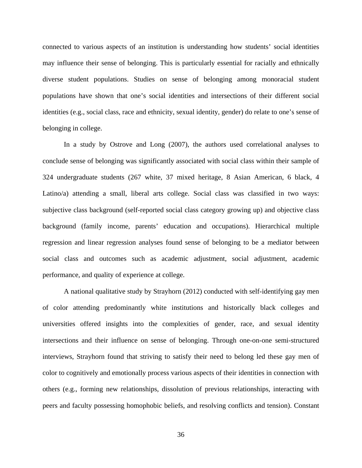connected to various aspects of an institution is understanding how students' social identities may influence their sense of belonging. This is particularly essential for racially and ethnically diverse student populations. Studies on sense of belonging among monoracial student populations have shown that one's social identities and intersections of their different social identities (e.g., social class, race and ethnicity, sexual identity, gender) do relate to one's sense of belonging in college.

In a study by Ostrove and Long (2007), the authors used correlational analyses to conclude sense of belonging was significantly associated with social class within their sample of 324 undergraduate students (267 white, 37 mixed heritage, 8 Asian American, 6 black, 4 Latino/a) attending a small, liberal arts college. Social class was classified in two ways: subjective class background (self-reported social class category growing up) and objective class background (family income, parents' education and occupations). Hierarchical multiple regression and linear regression analyses found sense of belonging to be a mediator between social class and outcomes such as academic adjustment, social adjustment, academic performance, and quality of experience at college.

A national qualitative study by Strayhorn (2012) conducted with self-identifying gay men of color attending predominantly white institutions and historically black colleges and universities offered insights into the complexities of gender, race, and sexual identity intersections and their influence on sense of belonging. Through one-on-one semi-structured interviews, Strayhorn found that striving to satisfy their need to belong led these gay men of color to cognitively and emotionally process various aspects of their identities in connection with others (e.g., forming new relationships, dissolution of previous relationships, interacting with peers and faculty possessing homophobic beliefs, and resolving conflicts and tension). Constant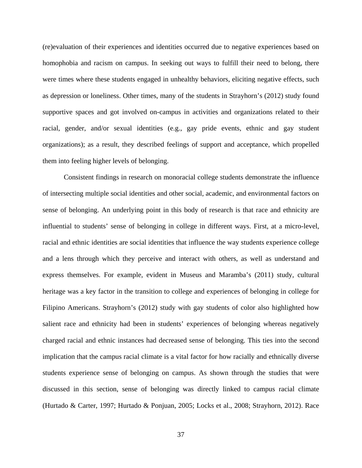(re)evaluation of their experiences and identities occurred due to negative experiences based on homophobia and racism on campus. In seeking out ways to fulfill their need to belong, there were times where these students engaged in unhealthy behaviors, eliciting negative effects, such as depression or loneliness. Other times, many of the students in Strayhorn's (2012) study found supportive spaces and got involved on-campus in activities and organizations related to their racial, gender, and/or sexual identities (e.g., gay pride events, ethnic and gay student organizations); as a result, they described feelings of support and acceptance, which propelled them into feeling higher levels of belonging.

Consistent findings in research on monoracial college students demonstrate the influence of intersecting multiple social identities and other social, academic, and environmental factors on sense of belonging. An underlying point in this body of research is that race and ethnicity are influential to students' sense of belonging in college in different ways. First, at a micro-level, racial and ethnic identities are social identities that influence the way students experience college and a lens through which they perceive and interact with others, as well as understand and express themselves. For example, evident in Museus and Maramba's (2011) study, cultural heritage was a key factor in the transition to college and experiences of belonging in college for Filipino Americans. Strayhorn's (2012) study with gay students of color also highlighted how salient race and ethnicity had been in students' experiences of belonging whereas negatively charged racial and ethnic instances had decreased sense of belonging. This ties into the second implication that the campus racial climate is a vital factor for how racially and ethnically diverse students experience sense of belonging on campus. As shown through the studies that were discussed in this section, sense of belonging was directly linked to campus racial climate (Hurtado & Carter, 1997; Hurtado & Ponjuan, 2005; Locks et al., 2008; Strayhorn, 2012). Race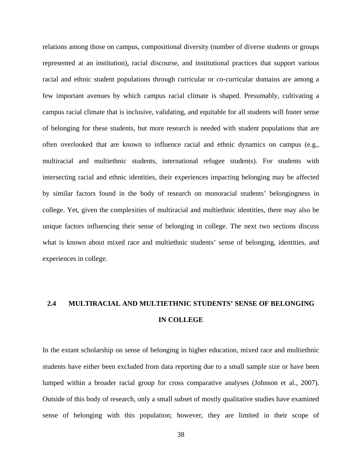relations among those on campus, compositional diversity (number of diverse students or groups represented at an institution), racial discourse, and institutional practices that support various racial and ethnic student populations through curricular or co-curricular domains are among a few important avenues by which campus racial climate is shaped. Presumably, cultivating a campus racial climate that is inclusive, validating, and equitable for all students will foster sense of belonging for these students, but more research is needed with student populations that are often overlooked that are known to influence racial and ethnic dynamics on campus (e.g., multiracial and multiethnic students, international refugee students). For students with intersecting racial and ethnic identities, their experiences impacting belonging may be affected by similar factors found in the body of research on monoracial students' belongingness in college. Yet, given the complexities of multiracial and multiethnic identities, there may also be unique factors influencing their sense of belonging in college. The next two sections discuss what is known about mixed race and multiethnic students' sense of belonging, identities, and experiences in college.

## **2.4 MULTIRACIAL AND MULTIETHNIC STUDENTS' SENSE OF BELONGING IN COLLEGE**

In the extant scholarship on sense of belonging in higher education, mixed race and multiethnic students have either been excluded from data reporting due to a small sample size or have been lumped within a broader racial group for cross comparative analyses (Johnson et al., 2007). Outside of this body of research, only a small subset of mostly qualitative studies have examined sense of belonging with this population; however, they are limited in their scope of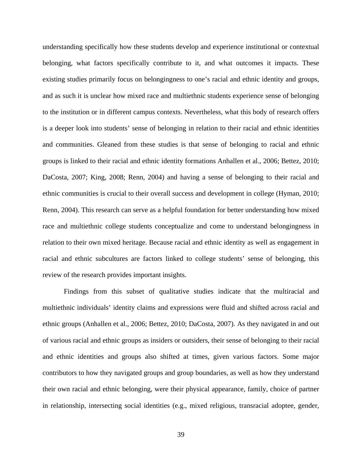understanding specifically how these students develop and experience institutional or contextual belonging, what factors specifically contribute to it, and what outcomes it impacts. These existing studies primarily focus on belongingness to one's racial and ethnic identity and groups, and as such it is unclear how mixed race and multiethnic students experience sense of belonging to the institution or in different campus contexts. Nevertheless, what this body of research offers is a deeper look into students' sense of belonging in relation to their racial and ethnic identities and communities. Gleaned from these studies is that sense of belonging to racial and ethnic groups is linked to their racial and ethnic identity formations Anhallen et al., 2006; Bettez, 2010; DaCosta, 2007; King, 2008; Renn, 2004) and having a sense of belonging to their racial and ethnic communities is crucial to their overall success and development in college (Hyman, 2010; Renn, 2004). This research can serve as a helpful foundation for better understanding how mixed race and multiethnic college students conceptualize and come to understand belongingness in relation to their own mixed heritage. Because racial and ethnic identity as well as engagement in racial and ethnic subcultures are factors linked to college students' sense of belonging, this review of the research provides important insights.

Findings from this subset of qualitative studies indicate that the multiracial and multiethnic individuals' identity claims and expressions were fluid and shifted across racial and ethnic groups (Anhallen et al., 2006; Bettez, 2010; DaCosta, 2007). As they navigated in and out of various racial and ethnic groups as insiders or outsiders, their sense of belonging to their racial and ethnic identities and groups also shifted at times, given various factors. Some major contributors to how they navigated groups and group boundaries, as well as how they understand their own racial and ethnic belonging, were their physical appearance, family, choice of partner in relationship, intersecting social identities (e.g., mixed religious, transracial adoptee, gender,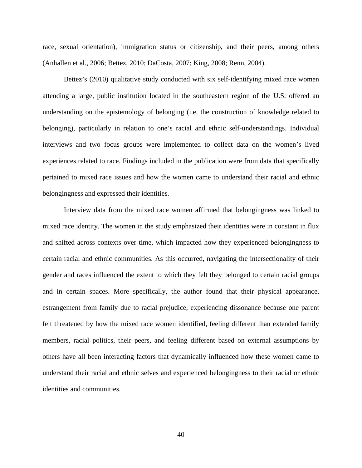race, sexual orientation), immigration status or citizenship, and their peers, among others (Anhallen et al., 2006; Bettez, 2010; DaCosta, 2007; King, 2008; Renn, 2004).

Bettez's (2010) qualitative study conducted with six self-identifying mixed race women attending a large, public institution located in the southeastern region of the U.S. offered an understanding on the epistemology of belonging (i.e. the construction of knowledge related to belonging), particularly in relation to one's racial and ethnic self-understandings. Individual interviews and two focus groups were implemented to collect data on the women's lived experiences related to race. Findings included in the publication were from data that specifically pertained to mixed race issues and how the women came to understand their racial and ethnic belongingness and expressed their identities.

Interview data from the mixed race women affirmed that belongingness was linked to mixed race identity. The women in the study emphasized their identities were in constant in flux and shifted across contexts over time, which impacted how they experienced belongingness to certain racial and ethnic communities. As this occurred, navigating the intersectionality of their gender and races influenced the extent to which they felt they belonged to certain racial groups and in certain spaces. More specifically, the author found that their physical appearance, estrangement from family due to racial prejudice, experiencing dissonance because one parent felt threatened by how the mixed race women identified, feeling different than extended family members, racial politics, their peers, and feeling different based on external assumptions by others have all been interacting factors that dynamically influenced how these women came to understand their racial and ethnic selves and experienced belongingness to their racial or ethnic identities and communities.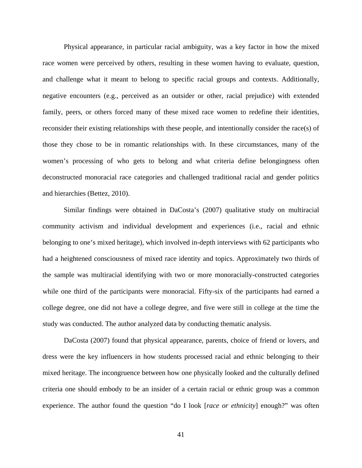Physical appearance, in particular racial ambiguity, was a key factor in how the mixed race women were perceived by others, resulting in these women having to evaluate, question, and challenge what it meant to belong to specific racial groups and contexts. Additionally, negative encounters (e.g., perceived as an outsider or other, racial prejudice) with extended family, peers, or others forced many of these mixed race women to redefine their identities, reconsider their existing relationships with these people, and intentionally consider the race(s) of those they chose to be in romantic relationships with. In these circumstances, many of the women's processing of who gets to belong and what criteria define belongingness often deconstructed monoracial race categories and challenged traditional racial and gender politics and hierarchies (Bettez, 2010).

Similar findings were obtained in DaCosta's (2007) qualitative study on multiracial community activism and individual development and experiences (i.e., racial and ethnic belonging to one's mixed heritage), which involved in-depth interviews with 62 participants who had a heightened consciousness of mixed race identity and topics. Approximately two thirds of the sample was multiracial identifying with two or more monoracially-constructed categories while one third of the participants were monoracial. Fifty-six of the participants had earned a college degree, one did not have a college degree, and five were still in college at the time the study was conducted. The author analyzed data by conducting thematic analysis.

DaCosta (2007) found that physical appearance, parents, choice of friend or lovers, and dress were the key influencers in how students processed racial and ethnic belonging to their mixed heritage. The incongruence between how one physically looked and the culturally defined criteria one should embody to be an insider of a certain racial or ethnic group was a common experience. The author found the question "do I look [*race or ethnicity*] enough?" was often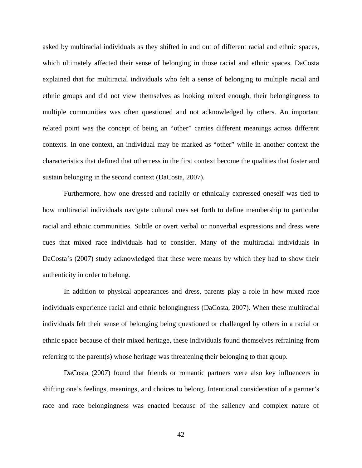asked by multiracial individuals as they shifted in and out of different racial and ethnic spaces, which ultimately affected their sense of belonging in those racial and ethnic spaces. DaCosta explained that for multiracial individuals who felt a sense of belonging to multiple racial and ethnic groups and did not view themselves as looking mixed enough, their belongingness to multiple communities was often questioned and not acknowledged by others. An important related point was the concept of being an "other" carries different meanings across different contexts. In one context, an individual may be marked as "other" while in another context the characteristics that defined that otherness in the first context become the qualities that foster and sustain belonging in the second context (DaCosta, 2007).

Furthermore, how one dressed and racially or ethnically expressed oneself was tied to how multiracial individuals navigate cultural cues set forth to define membership to particular racial and ethnic communities. Subtle or overt verbal or nonverbal expressions and dress were cues that mixed race individuals had to consider. Many of the multiracial individuals in DaCosta's (2007) study acknowledged that these were means by which they had to show their authenticity in order to belong.

In addition to physical appearances and dress, parents play a role in how mixed race individuals experience racial and ethnic belongingness (DaCosta, 2007). When these multiracial individuals felt their sense of belonging being questioned or challenged by others in a racial or ethnic space because of their mixed heritage, these individuals found themselves refraining from referring to the parent(s) whose heritage was threatening their belonging to that group.

DaCosta (2007) found that friends or romantic partners were also key influencers in shifting one's feelings, meanings, and choices to belong. Intentional consideration of a partner's race and race belongingness was enacted because of the saliency and complex nature of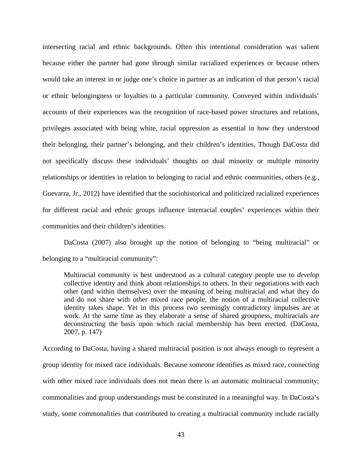intersecting racial and ethnic backgrounds. Often this intentional consideration was salient because either the partner had gone through similar racialized experiences or because others would take an interest in or judge one's choice in partner as an indication of that person's racial or ethnic belongingness or loyalties to a particular community. Conveyed within individuals' accounts of their experiences was the recognition of race-based power structures and relations, privileges associated with being white, racial oppression as essential in how they understood their belonging, their partner's belonging, and their children's identities. Though DaCosta did not specifically discuss these individuals' thoughts on dual minority or multiple minority relationships or identities in relation to belonging to racial and ethnic communities, others (e.g., Guevarra, Jr., 2012) have identified that the sociohistorical and politicized racialized experiences for different racial and ethnic groups influence interracial couples' experiences within their communities and their children's identities.

DaCosta (2007) also brought up the notion of belonging to "being multiracial" or belonging to a "multiracial community":

Multiracial community is best understood as a cultural category people use to *develop* collective identity and think about relationships to others. In their negotiations with each other (and within themselves) over the meaning of being multiracial and what they do and do not share with other mixed race people, the notion of a multiracial collective identity takes shape. Yet in this process two seemingly contradictory impulses are at work. At the same time as they elaborate a sense of shared groupness, multiracials are deconstructing the basis upon which racial membership has been erected. (DaCosta, 2007, p. 147)

According to DaCosta, having a shared multiracial position is not always enough to represent a group identity for mixed race individuals. Because someone identifies as mixed race, connecting with other mixed race individuals does not mean there is an automatic multiracial community; commonalities and group understandings must be constituted in a meaningful way. In DaCosta's study, some commonalities that contributed to creating a multiracial community include racially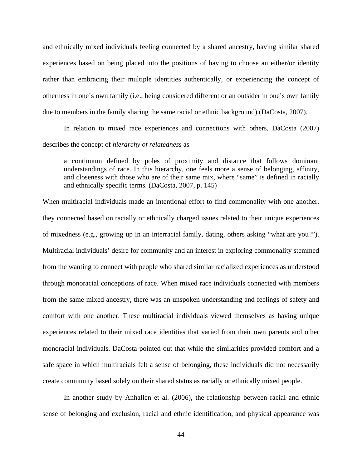and ethnically mixed individuals feeling connected by a shared ancestry, having similar shared experiences based on being placed into the positions of having to choose an either/or identity rather than embracing their multiple identities authentically, or experiencing the concept of otherness in one's own family (i.e., being considered different or an outsider in one's own family due to members in the family sharing the same racial or ethnic background) (DaCosta, 2007).

In relation to mixed race experiences and connections with others, DaCosta (2007) describes the concept of *hierarchy of relatedness* as

a continuum defined by poles of proximity and distance that follows dominant understandings of race. In this hierarchy, one feels more a sense of belonging, affinity, and closeness with those who are of their same mix, where "same" is defined in racially and ethnically specific terms. (DaCosta, 2007, p. 145)

When multiracial individuals made an intentional effort to find commonality with one another, they connected based on racially or ethnically charged issues related to their unique experiences of mixedness (e.g., growing up in an interracial family, dating, others asking "what are you?"). Multiracial individuals' desire for community and an interest in exploring commonality stemmed from the wanting to connect with people who shared similar racialized experiences as understood through monoracial conceptions of race. When mixed race individuals connected with members from the same mixed ancestry, there was an unspoken understanding and feelings of safety and comfort with one another. These multiracial individuals viewed themselves as having unique experiences related to their mixed race identities that varied from their own parents and other monoracial individuals. DaCosta pointed out that while the similarities provided comfort and a safe space in which multiracials felt a sense of belonging, these individuals did not necessarily create community based solely on their shared status as racially or ethnically mixed people.

In another study by Anhallen et al. (2006), the relationship between racial and ethnic sense of belonging and exclusion, racial and ethnic identification, and physical appearance was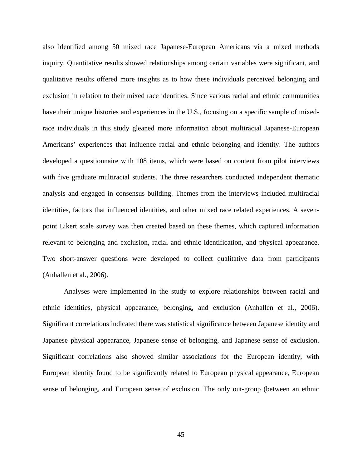also identified among 50 mixed race Japanese-European Americans via a mixed methods inquiry. Quantitative results showed relationships among certain variables were significant, and qualitative results offered more insights as to how these individuals perceived belonging and exclusion in relation to their mixed race identities. Since various racial and ethnic communities have their unique histories and experiences in the U.S., focusing on a specific sample of mixedrace individuals in this study gleaned more information about multiracial Japanese-European Americans' experiences that influence racial and ethnic belonging and identity. The authors developed a questionnaire with 108 items, which were based on content from pilot interviews with five graduate multiracial students. The three researchers conducted independent thematic analysis and engaged in consensus building. Themes from the interviews included multiracial identities, factors that influenced identities, and other mixed race related experiences. A sevenpoint Likert scale survey was then created based on these themes, which captured information relevant to belonging and exclusion, racial and ethnic identification, and physical appearance. Two short-answer questions were developed to collect qualitative data from participants (Anhallen et al., 2006).

Analyses were implemented in the study to explore relationships between racial and ethnic identities, physical appearance, belonging, and exclusion (Anhallen et al., 2006). Significant correlations indicated there was statistical significance between Japanese identity and Japanese physical appearance, Japanese sense of belonging, and Japanese sense of exclusion. Significant correlations also showed similar associations for the European identity, with European identity found to be significantly related to European physical appearance, European sense of belonging, and European sense of exclusion. The only out-group (between an ethnic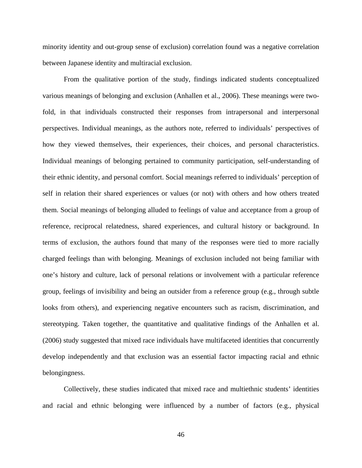minority identity and out-group sense of exclusion) correlation found was a negative correlation between Japanese identity and multiracial exclusion.

From the qualitative portion of the study, findings indicated students conceptualized various meanings of belonging and exclusion (Anhallen et al., 2006). These meanings were twofold, in that individuals constructed their responses from intrapersonal and interpersonal perspectives. Individual meanings, as the authors note, referred to individuals' perspectives of how they viewed themselves, their experiences, their choices, and personal characteristics. Individual meanings of belonging pertained to community participation, self-understanding of their ethnic identity, and personal comfort. Social meanings referred to individuals' perception of self in relation their shared experiences or values (or not) with others and how others treated them. Social meanings of belonging alluded to feelings of value and acceptance from a group of reference, reciprocal relatedness, shared experiences, and cultural history or background. In terms of exclusion, the authors found that many of the responses were tied to more racially charged feelings than with belonging. Meanings of exclusion included not being familiar with one's history and culture, lack of personal relations or involvement with a particular reference group, feelings of invisibility and being an outsider from a reference group (e.g., through subtle looks from others), and experiencing negative encounters such as racism, discrimination, and stereotyping. Taken together, the quantitative and qualitative findings of the Anhallen et al. (2006) study suggested that mixed race individuals have multifaceted identities that concurrently develop independently and that exclusion was an essential factor impacting racial and ethnic belongingness.

Collectively, these studies indicated that mixed race and multiethnic students' identities and racial and ethnic belonging were influenced by a number of factors (e.g., physical

46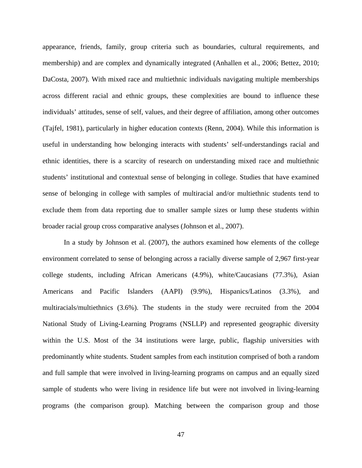appearance, friends, family, group criteria such as boundaries, cultural requirements, and membership) and are complex and dynamically integrated (Anhallen et al., 2006; Bettez, 2010; DaCosta, 2007). With mixed race and multiethnic individuals navigating multiple memberships across different racial and ethnic groups, these complexities are bound to influence these individuals' attitudes, sense of self, values, and their degree of affiliation, among other outcomes (Tajfel, 1981), particularly in higher education contexts (Renn, 2004). While this information is useful in understanding how belonging interacts with students' self-understandings racial and ethnic identities, there is a scarcity of research on understanding mixed race and multiethnic students' institutional and contextual sense of belonging in college. Studies that have examined sense of belonging in college with samples of multiracial and/or multiethnic students tend to exclude them from data reporting due to smaller sample sizes or lump these students within broader racial group cross comparative analyses (Johnson et al., 2007).

In a study by Johnson et al. (2007), the authors examined how elements of the college environment correlated to sense of belonging across a racially diverse sample of 2,967 first-year college students, including African Americans (4.9%), white/Caucasians (77.3%), Asian Americans and Pacific Islanders (AAPI) (9.9%), Hispanics/Latinos (3.3%), and multiracials/multiethnics (3.6%). The students in the study were recruited from the 2004 National Study of Living-Learning Programs (NSLLP) and represented geographic diversity within the U.S. Most of the 34 institutions were large, public, flagship universities with predominantly white students. Student samples from each institution comprised of both a random and full sample that were involved in living-learning programs on campus and an equally sized sample of students who were living in residence life but were not involved in living-learning programs (the comparison group). Matching between the comparison group and those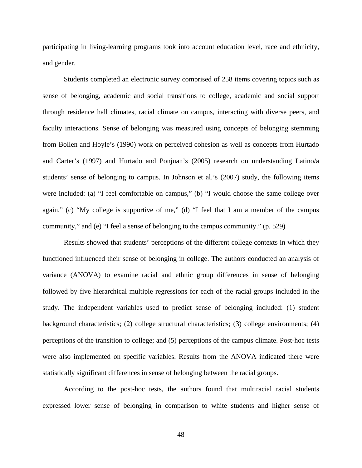participating in living-learning programs took into account education level, race and ethnicity, and gender.

Students completed an electronic survey comprised of 258 items covering topics such as sense of belonging, academic and social transitions to college, academic and social support through residence hall climates, racial climate on campus, interacting with diverse peers, and faculty interactions. Sense of belonging was measured using concepts of belonging stemming from Bollen and Hoyle's (1990) work on perceived cohesion as well as concepts from Hurtado and Carter's (1997) and Hurtado and Ponjuan's (2005) research on understanding Latino/a students' sense of belonging to campus. In Johnson et al.'s (2007) study, the following items were included: (a) "I feel comfortable on campus," (b) "I would choose the same college over again," (c) "My college is supportive of me," (d) "I feel that I am a member of the campus community," and (e) "I feel a sense of belonging to the campus community." (p. 529)

Results showed that students' perceptions of the different college contexts in which they functioned influenced their sense of belonging in college. The authors conducted an analysis of variance (ANOVA) to examine racial and ethnic group differences in sense of belonging followed by five hierarchical multiple regressions for each of the racial groups included in the study. The independent variables used to predict sense of belonging included: (1) student background characteristics; (2) college structural characteristics; (3) college environments; (4) perceptions of the transition to college; and (5) perceptions of the campus climate. Post-hoc tests were also implemented on specific variables. Results from the ANOVA indicated there were statistically significant differences in sense of belonging between the racial groups.

According to the post-hoc tests, the authors found that multiracial racial students expressed lower sense of belonging in comparison to white students and higher sense of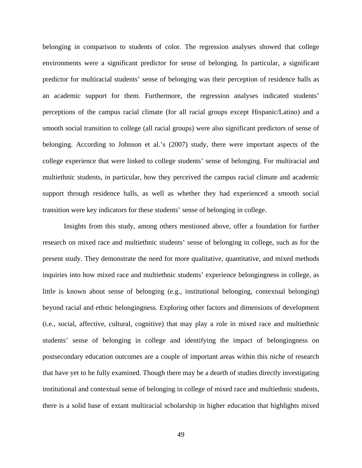belonging in comparison to students of color. The regression analyses showed that college environments were a significant predictor for sense of belonging. In particular, a significant predictor for multiracial students' sense of belonging was their perception of residence halls as an academic support for them. Furthermore, the regression analyses indicated students' perceptions of the campus racial climate (for all racial groups except Hispanic/Latino) and a smooth social transition to college (all racial groups) were also significant predictors of sense of belonging. According to Johnson et al.'s (2007) study, there were important aspects of the college experience that were linked to college students' sense of belonging. For multiracial and multiethnic students, in particular, how they perceived the campus racial climate and academic support through residence halls, as well as whether they had experienced a smooth social transition were key indicators for these students' sense of belonging in college.

Insights from this study, among others mentioned above, offer a foundation for further research on mixed race and multiethnic students' sense of belonging in college, such as for the present study. They demonstrate the need for more qualitative, quantitative, and mixed methods inquiries into how mixed race and multiethnic students' experience belongingness in college, as little is known about sense of belonging (e.g., institutional belonging, contextual belonging) beyond racial and ethnic belongingness. Exploring other factors and dimensions of development (i.e., social, affective, cultural, cognitive) that may play a role in mixed race and multiethnic students' sense of belonging in college and identifying the impact of belongingness on postsecondary education outcomes are a couple of important areas within this niche of research that have yet to be fully examined. Though there may be a dearth of studies directly investigating institutional and contextual sense of belonging in college of mixed race and multiethnic students, there is a solid base of extant multiracial scholarship in higher education that highlights mixed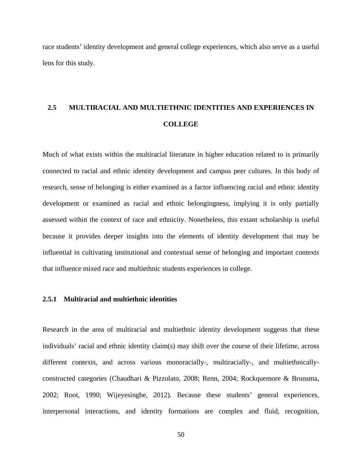race students' identity development and general college experiences, which also serve as a useful lens for this study.

## **2.5 MULTIRACIAL AND MULTIETHNIC IDENTITIES AND EXPERIENCES IN COLLEGE**

Much of what exists within the multiracial literature in higher education related to is primarily connected to racial and ethnic identity development and campus peer cultures. In this body of research, sense of belonging is either examined as a factor influencing racial and ethnic identity development or examined as racial and ethnic belongingness, implying it is only partially assessed within the context of race and ethnicity. Nonetheless, this extant scholarship is useful because it provides deeper insights into the elements of identity development that may be influential in cultivating institutional and contextual sense of belonging and important contexts that influence mixed race and multiethnic students experiences in college.

## **2.5.1 Multiracial and multiethnic identities**

Research in the area of multiracial and multiethnic identity development suggests that these individuals' racial and ethnic identity claim(s) may shift over the course of their lifetime, across different contexts, and across various monoracially-, multiracially-, and multiethnicallyconstructed categories (Chaudhari & Pizzolato, 2008; Renn, 2004; Rockquemore & Brunsma, 2002; Root, 1990; Wijeyesinghe, 2012). Because these students' general experiences, interpersonal interactions, and identity formations are complex and fluid, recognition,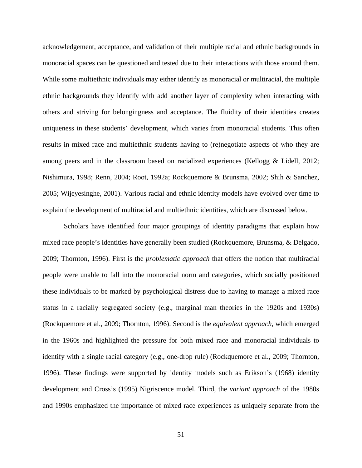acknowledgement, acceptance, and validation of their multiple racial and ethnic backgrounds in monoracial spaces can be questioned and tested due to their interactions with those around them. While some multiethnic individuals may either identify as monoracial or multiracial, the multiple ethnic backgrounds they identify with add another layer of complexity when interacting with others and striving for belongingness and acceptance. The fluidity of their identities creates uniqueness in these students' development, which varies from monoracial students. This often results in mixed race and multiethnic students having to (re)negotiate aspects of who they are among peers and in the classroom based on racialized experiences (Kellogg & Lidell, 2012; Nishimura, 1998; Renn, 2004; Root, 1992a; Rockquemore & Brunsma, 2002; Shih & Sanchez, 2005; Wijeyesinghe, 2001). Various racial and ethnic identity models have evolved over time to explain the development of multiracial and multiethnic identities, which are discussed below.

Scholars have identified four major groupings of identity paradigms that explain how mixed race people's identities have generally been studied (Rockquemore, Brunsma, & Delgado, 2009; Thornton, 1996). First is the *problematic approach* that offers the notion that multiracial people were unable to fall into the monoracial norm and categories, which socially positioned these individuals to be marked by psychological distress due to having to manage a mixed race status in a racially segregated society (e.g., marginal man theories in the 1920s and 1930s) (Rockquemore et al., 2009; Thornton, 1996). Second is the *equivalent approach*, which emerged in the 1960s and highlighted the pressure for both mixed race and monoracial individuals to identify with a single racial category (e.g., one-drop rule) (Rockquemore et al., 2009; Thornton, 1996). These findings were supported by identity models such as Erikson's (1968) identity development and Cross's (1995) Nigriscence model. Third, the *variant approach* of the 1980s and 1990s emphasized the importance of mixed race experiences as uniquely separate from the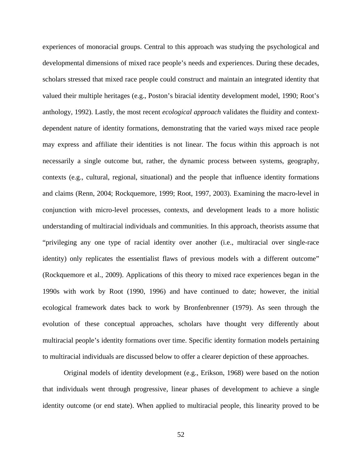experiences of monoracial groups. Central to this approach was studying the psychological and developmental dimensions of mixed race people's needs and experiences. During these decades, scholars stressed that mixed race people could construct and maintain an integrated identity that valued their multiple heritages (e.g., Poston's biracial identity development model, 1990; Root's anthology, 1992). Lastly, the most recent *ecological approach* validates the fluidity and contextdependent nature of identity formations, demonstrating that the varied ways mixed race people may express and affiliate their identities is not linear. The focus within this approach is not necessarily a single outcome but, rather, the dynamic process between systems, geography, contexts (e.g., cultural, regional, situational) and the people that influence identity formations and claims (Renn, 2004; Rockquemore, 1999; Root, 1997, 2003). Examining the macro-level in conjunction with micro-level processes, contexts, and development leads to a more holistic understanding of multiracial individuals and communities. In this approach, theorists assume that "privileging any one type of racial identity over another (i.e., multiracial over single-race identity) only replicates the essentialist flaws of previous models with a different outcome" (Rockquemore et al., 2009). Applications of this theory to mixed race experiences began in the 1990s with work by Root (1990, 1996) and have continued to date; however, the initial ecological framework dates back to work by Bronfenbrenner (1979). As seen through the evolution of these conceptual approaches, scholars have thought very differently about multiracial people's identity formations over time. Specific identity formation models pertaining to multiracial individuals are discussed below to offer a clearer depiction of these approaches.

Original models of identity development (e.g., Erikson, 1968) were based on the notion that individuals went through progressive, linear phases of development to achieve a single identity outcome (or end state). When applied to multiracial people, this linearity proved to be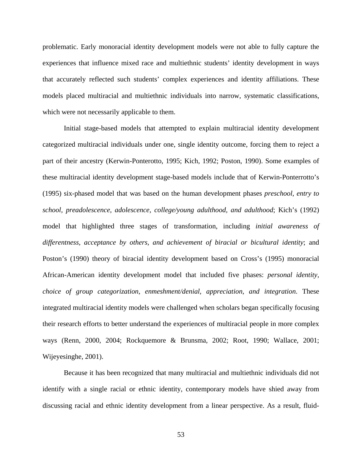problematic. Early monoracial identity development models were not able to fully capture the experiences that influence mixed race and multiethnic students' identity development in ways that accurately reflected such students' complex experiences and identity affiliations. These models placed multiracial and multiethnic individuals into narrow, systematic classifications, which were not necessarily applicable to them.

Initial stage-based models that attempted to explain multiracial identity development categorized multiracial individuals under one, single identity outcome, forcing them to reject a part of their ancestry (Kerwin-Ponterotto, 1995; Kich, 1992; Poston, 1990). Some examples of these multiracial identity development stage-based models include that of Kerwin-Ponterrotto's (1995) six-phased model that was based on the human development phases *preschool, entry to school, preadolescence, adolescence, college/young adulthood, and adulthood*; Kich's (1992) model that highlighted three stages of transformation, including *initial awareness of differentness, acceptance by others, and achievement of biracial or bicultural identity*; and Poston's (1990) theory of biracial identity development based on Cross's (1995) monoracial African-American identity development model that included five phases: *personal identity, choice of group categorization, enmeshment/denial, appreciation, and integration*. These integrated multiracial identity models were challenged when scholars began specifically focusing their research efforts to better understand the experiences of multiracial people in more complex ways (Renn, 2000, 2004; Rockquemore & Brunsma, 2002; Root, 1990; Wallace, 2001; Wijeyesinghe, 2001).

Because it has been recognized that many multiracial and multiethnic individuals did not identify with a single racial or ethnic identity, contemporary models have shied away from discussing racial and ethnic identity development from a linear perspective. As a result, fluid-

53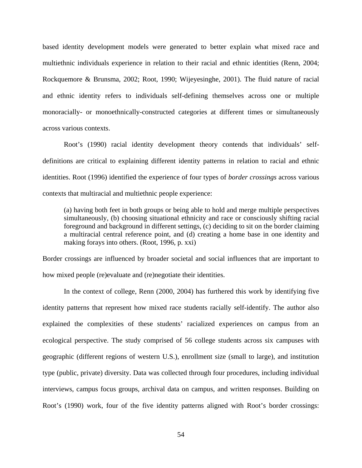based identity development models were generated to better explain what mixed race and multiethnic individuals experience in relation to their racial and ethnic identities (Renn, 2004; Rockquemore & Brunsma, 2002; Root, 1990; Wijeyesinghe, 2001). The fluid nature of racial and ethnic identity refers to individuals self-defining themselves across one or multiple monoracially- or monoethnically-constructed categories at different times or simultaneously across various contexts.

Root's (1990) racial identity development theory contends that individuals' selfdefinitions are critical to explaining different identity patterns in relation to racial and ethnic identities. Root (1996) identified the experience of four types of *border crossings* across various contexts that multiracial and multiethnic people experience:

(a) having both feet in both groups or being able to hold and merge multiple perspectives simultaneously, (b) choosing situational ethnicity and race or consciously shifting racial foreground and background in different settings, (c) deciding to sit on the border claiming a multiracial central reference point, and (d) creating a home base in one identity and making forays into others. (Root, 1996, p. xxi)

Border crossings are influenced by broader societal and social influences that are important to how mixed people (re)evaluate and (re)negotiate their identities.

In the context of college, Renn (2000, 2004) has furthered this work by identifying five identity patterns that represent how mixed race students racially self-identify. The author also explained the complexities of these students' racialized experiences on campus from an ecological perspective. The study comprised of 56 college students across six campuses with geographic (different regions of western U.S.), enrollment size (small to large), and institution type (public, private) diversity. Data was collected through four procedures, including individual interviews, campus focus groups, archival data on campus, and written responses. Building on Root's (1990) work, four of the five identity patterns aligned with Root's border crossings: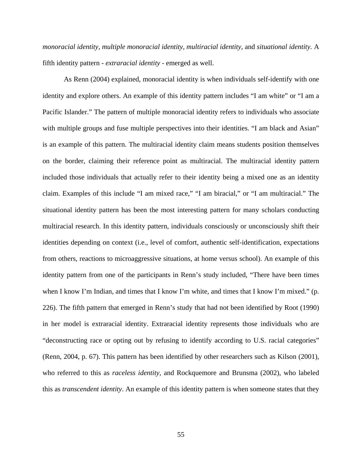*monoracial identity, multiple monoracial identity, multiracial identity,* and *situational identity.* A fifth identity pattern - *extraracial identity -* emerged as well.

As Renn (2004) explained, monoracial identity is when individuals self-identify with one identity and explore others. An example of this identity pattern includes "I am white" or "I am a Pacific Islander." The pattern of multiple monoracial identity refers to individuals who associate with multiple groups and fuse multiple perspectives into their identities. "I am black and Asian" is an example of this pattern. The multiracial identity claim means students position themselves on the border, claiming their reference point as multiracial. The multiracial identity pattern included those individuals that actually refer to their identity being a mixed one as an identity claim. Examples of this include "I am mixed race," "I am biracial," or "I am multiracial." The situational identity pattern has been the most interesting pattern for many scholars conducting multiracial research. In this identity pattern, individuals consciously or unconsciously shift their identities depending on context (i.e., level of comfort, authentic self-identification, expectations from others, reactions to microaggressive situations, at home versus school). An example of this identity pattern from one of the participants in Renn's study included, "There have been times when I know I'm Indian, and times that I know I'm white, and times that I know I'm mixed." (p. 226). The fifth pattern that emerged in Renn's study that had not been identified by Root (1990) in her model is extraracial identity. Extraracial identity represents those individuals who are "deconstructing race or opting out by refusing to identify according to U.S. racial categories" (Renn, 2004, p. 67). This pattern has been identified by other researchers such as Kilson (2001), who referred to this as *raceless identity,* and Rockquemore and Brunsma (2002), who labeled this as *transcendent identity*. An example of this identity pattern is when someone states that they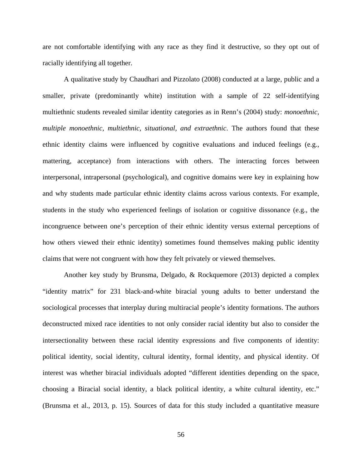are not comfortable identifying with any race as they find it destructive, so they opt out of racially identifying all together.

A qualitative study by Chaudhari and Pizzolato (2008) conducted at a large, public and a smaller, private (predominantly white) institution with a sample of 22 self-identifying multiethnic students revealed similar identity categories as in Renn's (2004) study: *monoethnic, multiple monoethnic, multiethnic, situational, and extraethnic*. The authors found that these ethnic identity claims were influenced by cognitive evaluations and induced feelings (e.g., mattering, acceptance) from interactions with others. The interacting forces between interpersonal, intrapersonal (psychological), and cognitive domains were key in explaining how and why students made particular ethnic identity claims across various contexts. For example, students in the study who experienced feelings of isolation or cognitive dissonance (e.g., the incongruence between one's perception of their ethnic identity versus external perceptions of how others viewed their ethnic identity) sometimes found themselves making public identity claims that were not congruent with how they felt privately or viewed themselves.

Another key study by Brunsma, Delgado, & Rockquemore (2013) depicted a complex "identity matrix" for 231 black-and-white biracial young adults to better understand the sociological processes that interplay during multiracial people's identity formations. The authors deconstructed mixed race identities to not only consider racial identity but also to consider the intersectionality between these racial identity expressions and five components of identity: political identity, social identity, cultural identity, formal identity, and physical identity. Of interest was whether biracial individuals adopted "different identities depending on the space, choosing a Biracial social identity, a black political identity, a white cultural identity, etc." (Brunsma et al., 2013, p. 15). Sources of data for this study included a quantitative measure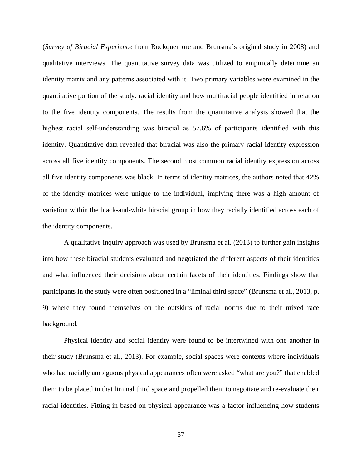(*Survey of Biracial Experience* from Rockquemore and Brunsma's original study in 2008) and qualitative interviews. The quantitative survey data was utilized to empirically determine an identity matrix and any patterns associated with it. Two primary variables were examined in the quantitative portion of the study: racial identity and how multiracial people identified in relation to the five identity components. The results from the quantitative analysis showed that the highest racial self-understanding was biracial as 57.6% of participants identified with this identity. Quantitative data revealed that biracial was also the primary racial identity expression across all five identity components. The second most common racial identity expression across all five identity components was black. In terms of identity matrices, the authors noted that 42% of the identity matrices were unique to the individual, implying there was a high amount of variation within the black-and-white biracial group in how they racially identified across each of the identity components.

A qualitative inquiry approach was used by Brunsma et al. (2013) to further gain insights into how these biracial students evaluated and negotiated the different aspects of their identities and what influenced their decisions about certain facets of their identities. Findings show that participants in the study were often positioned in a "liminal third space" (Brunsma et al., 2013, p. 9) where they found themselves on the outskirts of racial norms due to their mixed race background.

Physical identity and social identity were found to be intertwined with one another in their study (Brunsma et al., 2013). For example, social spaces were contexts where individuals who had racially ambiguous physical appearances often were asked "what are you?" that enabled them to be placed in that liminal third space and propelled them to negotiate and re-evaluate their racial identities. Fitting in based on physical appearance was a factor influencing how students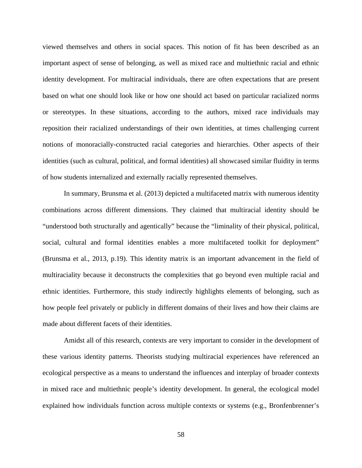viewed themselves and others in social spaces. This notion of fit has been described as an important aspect of sense of belonging, as well as mixed race and multiethnic racial and ethnic identity development. For multiracial individuals, there are often expectations that are present based on what one should look like or how one should act based on particular racialized norms or stereotypes. In these situations, according to the authors, mixed race individuals may reposition their racialized understandings of their own identities, at times challenging current notions of monoracially-constructed racial categories and hierarchies. Other aspects of their identities (such as cultural, political, and formal identities) all showcased similar fluidity in terms of how students internalized and externally racially represented themselves.

In summary, Brunsma et al. (2013) depicted a multifaceted matrix with numerous identity combinations across different dimensions. They claimed that multiracial identity should be "understood both structurally and agentically" because the "liminality of their physical, political, social, cultural and formal identities enables a more multifaceted toolkit for deployment" (Brunsma et al., 2013, p.19). This identity matrix is an important advancement in the field of multiraciality because it deconstructs the complexities that go beyond even multiple racial and ethnic identities. Furthermore, this study indirectly highlights elements of belonging, such as how people feel privately or publicly in different domains of their lives and how their claims are made about different facets of their identities.

Amidst all of this research, contexts are very important to consider in the development of these various identity patterns. Theorists studying multiracial experiences have referenced an ecological perspective as a means to understand the influences and interplay of broader contexts in mixed race and multiethnic people's identity development. In general, the ecological model explained how individuals function across multiple contexts or systems (e.g., Bronfenbrenner's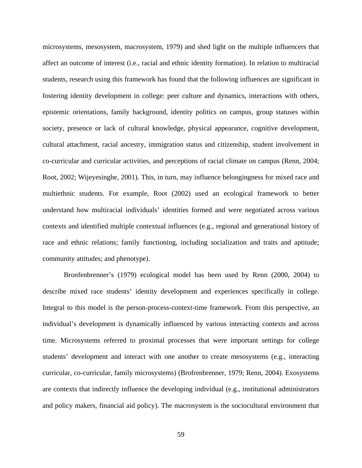microsystems, mesosystem, macrosystem, 1979) and shed light on the multiple influencers that affect an outcome of interest (i.e., racial and ethnic identity formation). In relation to multiracial students, research using this framework has found that the following influences are significant in fostering identity development in college: peer culture and dynamics, interactions with others, epistemic orientations, family background, identity politics on campus, group statuses within society, presence or lack of cultural knowledge, physical appearance, cognitive development, cultural attachment, racial ancestry, immigration status and citizenship, student involvement in co-curricular and curricular activities, and perceptions of racial climate on campus (Renn, 2004; Root, 2002; Wijeyesinghe, 2001). This, in turn, may influence belongingness for mixed race and multiethnic students. For example, Root (2002) used an ecological framework to better understand how multiracial individuals' identities formed and were negotiated across various contexts and identified multiple contextual influences (e.g., regional and generational history of race and ethnic relations; family functioning, including socialization and traits and aptitude; community attitudes; and phenotype).

Bronfenbrenner's (1979) ecological model has been used by Renn (2000, 2004) to describe mixed race students' identity development and experiences specifically in college. Integral to this model is the person-process-context-time framework. From this perspective, an individual's development is dynamically influenced by various interacting contexts and across time. Microsystems referred to proximal processes that were important settings for college students' development and interact with one another to create mesosystems (e.g., interacting curricular, co-curricular, family microsystems) (Brofrenbrenner, 1979; Renn, 2004). Exosystems are contexts that indirectly influence the developing individual (e.g., institutional administrators and policy makers, financial aid policy). The macrosystem is the sociocultural environment that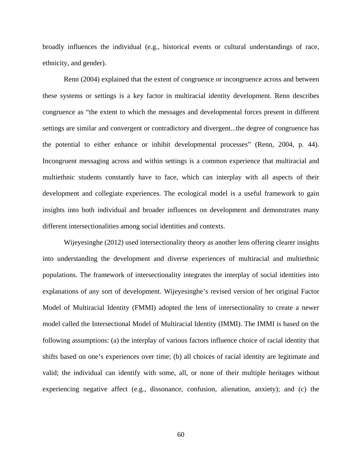broadly influences the individual (e.g., historical events or cultural understandings of race, ethnicity, and gender).

Renn (2004) explained that the extent of congruence or incongruence across and between these systems or settings is a key factor in multiracial identity development. Renn describes congruence as "the extent to which the messages and developmental forces present in different settings are similar and convergent or contradictory and divergent...the degree of congruence has the potential to either enhance or inhibit developmental processes" (Renn, 2004, p. 44). Incongruent messaging across and within settings is a common experience that multiracial and multiethnic students constantly have to face, which can interplay with all aspects of their development and collegiate experiences. The ecological model is a useful framework to gain insights into both individual and broader influences on development and demonstrates many different intersectionalities among social identities and contexts.

Wijeyesinghe (2012) used intersectionality theory as another lens offering clearer insights into understanding the development and diverse experiences of multiracial and multiethnic populations. The framework of intersectionality integrates the interplay of social identities into explanations of any sort of development. Wijeyesinghe's revised version of her original Factor Model of Multiracial Identity (FMMI) adopted the lens of intersectionality to create a newer model called the Intersectional Model of Multiracial Identity (IMMI). The IMMI is based on the following assumptions: (a) the interplay of various factors influence choice of racial identity that shifts based on one's experiences over time; (b) all choices of racial identity are legitimate and valid; the individual can identify with some, all, or none of their multiple heritages without experiencing negative affect (e.g., dissonance, confusion, alienation, anxiety); and (c) the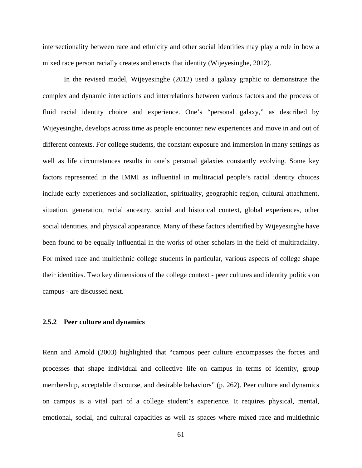intersectionality between race and ethnicity and other social identities may play a role in how a mixed race person racially creates and enacts that identity (Wijeyesinghe, 2012).

In the revised model, Wijeyesinghe (2012) used a galaxy graphic to demonstrate the complex and dynamic interactions and interrelations between various factors and the process of fluid racial identity choice and experience. One's "personal galaxy," as described by Wijeyesinghe, develops across time as people encounter new experiences and move in and out of different contexts. For college students, the constant exposure and immersion in many settings as well as life circumstances results in one's personal galaxies constantly evolving. Some key factors represented in the IMMI as influential in multiracial people's racial identity choices include early experiences and socialization, spirituality, geographic region, cultural attachment, situation, generation, racial ancestry, social and historical context, global experiences, other social identities, and physical appearance. Many of these factors identified by Wijeyesinghe have been found to be equally influential in the works of other scholars in the field of multiraciality. For mixed race and multiethnic college students in particular, various aspects of college shape their identities. Two key dimensions of the college context - peer cultures and identity politics on campus - are discussed next.

# **2.5.2 Peer culture and dynamics**

Renn and Arnold (2003) highlighted that "campus peer culture encompasses the forces and processes that shape individual and collective life on campus in terms of identity, group membership, acceptable discourse, and desirable behaviors" (p. 262). Peer culture and dynamics on campus is a vital part of a college student's experience. It requires physical, mental, emotional, social, and cultural capacities as well as spaces where mixed race and multiethnic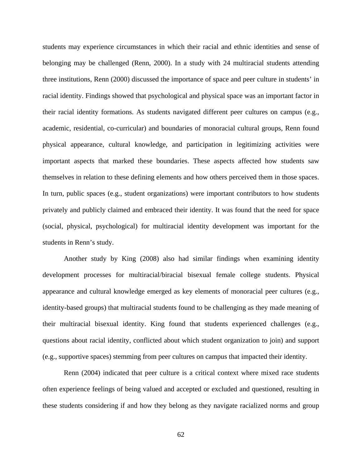students may experience circumstances in which their racial and ethnic identities and sense of belonging may be challenged (Renn, 2000). In a study with 24 multiracial students attending three institutions, Renn (2000) discussed the importance of space and peer culture in students' in racial identity. Findings showed that psychological and physical space was an important factor in their racial identity formations. As students navigated different peer cultures on campus (e.g., academic, residential, co-curricular) and boundaries of monoracial cultural groups, Renn found physical appearance, cultural knowledge, and participation in legitimizing activities were important aspects that marked these boundaries. These aspects affected how students saw themselves in relation to these defining elements and how others perceived them in those spaces. In turn, public spaces (e.g., student organizations) were important contributors to how students privately and publicly claimed and embraced their identity. It was found that the need for space (social, physical, psychological) for multiracial identity development was important for the students in Renn's study.

Another study by King (2008) also had similar findings when examining identity development processes for multiracial/biracial bisexual female college students. Physical appearance and cultural knowledge emerged as key elements of monoracial peer cultures (e.g., identity-based groups) that multiracial students found to be challenging as they made meaning of their multiracial bisexual identity. King found that students experienced challenges (e.g., questions about racial identity, conflicted about which student organization to join) and support (e.g., supportive spaces) stemming from peer cultures on campus that impacted their identity.

Renn (2004) indicated that peer culture is a critical context where mixed race students often experience feelings of being valued and accepted or excluded and questioned, resulting in these students considering if and how they belong as they navigate racialized norms and group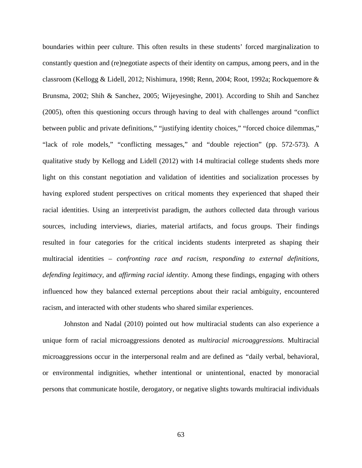boundaries within peer culture. This often results in these students' forced marginalization to constantly question and (re)negotiate aspects of their identity on campus, among peers, and in the classroom (Kellogg & Lidell, 2012; Nishimura, 1998; Renn, 2004; Root, 1992a; Rockquemore & Brunsma, 2002; Shih & Sanchez, 2005; Wijeyesinghe, 2001). According to Shih and Sanchez (2005), often this questioning occurs through having to deal with challenges around "conflict between public and private definitions," "justifying identity choices," "forced choice dilemmas," "lack of role models," "conflicting messages," and "double rejection" (pp. 572-573). A qualitative study by Kellogg and Lidell (2012) with 14 multiracial college students sheds more light on this constant negotiation and validation of identities and socialization processes by having explored student perspectives on critical moments they experienced that shaped their racial identities. Using an interpretivist paradigm, the authors collected data through various sources, including interviews, diaries, material artifacts, and focus groups. Their findings resulted in four categories for the critical incidents students interpreted as shaping their multiracial identities – *confronting race and racism, responding to external definitions, defending legitimacy,* and *affirming racial identity*. Among these findings, engaging with others influenced how they balanced external perceptions about their racial ambiguity, encountered racism, and interacted with other students who shared similar experiences.

Johnston and Nadal (2010) pointed out how multiracial students can also experience a unique form of racial microaggressions denoted as *multiracial microaggressions.* Multiracial microaggressions occur in the interpersonal realm and are defined as *"*daily verbal, behavioral, or environmental indignities, whether intentional or unintentional, enacted by monoracial persons that communicate hostile, derogatory, or negative slights towards multiracial individuals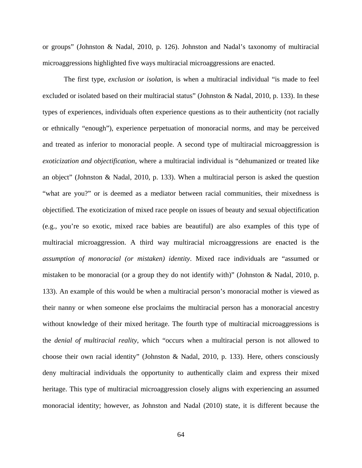or groups" (Johnston & Nadal, 2010, p. 126). Johnston and Nadal's taxonomy of multiracial microaggressions highlighted five ways multiracial microaggressions are enacted.

The first type, *exclusion or isolation*, is when a multiracial individual "is made to feel excluded or isolated based on their multiracial status" (Johnston & Nadal, 2010, p. 133). In these types of experiences, individuals often experience questions as to their authenticity (not racially or ethnically "enough"), experience perpetuation of monoracial norms, and may be perceived and treated as inferior to monoracial people. A second type of multiracial microaggression is *exoticization and objectification*, where a multiracial individual is "dehumanized or treated like an object" (Johnston & Nadal, 2010, p. 133). When a multiracial person is asked the question "what are you?" or is deemed as a mediator between racial communities, their mixedness is objectified. The exoticization of mixed race people on issues of beauty and sexual objectification (e.g., you're so exotic, mixed race babies are beautiful) are also examples of this type of multiracial microaggression. A third way multiracial microaggressions are enacted is the *assumption of monoracial (or mistaken) identity*. Mixed race individuals are "assumed or mistaken to be monoracial (or a group they do not identify with)" (Johnston & Nadal, 2010, p. 133). An example of this would be when a multiracial person's monoracial mother is viewed as their nanny or when someone else proclaims the multiracial person has a monoracial ancestry without knowledge of their mixed heritage. The fourth type of multiracial microaggressions is the *denial of multiracial reality*, which "occurs when a multiracial person is not allowed to choose their own racial identity" (Johnston & Nadal, 2010, p. 133). Here, others consciously deny multiracial individuals the opportunity to authentically claim and express their mixed heritage. This type of multiracial microaggression closely aligns with experiencing an assumed monoracial identity; however, as Johnston and Nadal (2010) state, it is different because the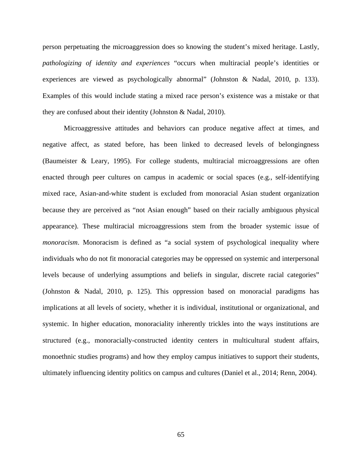person perpetuating the microaggression does so knowing the student's mixed heritage. Lastly, *pathologizing of identity and experiences* "occurs when multiracial people's identities or experiences are viewed as psychologically abnormal" (Johnston & Nadal, 2010, p. 133). Examples of this would include stating a mixed race person's existence was a mistake or that they are confused about their identity (Johnston & Nadal, 2010).

Microaggressive attitudes and behaviors can produce negative affect at times, and negative affect, as stated before, has been linked to decreased levels of belongingness (Baumeister & Leary, 1995). For college students, multiracial microaggressions are often enacted through peer cultures on campus in academic or social spaces (e.g., self-identifying mixed race, Asian-and-white student is excluded from monoracial Asian student organization because they are perceived as "not Asian enough" based on their racially ambiguous physical appearance). These multiracial microaggressions stem from the broader systemic issue of *monoracism*. Monoracism is defined as "a social system of psychological inequality where individuals who do not fit monoracial categories may be oppressed on systemic and interpersonal levels because of underlying assumptions and beliefs in singular, discrete racial categories" (Johnston & Nadal, 2010, p. 125). This oppression based on monoracial paradigms has implications at all levels of society, whether it is individual, institutional or organizational, and systemic. In higher education, monoraciality inherently trickles into the ways institutions are structured (e.g., monoracially-constructed identity centers in multicultural student affairs, monoethnic studies programs) and how they employ campus initiatives to support their students, ultimately influencing identity politics on campus and cultures (Daniel et al., 2014; Renn, 2004).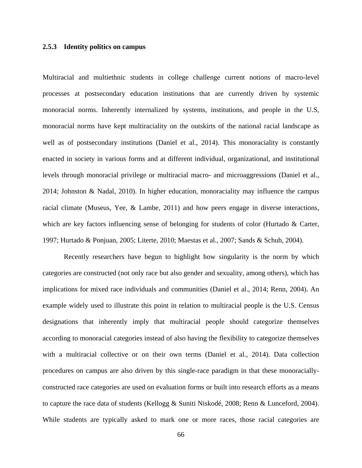### **2.5.3 Identity politics on campus**

Multiracial and multiethnic students in college challenge current notions of macro-level processes at postsecondary education institutions that are currently driven by systemic monoracial norms. Inherently internalized by systems, institutions, and people in the U.S, monoracial norms have kept multiraciality on the outskirts of the national racial landscape as well as of postsecondary institutions (Daniel et al., 2014). This monoraciality is constantly enacted in society in various forms and at different individual, organizational, and institutional levels through monoracial privilege or multiracial macro- and microaggressions (Daniel et al., 2014; Johnston & Nadal, 2010). In higher education, monoraciality may influence the campus racial climate (Museus, Yee, & Lambe, 2011) and how peers engage in diverse interactions, which are key factors influencing sense of belonging for students of color (Hurtado & Carter, 1997; Hurtado & Ponjuan, 2005; Literte, 2010; Maestas et al., 2007; Sands & Schuh, 2004).

Recently researchers have begun to highlight how singularity is the norm by which categories are constructed (not only race but also gender and sexuality, among others), which has implications for mixed race individuals and communities (Daniel et al., 2014; Renn, 2004). An example widely used to illustrate this point in relation to multiracial people is the U.S. Census designations that inherently imply that multiracial people should categorize themselves according to monoracial categories instead of also having the flexibility to categorize themselves with a multiracial collective or on their own terms (Daniel et al., 2014). Data collection procedures on campus are also driven by this single-race paradigm in that these monoraciallyconstructed race categories are used on evaluation forms or built into research efforts as a means to capture the race data of students (Kellogg & Suniti Niskodé, 2008; Renn & Lunceford, 2004). While students are typically asked to mark one or more races, those racial categories are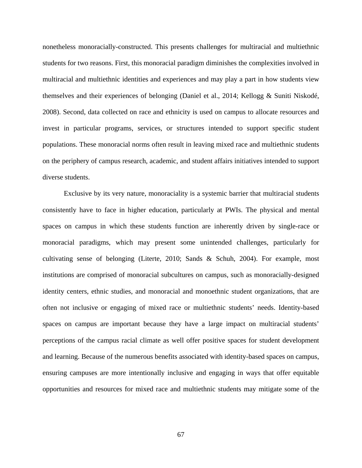nonetheless monoracially-constructed. This presents challenges for multiracial and multiethnic students for two reasons. First, this monoracial paradigm diminishes the complexities involved in multiracial and multiethnic identities and experiences and may play a part in how students view themselves and their experiences of belonging (Daniel et al., 2014; Kellogg & Suniti Niskodé, 2008). Second, data collected on race and ethnicity is used on campus to allocate resources and invest in particular programs, services, or structures intended to support specific student populations. These monoracial norms often result in leaving mixed race and multiethnic students on the periphery of campus research, academic, and student affairs initiatives intended to support diverse students.

Exclusive by its very nature, monoraciality is a systemic barrier that multiracial students consistently have to face in higher education, particularly at PWIs. The physical and mental spaces on campus in which these students function are inherently driven by single-race or monoracial paradigms, which may present some unintended challenges, particularly for cultivating sense of belonging (Literte, 2010; Sands & Schuh, 2004). For example, most institutions are comprised of monoracial subcultures on campus, such as monoracially-designed identity centers, ethnic studies, and monoracial and monoethnic student organizations, that are often not inclusive or engaging of mixed race or multiethnic students' needs. Identity-based spaces on campus are important because they have a large impact on multiracial students' perceptions of the campus racial climate as well offer positive spaces for student development and learning. Because of the numerous benefits associated with identity-based spaces on campus, ensuring campuses are more intentionally inclusive and engaging in ways that offer equitable opportunities and resources for mixed race and multiethnic students may mitigate some of the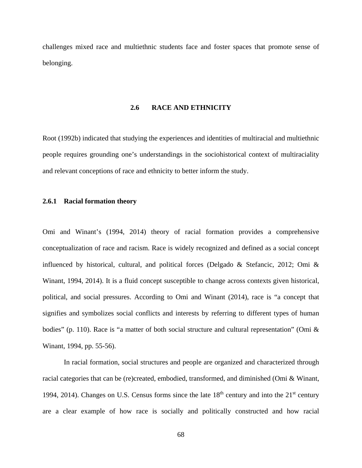challenges mixed race and multiethnic students face and foster spaces that promote sense of belonging.

# **2.6 RACE AND ETHNICITY**

Root (1992b) indicated that studying the experiences and identities of multiracial and multiethnic people requires grounding one's understandings in the sociohistorical context of multiraciality and relevant conceptions of race and ethnicity to better inform the study.

## **2.6.1 Racial formation theory**

Omi and Winant's (1994, 2014) theory of racial formation provides a comprehensive conceptualization of race and racism. Race is widely recognized and defined as a social concept influenced by historical, cultural, and political forces (Delgado & Stefancic, 2012; Omi & Winant, 1994, 2014). It is a fluid concept susceptible to change across contexts given historical, political, and social pressures. According to Omi and Winant (2014), race is "a concept that signifies and symbolizes social conflicts and interests by referring to different types of human bodies" (p. 110). Race is "a matter of both social structure and cultural representation" (Omi & Winant, 1994, pp. 55-56).

In racial formation, social structures and people are organized and characterized through racial categories that can be (re)created, embodied, transformed, and diminished (Omi & Winant, 1994, 2014). Changes on U.S. Census forms since the late  $18<sup>th</sup>$  century and into the  $21<sup>st</sup>$  century are a clear example of how race is socially and politically constructed and how racial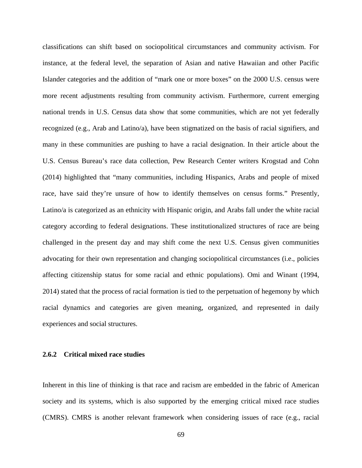classifications can shift based on sociopolitical circumstances and community activism. For instance, at the federal level, the separation of Asian and native Hawaiian and other Pacific Islander categories and the addition of "mark one or more boxes" on the 2000 U.S. census were more recent adjustments resulting from community activism. Furthermore, current emerging national trends in U.S. Census data show that some communities, which are not yet federally recognized (e.g., Arab and Latino/a), have been stigmatized on the basis of racial signifiers, and many in these communities are pushing to have a racial designation. In their article about the U.S. Census Bureau's race data collection, Pew Research Center writers Krogstad and Cohn (2014) highlighted that "many communities, including Hispanics, Arabs and people of mixed race, have said they're unsure of how to identify themselves on census forms." Presently, Latino/a is categorized as an ethnicity with Hispanic origin, and Arabs fall under the white racial category according to federal designations. These institutionalized structures of race are being challenged in the present day and may shift come the next U.S. Census given communities advocating for their own representation and changing sociopolitical circumstances (i.e., policies affecting citizenship status for some racial and ethnic populations). Omi and Winant (1994, 2014) stated that the process of racial formation is tied to the perpetuation of hegemony by which racial dynamics and categories are given meaning, organized, and represented in daily experiences and social structures.

# **2.6.2 Critical mixed race studies**

Inherent in this line of thinking is that race and racism are embedded in the fabric of American society and its systems, which is also supported by the emerging critical mixed race studies (CMRS). CMRS is another relevant framework when considering issues of race (e.g., racial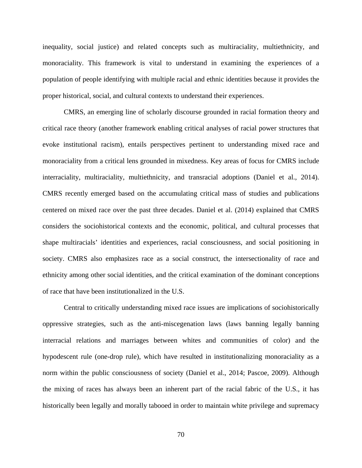inequality, social justice) and related concepts such as multiraciality, multiethnicity, and monoraciality. This framework is vital to understand in examining the experiences of a population of people identifying with multiple racial and ethnic identities because it provides the proper historical, social, and cultural contexts to understand their experiences.

CMRS, an emerging line of scholarly discourse grounded in racial formation theory and critical race theory (another framework enabling critical analyses of racial power structures that evoke institutional racism), entails perspectives pertinent to understanding mixed race and monoraciality from a critical lens grounded in mixedness. Key areas of focus for CMRS include interraciality, multiraciality, multiethnicity, and transracial adoptions (Daniel et al., 2014). CMRS recently emerged based on the accumulating critical mass of studies and publications centered on mixed race over the past three decades. Daniel et al. (2014) explained that CMRS considers the sociohistorical contexts and the economic, political, and cultural processes that shape multiracials' identities and experiences, racial consciousness, and social positioning in society. CMRS also emphasizes race as a social construct, the intersectionality of race and ethnicity among other social identities, and the critical examination of the dominant conceptions of race that have been institutionalized in the U.S.

Central to critically understanding mixed race issues are implications of sociohistorically oppressive strategies, such as the anti-miscegenation laws (laws banning legally banning interracial relations and marriages between whites and communities of color) and the hypodescent rule (one-drop rule), which have resulted in institutionalizing monoraciality as a norm within the public consciousness of society (Daniel et al., 2014; Pascoe, 2009). Although the mixing of races has always been an inherent part of the racial fabric of the U.S., it has historically been legally and morally tabooed in order to maintain white privilege and supremacy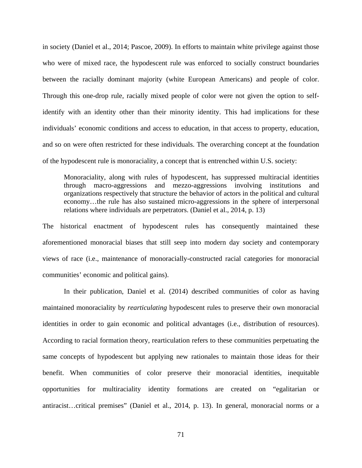in society (Daniel et al., 2014; Pascoe, 2009). In efforts to maintain white privilege against those who were of mixed race, the hypodescent rule was enforced to socially construct boundaries between the racially dominant majority (white European Americans) and people of color. Through this one-drop rule, racially mixed people of color were not given the option to selfidentify with an identity other than their minority identity. This had implications for these individuals' economic conditions and access to education, in that access to property, education, and so on were often restricted for these individuals. The overarching concept at the foundation of the hypodescent rule is monoraciality, a concept that is entrenched within U.S. society:

Monoraciality, along with rules of hypodescent, has suppressed multiracial identities through macro-aggressions and mezzo-aggressions involving institutions and organizations respectively that structure the behavior of actors in the political and cultural economy…the rule has also sustained micro-aggressions in the sphere of interpersonal relations where individuals are perpetrators. (Daniel et al., 2014, p. 13)

The historical enactment of hypodescent rules has consequently maintained these aforementioned monoracial biases that still seep into modern day society and contemporary views of race (i.e., maintenance of monoracially-constructed racial categories for monoracial communities' economic and political gains).

In their publication, Daniel et al. (2014) described communities of color as having maintained monoraciality by *rearticulating* hypodescent rules to preserve their own monoracial identities in order to gain economic and political advantages (i.e., distribution of resources). According to racial formation theory, rearticulation refers to these communities perpetuating the same concepts of hypodescent but applying new rationales to maintain those ideas for their benefit. When communities of color preserve their monoracial identities, inequitable opportunities for multiraciality identity formations are created on "egalitarian or antiracist…critical premises" (Daniel et al., 2014, p. 13). In general, monoracial norms or a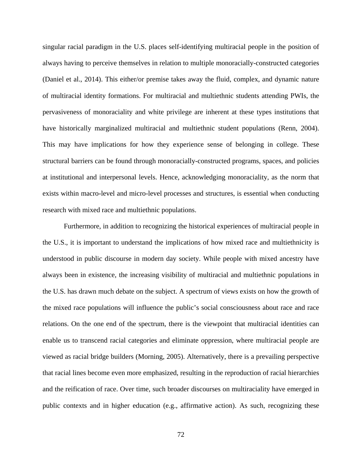singular racial paradigm in the U.S. places self-identifying multiracial people in the position of always having to perceive themselves in relation to multiple monoracially-constructed categories (Daniel et al., 2014). This either/or premise takes away the fluid, complex, and dynamic nature of multiracial identity formations. For multiracial and multiethnic students attending PWIs, the pervasiveness of monoraciality and white privilege are inherent at these types institutions that have historically marginalized multiracial and multiethnic student populations (Renn, 2004). This may have implications for how they experience sense of belonging in college. These structural barriers can be found through monoracially-constructed programs, spaces, and policies at institutional and interpersonal levels. Hence, acknowledging monoraciality, as the norm that exists within macro-level and micro-level processes and structures, is essential when conducting research with mixed race and multiethnic populations.

Furthermore, in addition to recognizing the historical experiences of multiracial people in the U.S., it is important to understand the implications of how mixed race and multiethnicity is understood in public discourse in modern day society. While people with mixed ancestry have always been in existence, the increasing visibility of multiracial and multiethnic populations in the U.S. has drawn much debate on the subject. A spectrum of views exists on how the growth of the mixed race populations will influence the public's social consciousness about race and race relations. On the one end of the spectrum, there is the viewpoint that multiracial identities can enable us to transcend racial categories and eliminate oppression, where multiracial people are viewed as racial bridge builders (Morning, 2005). Alternatively, there is a prevailing perspective that racial lines become even more emphasized, resulting in the reproduction of racial hierarchies and the reification of race. Over time, such broader discourses on multiraciality have emerged in public contexts and in higher education (e.g., affirmative action). As such, recognizing these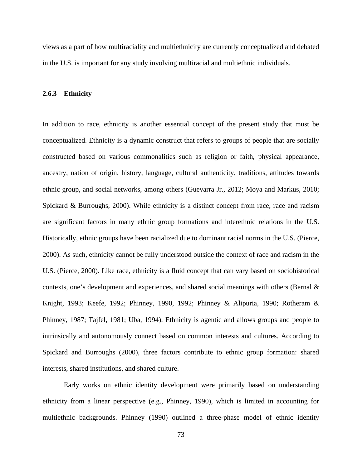views as a part of how multiraciality and multiethnicity are currently conceptualized and debated in the U.S. is important for any study involving multiracial and multiethnic individuals.

#### **2.6.3 Ethnicity**

In addition to race, ethnicity is another essential concept of the present study that must be conceptualized. Ethnicity is a dynamic construct that refers to groups of people that are socially constructed based on various commonalities such as religion or faith, physical appearance, ancestry, nation of origin, history, language, cultural authenticity, traditions, attitudes towards ethnic group, and social networks, among others (Guevarra Jr., 2012; Moya and Markus, 2010; Spickard & Burroughs, 2000). While ethnicity is a distinct concept from race, race and racism are significant factors in many ethnic group formations and interethnic relations in the U.S. Historically, ethnic groups have been racialized due to dominant racial norms in the U.S. (Pierce, 2000). As such, ethnicity cannot be fully understood outside the context of race and racism in the U.S. (Pierce, 2000). Like race, ethnicity is a fluid concept that can vary based on sociohistorical contexts, one's development and experiences, and shared social meanings with others (Bernal & Knight, 1993; Keefe, 1992; Phinney, 1990, 1992; Phinney & Alipuria, 1990; Rotheram & Phinney, 1987; Tajfel, 1981; Uba, 1994). Ethnicity is agentic and allows groups and people to intrinsically and autonomously connect based on common interests and cultures. According to Spickard and Burroughs (2000), three factors contribute to ethnic group formation: shared interests, shared institutions, and shared culture.

Early works on ethnic identity development were primarily based on understanding ethnicity from a linear perspective (e.g., Phinney, 1990), which is limited in accounting for multiethnic backgrounds. Phinney (1990) outlined a three-phase model of ethnic identity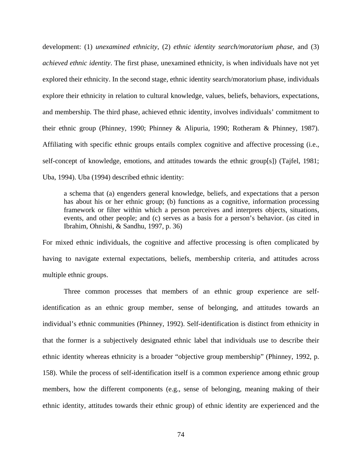development: (1) *unexamined ethnicity*, (2) *ethnic identity search/moratorium phase*, and (3) *achieved ethnic identity*. The first phase, unexamined ethnicity, is when individuals have not yet explored their ethnicity. In the second stage, ethnic identity search/moratorium phase, individuals explore their ethnicity in relation to cultural knowledge, values, beliefs, behaviors, expectations, and membership. The third phase, achieved ethnic identity, involves individuals' commitment to their ethnic group (Phinney, 1990; Phinney & Alipuria, 1990; Rotheram & Phinney, 1987). Affiliating with specific ethnic groups entails complex cognitive and affective processing (i.e., self-concept of knowledge, emotions, and attitudes towards the ethnic group[s]) (Tajfel, 1981; Uba, 1994). Uba (1994) described ethnic identity:

a schema that (a) engenders general knowledge, beliefs, and expectations that a person has about his or her ethnic group; (b) functions as a cognitive, information processing framework or filter within which a person perceives and interprets objects, situations, events, and other people; and (c) serves as a basis for a person's behavior. (as cited in Ibrahim, Ohnishi, & Sandhu, 1997, p. 36)

For mixed ethnic individuals, the cognitive and affective processing is often complicated by having to navigate external expectations, beliefs, membership criteria, and attitudes across multiple ethnic groups.

Three common processes that members of an ethnic group experience are selfidentification as an ethnic group member, sense of belonging, and attitudes towards an individual's ethnic communities (Phinney, 1992). Self-identification is distinct from ethnicity in that the former is a subjectively designated ethnic label that individuals use to describe their ethnic identity whereas ethnicity is a broader "objective group membership" (Phinney, 1992, p. 158). While the process of self-identification itself is a common experience among ethnic group members, how the different components (e.g., sense of belonging, meaning making of their ethnic identity, attitudes towards their ethnic group) of ethnic identity are experienced and the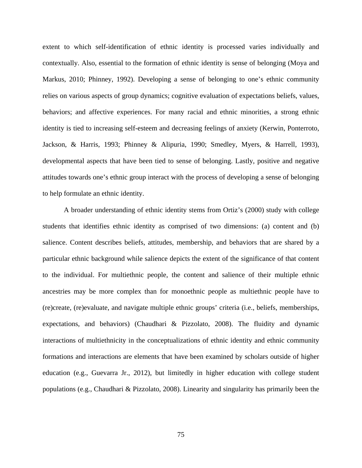extent to which self-identification of ethnic identity is processed varies individually and contextually. Also, essential to the formation of ethnic identity is sense of belonging (Moya and Markus, 2010; Phinney, 1992). Developing a sense of belonging to one's ethnic community relies on various aspects of group dynamics; cognitive evaluation of expectations beliefs, values, behaviors; and affective experiences. For many racial and ethnic minorities, a strong ethnic identity is tied to increasing self-esteem and decreasing feelings of anxiety (Kerwin, Ponterroto, Jackson, & Harris, 1993; Phinney & Alipuria, 1990; Smedley, Myers, & Harrell, 1993), developmental aspects that have been tied to sense of belonging. Lastly, positive and negative attitudes towards one's ethnic group interact with the process of developing a sense of belonging to help formulate an ethnic identity.

A broader understanding of ethnic identity stems from Ortiz's (2000) study with college students that identifies ethnic identity as comprised of two dimensions: (a) content and (b) salience. Content describes beliefs, attitudes, membership, and behaviors that are shared by a particular ethnic background while salience depicts the extent of the significance of that content to the individual. For multiethnic people, the content and salience of their multiple ethnic ancestries may be more complex than for monoethnic people as multiethnic people have to (re)create, (re)evaluate, and navigate multiple ethnic groups' criteria (i.e., beliefs, memberships, expectations, and behaviors) (Chaudhari & Pizzolato, 2008). The fluidity and dynamic interactions of multiethnicity in the conceptualizations of ethnic identity and ethnic community formations and interactions are elements that have been examined by scholars outside of higher education (e.g., Guevarra Jr., 2012), but limitedly in higher education with college student populations (e.g., Chaudhari & Pizzolato, 2008). Linearity and singularity has primarily been the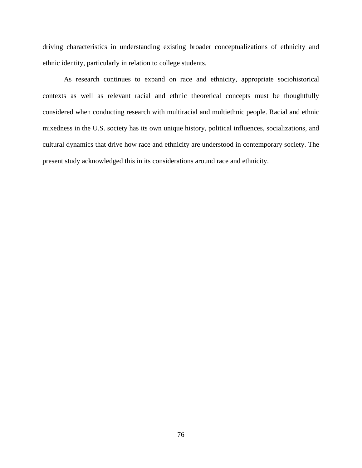driving characteristics in understanding existing broader conceptualizations of ethnicity and ethnic identity, particularly in relation to college students.

As research continues to expand on race and ethnicity, appropriate sociohistorical contexts as well as relevant racial and ethnic theoretical concepts must be thoughtfully considered when conducting research with multiracial and multiethnic people. Racial and ethnic mixedness in the U.S. society has its own unique history, political influences, socializations, and cultural dynamics that drive how race and ethnicity are understood in contemporary society. The present study acknowledged this in its considerations around race and ethnicity.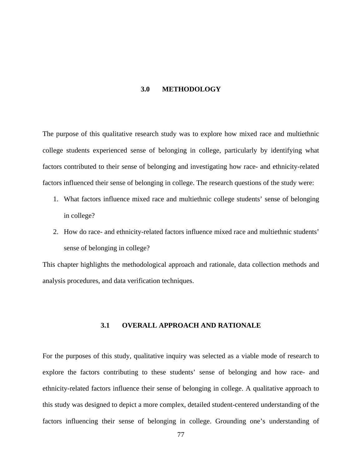### **3.0 METHODOLOGY**

The purpose of this qualitative research study was to explore how mixed race and multiethnic college students experienced sense of belonging in college, particularly by identifying what factors contributed to their sense of belonging and investigating how race- and ethnicity-related factors influenced their sense of belonging in college. The research questions of the study were:

- 1. What factors influence mixed race and multiethnic college students' sense of belonging in college?
- 2. How do race- and ethnicity-related factors influence mixed race and multiethnic students' sense of belonging in college?

This chapter highlights the methodological approach and rationale, data collection methods and analysis procedures, and data verification techniques.

# **3.1 OVERALL APPROACH AND RATIONALE**

For the purposes of this study, qualitative inquiry was selected as a viable mode of research to explore the factors contributing to these students' sense of belonging and how race- and ethnicity-related factors influence their sense of belonging in college. A qualitative approach to this study was designed to depict a more complex, detailed student-centered understanding of the factors influencing their sense of belonging in college. Grounding one's understanding of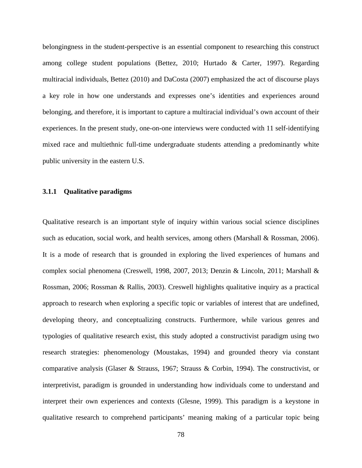belongingness in the student-perspective is an essential component to researching this construct among college student populations (Bettez, 2010; Hurtado & Carter, 1997). Regarding multiracial individuals, Bettez (2010) and DaCosta (2007) emphasized the act of discourse plays a key role in how one understands and expresses one's identities and experiences around belonging, and therefore, it is important to capture a multiracial individual's own account of their experiences. In the present study, one-on-one interviews were conducted with 11 self-identifying mixed race and multiethnic full-time undergraduate students attending a predominantly white public university in the eastern U.S.

# **3.1.1 Qualitative paradigms**

Qualitative research is an important style of inquiry within various social science disciplines such as education, social work, and health services, among others (Marshall & Rossman, 2006). It is a mode of research that is grounded in exploring the lived experiences of humans and complex social phenomena (Creswell, 1998, 2007, 2013; Denzin & Lincoln, 2011; Marshall & Rossman, 2006; Rossman & Rallis, 2003). Creswell highlights qualitative inquiry as a practical approach to research when exploring a specific topic or variables of interest that are undefined, developing theory, and conceptualizing constructs. Furthermore, while various genres and typologies of qualitative research exist, this study adopted a constructivist paradigm using two research strategies: phenomenology (Moustakas, 1994) and grounded theory via constant comparative analysis (Glaser & Strauss, 1967; Strauss & Corbin, 1994). The constructivist, or interpretivist, paradigm is grounded in understanding how individuals come to understand and interpret their own experiences and contexts (Glesne, 1999). This paradigm is a keystone in qualitative research to comprehend participants' meaning making of a particular topic being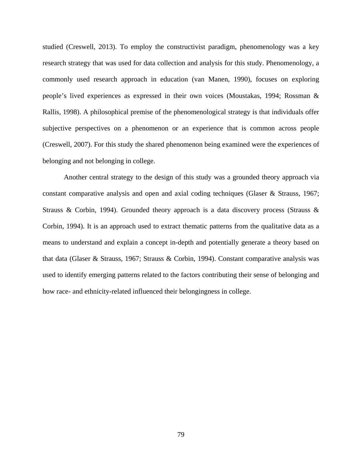studied (Creswell, 2013). To employ the constructivist paradigm, phenomenology was a key research strategy that was used for data collection and analysis for this study. Phenomenology, a commonly used research approach in education (van Manen, 1990), focuses on exploring people's lived experiences as expressed in their own voices (Moustakas, 1994; Rossman & Rallis, 1998). A philosophical premise of the phenomenological strategy is that individuals offer subjective perspectives on a phenomenon or an experience that is common across people (Creswell, 2007). For this study the shared phenomenon being examined were the experiences of belonging and not belonging in college.

Another central strategy to the design of this study was a grounded theory approach via constant comparative analysis and open and axial coding techniques (Glaser & Strauss, 1967; Strauss & Corbin, 1994). Grounded theory approach is a data discovery process (Strauss & Corbin, 1994). It is an approach used to extract thematic patterns from the qualitative data as a means to understand and explain a concept in-depth and potentially generate a theory based on that data (Glaser & Strauss, 1967; Strauss & Corbin, 1994). Constant comparative analysis was used to identify emerging patterns related to the factors contributing their sense of belonging and how race- and ethnicity-related influenced their belongingness in college.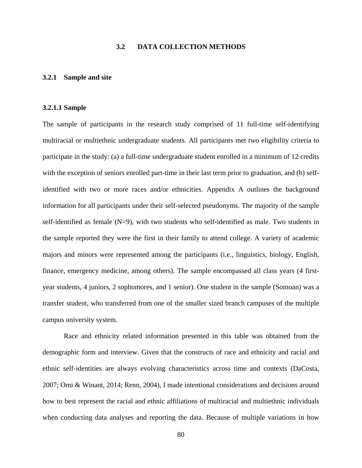# **3.2 DATA COLLECTION METHODS**

### **3.2.1 Sample and site**

#### **3.2.1.1 Sample**

The sample of participants in the research study comprised of 11 full-time self-identifying multiracial or multiethnic undergraduate students. All participants met two eligibility criteria to participate in the study: (a) a full-time undergraduate student enrolled in a minimum of 12 credits with the exception of seniors enrolled part-time in their last term prior to graduation, and (b) selfidentified with two or more races and/or ethnicities. Appendix A outlines the background information for all participants under their self-selected pseudonyms. The majority of the sample self-identified as female (N=9), with two students who self-identified as male. Two students in the sample reported they were the first in their family to attend college. A variety of academic majors and minors were represented among the participants (i.e., linguistics, biology, English, finance, emergency medicine, among others). The sample encompassed all class years (4 firstyear students, 4 juniors, 2 sophomores, and 1 senior). One student in the sample (Somoan) was a transfer student, who transferred from one of the smaller sized branch campuses of the multiple campus university system.

Race and ethnicity related information presented in this table was obtained from the demographic form and interview. Given that the constructs of race and ethnicity and racial and ethnic self-identities are always evolving characteristics across time and contexts (DaCosta, 2007; Omi & Winant, 2014; Renn, 2004), I made intentional considerations and decisions around how to best represent the racial and ethnic affiliations of multiracial and multiethnic individuals when conducting data analyses and reporting the data. Because of multiple variations in how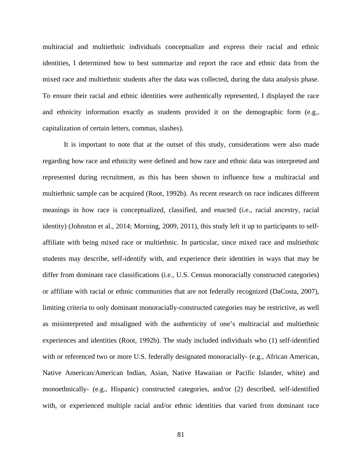multiracial and multiethnic individuals conceptualize and express their racial and ethnic identities, I determined how to best summarize and report the race and ethnic data from the mixed race and multiethnic students after the data was collected, during the data analysis phase. To ensure their racial and ethnic identities were authentically represented, I displayed the race and ethnicity information exactly as students provided it on the demographic form (e.g., capitalization of certain letters, commas, slashes).

It is important to note that at the outset of this study, considerations were also made regarding how race and ethnicity were defined and how race and ethnic data was interpreted and represented during recruitment, as this has been shown to influence how a multiracial and multiethnic sample can be acquired (Root, 1992b). As recent research on race indicates different meanings in how race is conceptualized, classified, and enacted (i.e., racial ancestry, racial identity) (Johnston et al., 2014; Morning, 2009, 2011), this study left it up to participants to selfaffiliate with being mixed race or multiethnic. In particular, since mixed race and multiethnic students may describe, self-identify with, and experience their identities in ways that may be differ from dominant race classifications (i.e., U.S. Census monoracially constructed categories) or affiliate with racial or ethnic communities that are not federally recognized (DaCosta, 2007), limiting criteria to only dominant monoracially-constructed categories may be restrictive, as well as misinterpreted and misaligned with the authenticity of one's multiracial and multiethnic experiences and identities (Root, 1992b). The study included individuals who (1) self-identified with or referenced two or more U.S. federally designated monoracially- (e.g., African American, Native American/American Indian, Asian, Native Hawaiian or Pacific Islander, white) and monoethnically- (e.g., Hispanic) constructed categories, and/or (2) described, self-identified with, or experienced multiple racial and/or ethnic identities that varied from dominant race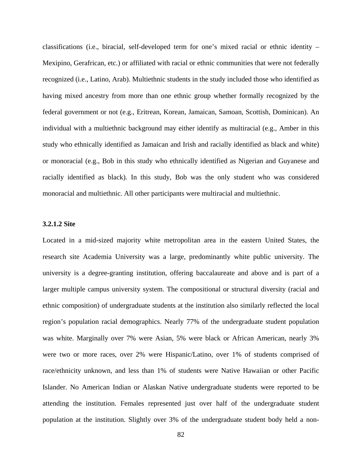classifications (i.e., biracial, self-developed term for one's mixed racial or ethnic identity – Mexipino, Gerafrican, etc.) or affiliated with racial or ethnic communities that were not federally recognized (i.e., Latino, Arab). Multiethnic students in the study included those who identified as having mixed ancestry from more than one ethnic group whether formally recognized by the federal government or not (e.g., Eritrean, Korean, Jamaican, Samoan, Scottish, Dominican). An individual with a multiethnic background may either identify as multiracial (e.g., Amber in this study who ethnically identified as Jamaican and Irish and racially identified as black and white) or monoracial (e.g., Bob in this study who ethnically identified as Nigerian and Guyanese and racially identified as black). In this study, Bob was the only student who was considered monoracial and multiethnic. All other participants were multiracial and multiethnic.

# **3.2.1.2 Site**

Located in a mid-sized majority white metropolitan area in the eastern United States, the research site Academia University was a large, predominantly white public university. The university is a degree-granting institution, offering baccalaureate and above and is part of a larger multiple campus university system. The compositional or structural diversity (racial and ethnic composition) of undergraduate students at the institution also similarly reflected the local region's population racial demographics. Nearly 77% of the undergraduate student population was white. Marginally over 7% were Asian, 5% were black or African American, nearly 3% were two or more races, over 2% were Hispanic/Latino, over 1% of students comprised of race/ethnicity unknown, and less than 1% of students were Native Hawaiian or other Pacific Islander. No American Indian or Alaskan Native undergraduate students were reported to be attending the institution. Females represented just over half of the undergraduate student population at the institution. Slightly over 3% of the undergraduate student body held a non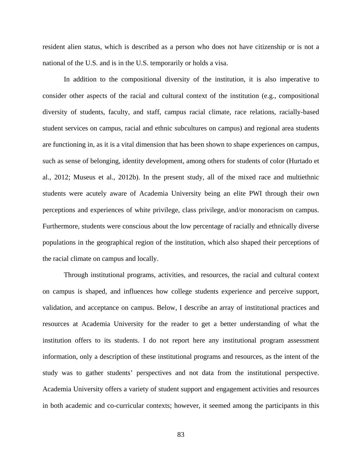resident alien status, which is described as a person who does not have citizenship or is not a national of the U.S. and is in the U.S. temporarily or holds a visa.

In addition to the compositional diversity of the institution, it is also imperative to consider other aspects of the racial and cultural context of the institution (e.g., compositional diversity of students, faculty, and staff, campus racial climate, race relations, racially-based student services on campus, racial and ethnic subcultures on campus) and regional area students are functioning in, as it is a vital dimension that has been shown to shape experiences on campus, such as sense of belonging, identity development, among others for students of color (Hurtado et al., 2012; Museus et al., 2012b). In the present study, all of the mixed race and multiethnic students were acutely aware of Academia University being an elite PWI through their own perceptions and experiences of white privilege, class privilege, and/or monoracism on campus. Furthermore, students were conscious about the low percentage of racially and ethnically diverse populations in the geographical region of the institution, which also shaped their perceptions of the racial climate on campus and locally.

Through institutional programs, activities, and resources, the racial and cultural context on campus is shaped, and influences how college students experience and perceive support, validation, and acceptance on campus. Below, I describe an array of institutional practices and resources at Academia University for the reader to get a better understanding of what the institution offers to its students. I do not report here any institutional program assessment information, only a description of these institutional programs and resources, as the intent of the study was to gather students' perspectives and not data from the institutional perspective. Academia University offers a variety of student support and engagement activities and resources in both academic and co-curricular contexts; however, it seemed among the participants in this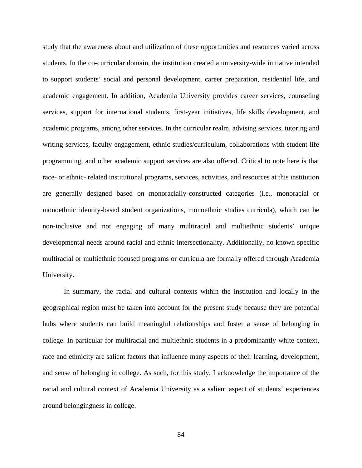study that the awareness about and utilization of these opportunities and resources varied across students. In the co-curricular domain, the institution created a university-wide initiative intended to support students' social and personal development, career preparation, residential life, and academic engagement. In addition, Academia University provides career services, counseling services, support for international students, first-year initiatives, life skills development, and academic programs, among other services. In the curricular realm, advising services, tutoring and writing services, faculty engagement, ethnic studies/curriculum, collaborations with student life programming, and other academic support services are also offered. Critical to note here is that race- or ethnic- related institutional programs, services, activities, and resources at this institution are generally designed based on monoracially-constructed categories (i.e., monoracial or monoethnic identity-based student organizations, monoethnic studies curricula), which can be non-inclusive and not engaging of many multiracial and multiethnic students' unique developmental needs around racial and ethnic intersectionality. Additionally, no known specific multiracial or multiethnic focused programs or curricula are formally offered through Academia University.

In summary, the racial and cultural contexts within the institution and locally in the geographical region must be taken into account for the present study because they are potential hubs where students can build meaningful relationships and foster a sense of belonging in college. In particular for multiracial and multiethnic students in a predominantly white context, race and ethnicity are salient factors that influence many aspects of their learning, development, and sense of belonging in college. As such, for this study, I acknowledge the importance of the racial and cultural context of Academia University as a salient aspect of students' experiences around belongingness in college.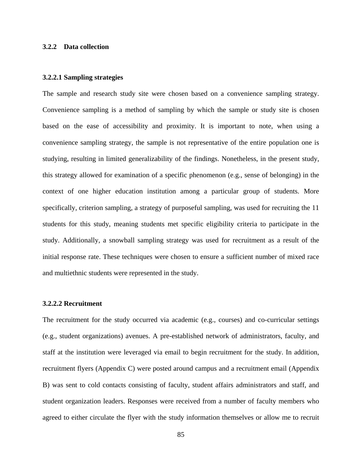### **3.2.2 Data collection**

### **3.2.2.1 Sampling strategies**

The sample and research study site were chosen based on a convenience sampling strategy. Convenience sampling is a method of sampling by which the sample or study site is chosen based on the ease of accessibility and proximity. It is important to note, when using a convenience sampling strategy, the sample is not representative of the entire population one is studying, resulting in limited generalizability of the findings. Nonetheless, in the present study, this strategy allowed for examination of a specific phenomenon (e.g., sense of belonging) in the context of one higher education institution among a particular group of students. More specifically, criterion sampling, a strategy of purposeful sampling, was used for recruiting the 11 students for this study, meaning students met specific eligibility criteria to participate in the study. Additionally, a snowball sampling strategy was used for recruitment as a result of the initial response rate. These techniques were chosen to ensure a sufficient number of mixed race and multiethnic students were represented in the study.

# **3.2.2.2 Recruitment**

The recruitment for the study occurred via academic (e.g., courses) and co-curricular settings (e.g., student organizations) avenues. A pre-established network of administrators, faculty, and staff at the institution were leveraged via email to begin recruitment for the study. In addition, recruitment flyers (Appendix C) were posted around campus and a recruitment email (Appendix B) was sent to cold contacts consisting of faculty, student affairs administrators and staff, and student organization leaders. Responses were received from a number of faculty members who agreed to either circulate the flyer with the study information themselves or allow me to recruit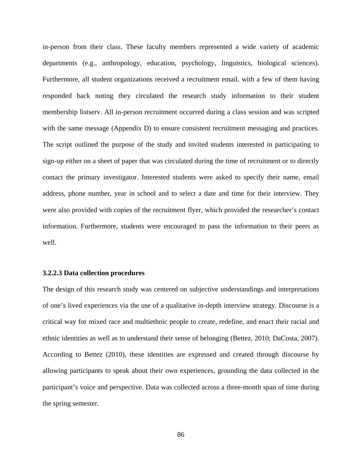in-person from their class. These faculty members represented a wide variety of academic departments (e.g., anthropology, education, psychology, linguistics, biological sciences). Furthermore, all student organizations received a recruitment email, with a few of them having responded back noting they circulated the research study information to their student membership listserv. All in-person recruitment occurred during a class session and was scripted with the same message (Appendix D) to ensure consistent recruitment messaging and practices. The script outlined the purpose of the study and invited students interested in participating to sign-up either on a sheet of paper that was circulated during the time of recruitment or to directly contact the primary investigator. Interested students were asked to specify their name, email address, phone number, year in school and to select a date and time for their interview. They were also provided with copies of the recruitment flyer, which provided the researcher's contact information. Furthermore, students were encouraged to pass the information to their peers as well.

### **3.2.2.3 Data collection procedures**

The design of this research study was centered on subjective understandings and interpretations of one's lived experiences via the use of a qualitative in-depth interview strategy. Discourse is a critical way for mixed race and multiethnic people to create, redefine, and enact their racial and ethnic identities as well as to understand their sense of belonging (Bettez, 2010; DaCosta, 2007). According to Bettez (2010), these identities are expressed and created through discourse by allowing participants to speak about their own experiences, grounding the data collected in the participant's voice and perspective. Data was collected across a three-month span of time during the spring semester.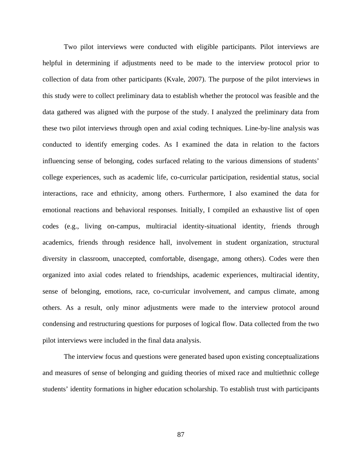Two pilot interviews were conducted with eligible participants. Pilot interviews are helpful in determining if adjustments need to be made to the interview protocol prior to collection of data from other participants (Kvale, 2007). The purpose of the pilot interviews in this study were to collect preliminary data to establish whether the protocol was feasible and the data gathered was aligned with the purpose of the study. I analyzed the preliminary data from these two pilot interviews through open and axial coding techniques. Line-by-line analysis was conducted to identify emerging codes. As I examined the data in relation to the factors influencing sense of belonging, codes surfaced relating to the various dimensions of students' college experiences, such as academic life, co-curricular participation, residential status, social interactions, race and ethnicity, among others. Furthermore, I also examined the data for emotional reactions and behavioral responses. Initially, I compiled an exhaustive list of open codes (e.g., living on-campus, multiracial identity-situational identity, friends through academics, friends through residence hall, involvement in student organization, structural diversity in classroom, unaccepted, comfortable, disengage, among others). Codes were then organized into axial codes related to friendships, academic experiences, multiracial identity, sense of belonging, emotions, race, co-curricular involvement, and campus climate, among others. As a result, only minor adjustments were made to the interview protocol around condensing and restructuring questions for purposes of logical flow. Data collected from the two pilot interviews were included in the final data analysis.

The interview focus and questions were generated based upon existing conceptualizations and measures of sense of belonging and guiding theories of mixed race and multiethnic college students' identity formations in higher education scholarship. To establish trust with participants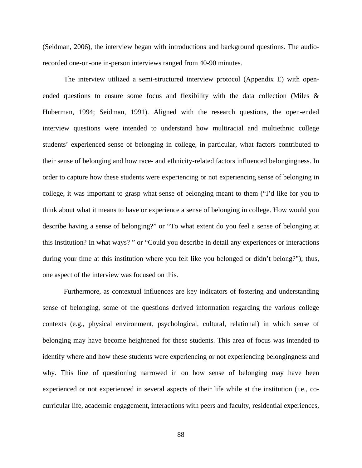(Seidman, 2006), the interview began with introductions and background questions. The audiorecorded one-on-one in-person interviews ranged from 40-90 minutes.

The interview utilized a semi-structured interview protocol (Appendix E) with openended questions to ensure some focus and flexibility with the data collection (Miles & Huberman, 1994; Seidman, 1991). Aligned with the research questions, the open-ended interview questions were intended to understand how multiracial and multiethnic college students' experienced sense of belonging in college, in particular, what factors contributed to their sense of belonging and how race- and ethnicity-related factors influenced belongingness. In order to capture how these students were experiencing or not experiencing sense of belonging in college, it was important to grasp what sense of belonging meant to them ("I'd like for you to think about what it means to have or experience a sense of belonging in college. How would you describe having a sense of belonging?" or "To what extent do you feel a sense of belonging at this institution? In what ways? " or "Could you describe in detail any experiences or interactions during your time at this institution where you felt like you belonged or didn't belong?"); thus, one aspect of the interview was focused on this.

Furthermore, as contextual influences are key indicators of fostering and understanding sense of belonging, some of the questions derived information regarding the various college contexts (e.g., physical environment, psychological, cultural, relational) in which sense of belonging may have become heightened for these students. This area of focus was intended to identify where and how these students were experiencing or not experiencing belongingness and why. This line of questioning narrowed in on how sense of belonging may have been experienced or not experienced in several aspects of their life while at the institution (i.e., cocurricular life, academic engagement, interactions with peers and faculty, residential experiences,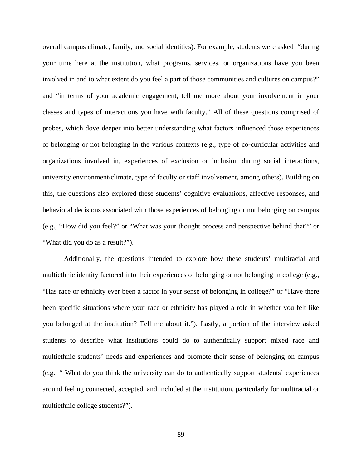overall campus climate, family, and social identities). For example, students were asked "during your time here at the institution, what programs, services, or organizations have you been involved in and to what extent do you feel a part of those communities and cultures on campus?" and "in terms of your academic engagement, tell me more about your involvement in your classes and types of interactions you have with faculty." All of these questions comprised of probes, which dove deeper into better understanding what factors influenced those experiences of belonging or not belonging in the various contexts (e.g., type of co-curricular activities and organizations involved in, experiences of exclusion or inclusion during social interactions, university environment/climate, type of faculty or staff involvement, among others). Building on this, the questions also explored these students' cognitive evaluations, affective responses, and behavioral decisions associated with those experiences of belonging or not belonging on campus (e.g., "How did you feel?" or "What was your thought process and perspective behind that?" or "What did you do as a result?").

Additionally, the questions intended to explore how these students' multiracial and multiethnic identity factored into their experiences of belonging or not belonging in college (e.g., "Has race or ethnicity ever been a factor in your sense of belonging in college?" or "Have there been specific situations where your race or ethnicity has played a role in whether you felt like you belonged at the institution? Tell me about it."). Lastly, a portion of the interview asked students to describe what institutions could do to authentically support mixed race and multiethnic students' needs and experiences and promote their sense of belonging on campus (e.g., " What do you think the university can do to authentically support students' experiences around feeling connected, accepted, and included at the institution, particularly for multiracial or multiethnic college students?").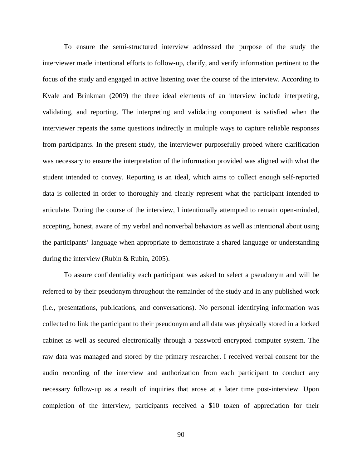To ensure the semi-structured interview addressed the purpose of the study the interviewer made intentional efforts to follow-up, clarify, and verify information pertinent to the focus of the study and engaged in active listening over the course of the interview. According to Kvale and Brinkman (2009) the three ideal elements of an interview include interpreting, validating, and reporting. The interpreting and validating component is satisfied when the interviewer repeats the same questions indirectly in multiple ways to capture reliable responses from participants. In the present study, the interviewer purposefully probed where clarification was necessary to ensure the interpretation of the information provided was aligned with what the student intended to convey. Reporting is an ideal, which aims to collect enough self-reported data is collected in order to thoroughly and clearly represent what the participant intended to articulate. During the course of the interview, I intentionally attempted to remain open-minded, accepting, honest, aware of my verbal and nonverbal behaviors as well as intentional about using the participants' language when appropriate to demonstrate a shared language or understanding during the interview (Rubin & Rubin, 2005).

To assure confidentiality each participant was asked to select a pseudonym and will be referred to by their pseudonym throughout the remainder of the study and in any published work (i.e., presentations, publications, and conversations). No personal identifying information was collected to link the participant to their pseudonym and all data was physically stored in a locked cabinet as well as secured electronically through a password encrypted computer system. The raw data was managed and stored by the primary researcher. I received verbal consent for the audio recording of the interview and authorization from each participant to conduct any necessary follow-up as a result of inquiries that arose at a later time post-interview. Upon completion of the interview, participants received a \$10 token of appreciation for their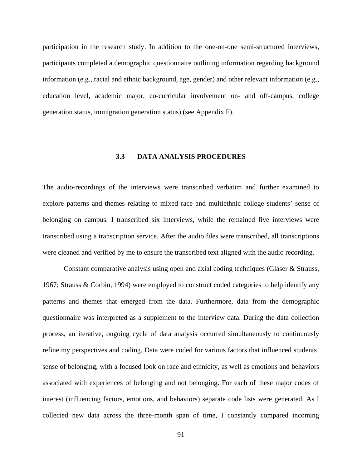participation in the research study. In addition to the one-on-one semi-structured interviews, participants completed a demographic questionnaire outlining information regarding background information (e.g., racial and ethnic background, age, gender) and other relevant information (e.g., education level, academic major, co-curricular involvement on- and off-campus, college generation status, immigration generation status) (see Appendix F).

# **3.3 DATA ANALYSIS PROCEDURES**

The audio-recordings of the interviews were transcribed verbatim and further examined to explore patterns and themes relating to mixed race and multiethnic college students' sense of belonging on campus. I transcribed six interviews, while the remained five interviews were transcribed using a transcription service. After the audio files were transcribed, all transcriptions were cleaned and verified by me to ensure the transcribed text aligned with the audio recording.

Constant comparative analysis using open and axial coding techniques (Glaser & Strauss, 1967; Strauss & Corbin, 1994) were employed to construct coded categories to help identify any patterns and themes that emerged from the data. Furthermore, data from the demographic questionnaire was interpreted as a supplement to the interview data. During the data collection process, an iterative, ongoing cycle of data analysis occurred simultaneously to continuously refine my perspectives and coding. Data were coded for various factors that influenced students' sense of belonging, with a focused look on race and ethnicity, as well as emotions and behaviors associated with experiences of belonging and not belonging. For each of these major codes of interest (influencing factors, emotions, and behaviors) separate code lists were generated. As I collected new data across the three-month span of time, I constantly compared incoming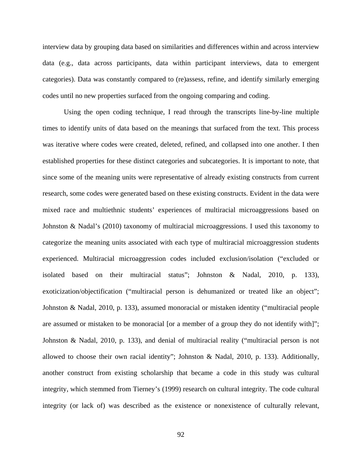interview data by grouping data based on similarities and differences within and across interview data (e.g., data across participants, data within participant interviews, data to emergent categories). Data was constantly compared to (re)assess, refine, and identify similarly emerging codes until no new properties surfaced from the ongoing comparing and coding.

Using the open coding technique, I read through the transcripts line-by-line multiple times to identify units of data based on the meanings that surfaced from the text. This process was iterative where codes were created, deleted, refined, and collapsed into one another. I then established properties for these distinct categories and subcategories. It is important to note, that since some of the meaning units were representative of already existing constructs from current research, some codes were generated based on these existing constructs. Evident in the data were mixed race and multiethnic students' experiences of multiracial microaggressions based on Johnston & Nadal's (2010) taxonomy of multiracial microaggressions. I used this taxonomy to categorize the meaning units associated with each type of multiracial microaggression students experienced. Multiracial microaggression codes included exclusion/isolation ("excluded or isolated based on their multiracial status"; Johnston & Nadal, 2010, p. 133), exoticization/objectification ("multiracial person is dehumanized or treated like an object"; Johnston & Nadal, 2010, p. 133), assumed monoracial or mistaken identity ("multiracial people are assumed or mistaken to be monoracial [or a member of a group they do not identify with]"; Johnston & Nadal, 2010, p. 133), and denial of multiracial reality ("multiracial person is not allowed to choose their own racial identity"; Johnston & Nadal, 2010, p. 133). Additionally, another construct from existing scholarship that became a code in this study was cultural integrity, which stemmed from Tierney's (1999) research on cultural integrity. The code cultural integrity (or lack of) was described as the existence or nonexistence of culturally relevant,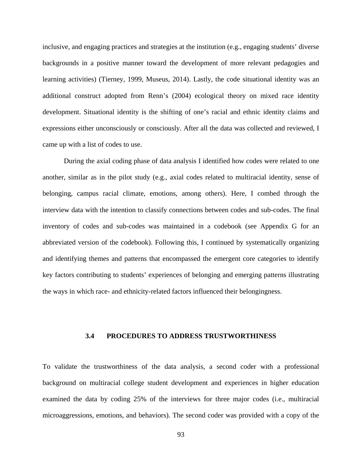inclusive, and engaging practices and strategies at the institution (e.g., engaging students' diverse backgrounds in a positive manner toward the development of more relevant pedagogies and learning activities) (Tierney, 1999, Museus, 2014). Lastly, the code situational identity was an additional construct adopted from Renn's (2004) ecological theory on mixed race identity development. Situational identity is the shifting of one's racial and ethnic identity claims and expressions either unconsciously or consciously. After all the data was collected and reviewed, I came up with a list of codes to use.

During the axial coding phase of data analysis I identified how codes were related to one another, similar as in the pilot study (e.g., axial codes related to multiracial identity, sense of belonging, campus racial climate, emotions, among others). Here, I combed through the interview data with the intention to classify connections between codes and sub-codes. The final inventory of codes and sub-codes was maintained in a codebook (see Appendix G for an abbreviated version of the codebook). Following this, I continued by systematically organizing and identifying themes and patterns that encompassed the emergent core categories to identify key factors contributing to students' experiences of belonging and emerging patterns illustrating the ways in which race- and ethnicity-related factors influenced their belongingness.

# **3.4 PROCEDURES TO ADDRESS TRUSTWORTHINESS**

To validate the trustworthiness of the data analysis, a second coder with a professional background on multiracial college student development and experiences in higher education examined the data by coding 25% of the interviews for three major codes (i.e., multiracial microaggressions, emotions, and behaviors). The second coder was provided with a copy of the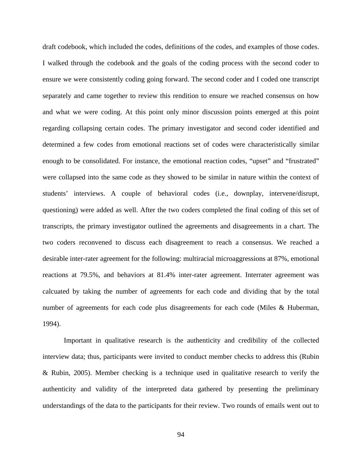draft codebook, which included the codes, definitions of the codes, and examples of those codes. I walked through the codebook and the goals of the coding process with the second coder to ensure we were consistently coding going forward. The second coder and I coded one transcript separately and came together to review this rendition to ensure we reached consensus on how and what we were coding. At this point only minor discussion points emerged at this point regarding collapsing certain codes. The primary investigator and second coder identified and determined a few codes from emotional reactions set of codes were characteristically similar enough to be consolidated. For instance, the emotional reaction codes, "upset" and "frustrated" were collapsed into the same code as they showed to be similar in nature within the context of students' interviews. A couple of behavioral codes (i.e., downplay, intervene/disrupt, questioning) were added as well. After the two coders completed the final coding of this set of transcripts, the primary investigator outlined the agreements and disagreements in a chart. The two coders reconvened to discuss each disagreement to reach a consensus. We reached a desirable inter-rater agreement for the following: multiracial microaggressions at 87%, emotional reactions at 79.5%, and behaviors at 81.4% inter-rater agreement. Interrater agreement was calcuated by taking the number of agreements for each code and dividing that by the total number of agreements for each code plus disagreements for each code (Miles & Huberman, 1994).

Important in qualitative research is the authenticity and credibility of the collected interview data; thus, participants were invited to conduct member checks to address this (Rubin & Rubin, 2005). Member checking is a technique used in qualitative research to verify the authenticity and validity of the interpreted data gathered by presenting the preliminary understandings of the data to the participants for their review. Two rounds of emails went out to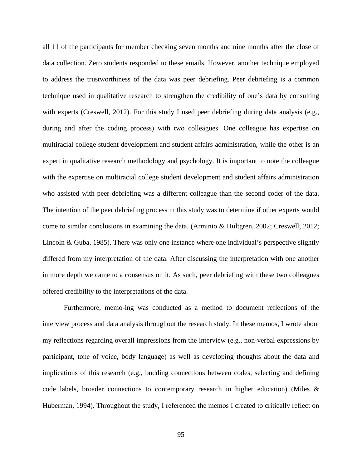all 11 of the participants for member checking seven months and nine months after the close of data collection. Zero students responded to these emails. However, another technique employed to address the trustworthiness of the data was peer debriefing. Peer debriefing is a common technique used in qualitative research to strengthen the credibility of one's data by consulting with experts (Creswell, 2012). For this study I used peer debriefing during data analysis (e.g., during and after the coding process) with two colleagues. One colleague has expertise on multiracial college student development and student affairs administration, while the other is an expert in qualitative research methodology and psychology. It is important to note the colleague with the expertise on multiracial college student development and student affairs administration who assisted with peer debriefing was a different colleague than the second coder of the data. The intention of the peer debriefing process in this study was to determine if other experts would come to similar conclusions in examining the data. (Arminio & Hultgren, 2002; Creswell, 2012; Lincoln & Guba, 1985). There was only one instance where one individual's perspective slightly differed from my interpretation of the data. After discussing the interpretation with one another in more depth we came to a consensus on it. As such, peer debriefing with these two colleagues offered credibility to the interpretations of the data.

Furthermore, memo-ing was conducted as a method to document reflections of the interview process and data analysis throughout the research study. In these memos, I wrote about my reflections regarding overall impressions from the interview (e.g., non-verbal expressions by participant, tone of voice, body language) as well as developing thoughts about the data and implications of this research (e.g., budding connections between codes, selecting and defining code labels, broader connections to contemporary research in higher education) (Miles & Huberman, 1994). Throughout the study, I referenced the memos I created to critically reflect on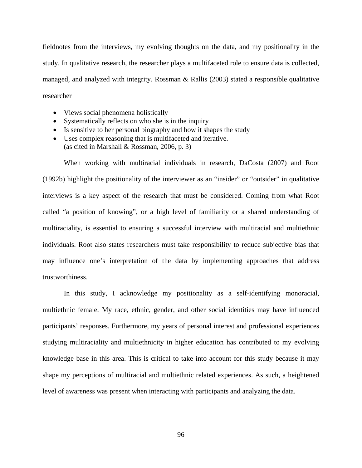fieldnotes from the interviews, my evolving thoughts on the data, and my positionality in the study. In qualitative research, the researcher plays a multifaceted role to ensure data is collected, managed, and analyzed with integrity. Rossman & Rallis (2003) stated a responsible qualitative researcher

- Views social phenomena holistically
- Systematically reflects on who she is in the inquiry
- Is sensitive to her personal biography and how it shapes the study
- Uses complex reasoning that is multifaceted and iterative. (as cited in Marshall & Rossman, 2006, p. 3)

When working with multiracial individuals in research, DaCosta (2007) and Root (1992b) highlight the positionality of the interviewer as an "insider" or "outsider" in qualitative interviews is a key aspect of the research that must be considered. Coming from what Root called "a position of knowing", or a high level of familiarity or a shared understanding of multiraciality, is essential to ensuring a successful interview with multiracial and multiethnic individuals. Root also states researchers must take responsibility to reduce subjective bias that may influence one's interpretation of the data by implementing approaches that address trustworthiness.

In this study, I acknowledge my positionality as a self-identifying monoracial, multiethnic female. My race, ethnic, gender, and other social identities may have influenced participants' responses. Furthermore, my years of personal interest and professional experiences studying multiraciality and multiethnicity in higher education has contributed to my evolving knowledge base in this area. This is critical to take into account for this study because it may shape my perceptions of multiracial and multiethnic related experiences. As such, a heightened level of awareness was present when interacting with participants and analyzing the data.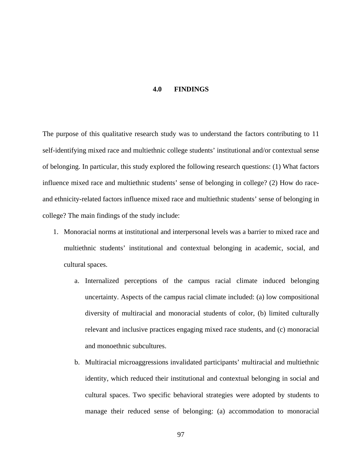#### **4.0 FINDINGS**

The purpose of this qualitative research study was to understand the factors contributing to 11 self-identifying mixed race and multiethnic college students' institutional and/or contextual sense of belonging. In particular, this study explored the following research questions: (1) What factors influence mixed race and multiethnic students' sense of belonging in college? (2) How do raceand ethnicity-related factors influence mixed race and multiethnic students' sense of belonging in college? The main findings of the study include:

- 1. Monoracial norms at institutional and interpersonal levels was a barrier to mixed race and multiethnic students' institutional and contextual belonging in academic, social, and cultural spaces.
	- a. Internalized perceptions of the campus racial climate induced belonging uncertainty. Aspects of the campus racial climate included: (a) low compositional diversity of multiracial and monoracial students of color, (b) limited culturally relevant and inclusive practices engaging mixed race students, and (c) monoracial and monoethnic subcultures.
	- b. Multiracial microaggressions invalidated participants' multiracial and multiethnic identity, which reduced their institutional and contextual belonging in social and cultural spaces. Two specific behavioral strategies were adopted by students to manage their reduced sense of belonging: (a) accommodation to monoracial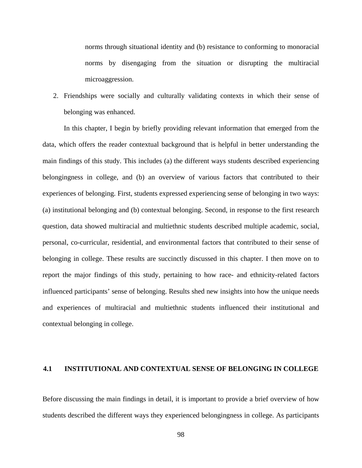norms through situational identity and (b) resistance to conforming to monoracial norms by disengaging from the situation or disrupting the multiracial microaggression.

2. Friendships were socially and culturally validating contexts in which their sense of belonging was enhanced.

In this chapter, I begin by briefly providing relevant information that emerged from the data, which offers the reader contextual background that is helpful in better understanding the main findings of this study. This includes (a) the different ways students described experiencing belongingness in college, and (b) an overview of various factors that contributed to their experiences of belonging. First, students expressed experiencing sense of belonging in two ways: (a) institutional belonging and (b) contextual belonging. Second, in response to the first research question, data showed multiracial and multiethnic students described multiple academic, social, personal, co-curricular, residential, and environmental factors that contributed to their sense of belonging in college. These results are succinctly discussed in this chapter. I then move on to report the major findings of this study, pertaining to how race- and ethnicity-related factors influenced participants' sense of belonging. Results shed new insights into how the unique needs and experiences of multiracial and multiethnic students influenced their institutional and contextual belonging in college.

### **4.1 INSTITUTIONAL AND CONTEXTUAL SENSE OF BELONGING IN COLLEGE**

Before discussing the main findings in detail, it is important to provide a brief overview of how students described the different ways they experienced belongingness in college. As participants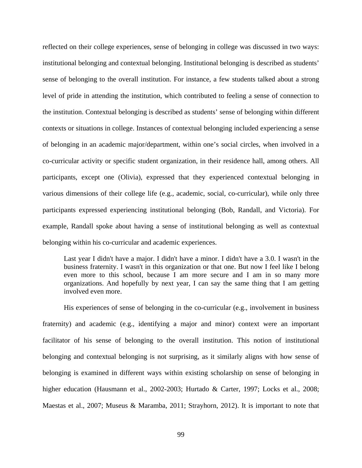reflected on their college experiences, sense of belonging in college was discussed in two ways: institutional belonging and contextual belonging. Institutional belonging is described as students' sense of belonging to the overall institution. For instance, a few students talked about a strong level of pride in attending the institution, which contributed to feeling a sense of connection to the institution. Contextual belonging is described as students' sense of belonging within different contexts or situations in college. Instances of contextual belonging included experiencing a sense of belonging in an academic major/department, within one's social circles, when involved in a co-curricular activity or specific student organization, in their residence hall, among others. All participants, except one (Olivia), expressed that they experienced contextual belonging in various dimensions of their college life (e.g., academic, social, co-curricular), while only three participants expressed experiencing institutional belonging (Bob, Randall, and Victoria). For example, Randall spoke about having a sense of institutional belonging as well as contextual belonging within his co-curricular and academic experiences.

Last year I didn't have a major. I didn't have a minor. I didn't have a 3.0. I wasn't in the business fraternity. I wasn't in this organization or that one. But now I feel like I belong even more to this school, because I am more secure and I am in so many more organizations. And hopefully by next year, I can say the same thing that I am getting involved even more.

His experiences of sense of belonging in the co-curricular (e.g., involvement in business fraternity) and academic (e.g., identifying a major and minor) context were an important facilitator of his sense of belonging to the overall institution. This notion of institutional belonging and contextual belonging is not surprising, as it similarly aligns with how sense of belonging is examined in different ways within existing scholarship on sense of belonging in higher education (Hausmann et al., 2002-2003; Hurtado & Carter, 1997; Locks et al., 2008; Maestas et al., 2007; Museus & Maramba, 2011; Strayhorn, 2012). It is important to note that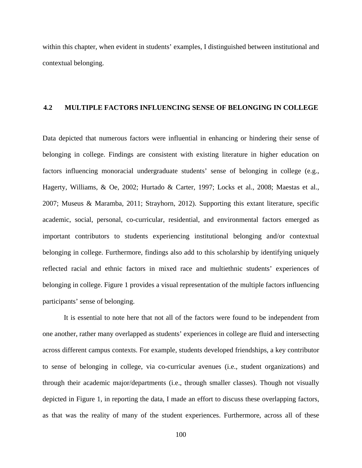within this chapter, when evident in students' examples, I distinguished between institutional and contextual belonging.

### **4.2 MULTIPLE FACTORS INFLUENCING SENSE OF BELONGING IN COLLEGE**

Data depicted that numerous factors were influential in enhancing or hindering their sense of belonging in college. Findings are consistent with existing literature in higher education on factors influencing monoracial undergraduate students' sense of belonging in college (e.g., Hagerty, Williams, & Oe, 2002; Hurtado & Carter, 1997; Locks et al., 2008; Maestas et al., 2007; Museus & Maramba, 2011; Strayhorn, 2012). Supporting this extant literature, specific academic, social, personal, co-curricular, residential, and environmental factors emerged as important contributors to students experiencing institutional belonging and/or contextual belonging in college. Furthermore, findings also add to this scholarship by identifying uniquely reflected racial and ethnic factors in mixed race and multiethnic students' experiences of belonging in college. Figure 1 provides a visual representation of the multiple factors influencing participants' sense of belonging.

It is essential to note here that not all of the factors were found to be independent from one another, rather many overlapped as students' experiences in college are fluid and intersecting across different campus contexts. For example, students developed friendships, a key contributor to sense of belonging in college, via co-curricular avenues (i.e., student organizations) and through their academic major/departments (i.e., through smaller classes). Though not visually depicted in Figure 1, in reporting the data, I made an effort to discuss these overlapping factors, as that was the reality of many of the student experiences. Furthermore, across all of these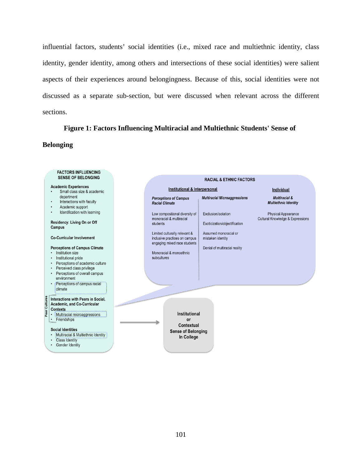influential factors, students' social identities (i.e., mixed race and multiethnic identity, class identity, gender identity, among others and intersections of these social identities) were salient aspects of their experiences around belongingness. Because of this, social identities were not discussed as a separate sub-section, but were discussed when relevant across the different sections.

### **Figure 1: Factors Influencing Multiracial and Multiethnic Students' Sense of**

### **Belonging**

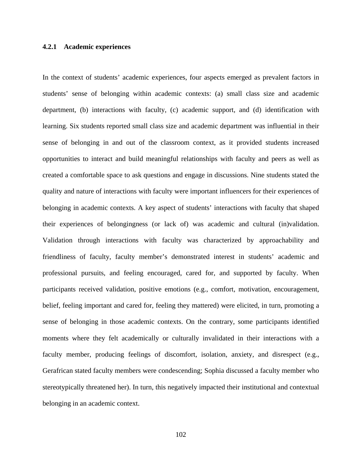### **4.2.1 Academic experiences**

In the context of students' academic experiences, four aspects emerged as prevalent factors in students' sense of belonging within academic contexts: (a) small class size and academic department, (b) interactions with faculty, (c) academic support, and (d) identification with learning. Six students reported small class size and academic department was influential in their sense of belonging in and out of the classroom context, as it provided students increased opportunities to interact and build meaningful relationships with faculty and peers as well as created a comfortable space to ask questions and engage in discussions. Nine students stated the quality and nature of interactions with faculty were important influencers for their experiences of belonging in academic contexts. A key aspect of students' interactions with faculty that shaped their experiences of belongingness (or lack of) was academic and cultural (in)validation. Validation through interactions with faculty was characterized by approachability and friendliness of faculty, faculty member's demonstrated interest in students' academic and professional pursuits, and feeling encouraged, cared for, and supported by faculty. When participants received validation, positive emotions (e.g., comfort, motivation, encouragement, belief, feeling important and cared for, feeling they mattered) were elicited, in turn, promoting a sense of belonging in those academic contexts. On the contrary, some participants identified moments where they felt academically or culturally invalidated in their interactions with a faculty member, producing feelings of discomfort, isolation, anxiety, and disrespect (e.g., Gerafrican stated faculty members were condescending; Sophia discussed a faculty member who stereotypically threatened her). In turn, this negatively impacted their institutional and contextual belonging in an academic context.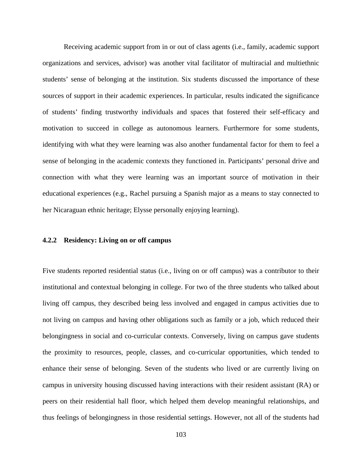Receiving academic support from in or out of class agents (i.e., family, academic support organizations and services, advisor) was another vital facilitator of multiracial and multiethnic students' sense of belonging at the institution. Six students discussed the importance of these sources of support in their academic experiences. In particular, results indicated the significance of students' finding trustworthy individuals and spaces that fostered their self-efficacy and motivation to succeed in college as autonomous learners. Furthermore for some students, identifying with what they were learning was also another fundamental factor for them to feel a sense of belonging in the academic contexts they functioned in. Participants' personal drive and connection with what they were learning was an important source of motivation in their educational experiences (e.g., Rachel pursuing a Spanish major as a means to stay connected to her Nicaraguan ethnic heritage; Elysse personally enjoying learning).

### **4.2.2 Residency: Living on or off campus**

Five students reported residential status (i.e., living on or off campus) was a contributor to their institutional and contextual belonging in college. For two of the three students who talked about living off campus, they described being less involved and engaged in campus activities due to not living on campus and having other obligations such as family or a job, which reduced their belongingness in social and co-curricular contexts. Conversely, living on campus gave students the proximity to resources, people, classes, and co-curricular opportunities, which tended to enhance their sense of belonging. Seven of the students who lived or are currently living on campus in university housing discussed having interactions with their resident assistant (RA) or peers on their residential hall floor, which helped them develop meaningful relationships, and thus feelings of belongingness in those residential settings. However, not all of the students had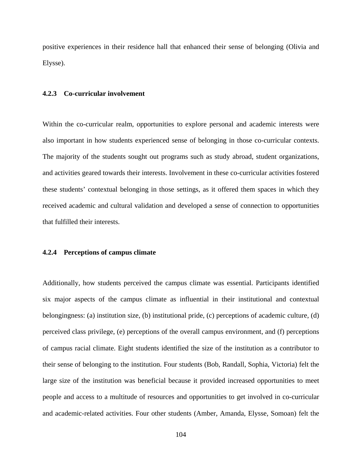positive experiences in their residence hall that enhanced their sense of belonging (Olivia and Elysse).

### **4.2.3 Co-curricular involvement**

Within the co-curricular realm, opportunities to explore personal and academic interests were also important in how students experienced sense of belonging in those co-curricular contexts. The majority of the students sought out programs such as study abroad, student organizations, and activities geared towards their interests. Involvement in these co-curricular activities fostered these students' contextual belonging in those settings, as it offered them spaces in which they received academic and cultural validation and developed a sense of connection to opportunities that fulfilled their interests.

### **4.2.4 Perceptions of campus climate**

Additionally, how students perceived the campus climate was essential. Participants identified six major aspects of the campus climate as influential in their institutional and contextual belongingness: (a) institution size, (b) institutional pride, (c) perceptions of academic culture, (d) perceived class privilege, (e) perceptions of the overall campus environment, and (f) perceptions of campus racial climate. Eight students identified the size of the institution as a contributor to their sense of belonging to the institution. Four students (Bob, Randall, Sophia, Victoria) felt the large size of the institution was beneficial because it provided increased opportunities to meet people and access to a multitude of resources and opportunities to get involved in co-curricular and academic-related activities. Four other students (Amber, Amanda, Elysse, Somoan) felt the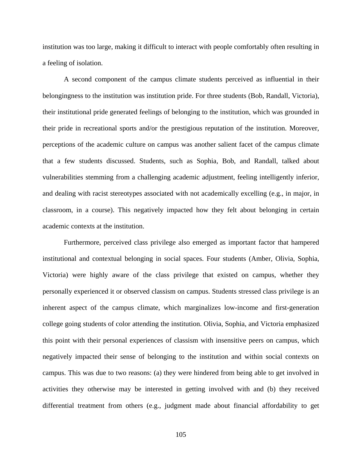institution was too large, making it difficult to interact with people comfortably often resulting in a feeling of isolation.

A second component of the campus climate students perceived as influential in their belongingness to the institution was institution pride. For three students (Bob, Randall, Victoria), their institutional pride generated feelings of belonging to the institution, which was grounded in their pride in recreational sports and/or the prestigious reputation of the institution. Moreover, perceptions of the academic culture on campus was another salient facet of the campus climate that a few students discussed. Students, such as Sophia, Bob, and Randall, talked about vulnerabilities stemming from a challenging academic adjustment, feeling intelligently inferior, and dealing with racist stereotypes associated with not academically excelling (e.g., in major, in classroom, in a course). This negatively impacted how they felt about belonging in certain academic contexts at the institution.

Furthermore, perceived class privilege also emerged as important factor that hampered institutional and contextual belonging in social spaces. Four students (Amber, Olivia, Sophia, Victoria) were highly aware of the class privilege that existed on campus, whether they personally experienced it or observed classism on campus. Students stressed class privilege is an inherent aspect of the campus climate, which marginalizes low-income and first-generation college going students of color attending the institution. Olivia, Sophia, and Victoria emphasized this point with their personal experiences of classism with insensitive peers on campus, which negatively impacted their sense of belonging to the institution and within social contexts on campus. This was due to two reasons: (a) they were hindered from being able to get involved in activities they otherwise may be interested in getting involved with and (b) they received differential treatment from others (e.g., judgment made about financial affordability to get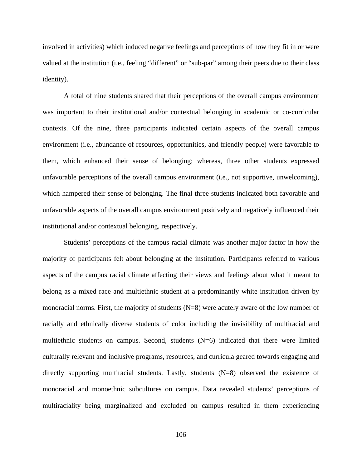involved in activities) which induced negative feelings and perceptions of how they fit in or were valued at the institution (i.e., feeling "different" or "sub-par" among their peers due to their class identity).

A total of nine students shared that their perceptions of the overall campus environment was important to their institutional and/or contextual belonging in academic or co-curricular contexts. Of the nine, three participants indicated certain aspects of the overall campus environment (i.e., abundance of resources, opportunities, and friendly people) were favorable to them, which enhanced their sense of belonging; whereas, three other students expressed unfavorable perceptions of the overall campus environment (i.e., not supportive, unwelcoming), which hampered their sense of belonging. The final three students indicated both favorable and unfavorable aspects of the overall campus environment positively and negatively influenced their institutional and/or contextual belonging, respectively.

Students' perceptions of the campus racial climate was another major factor in how the majority of participants felt about belonging at the institution. Participants referred to various aspects of the campus racial climate affecting their views and feelings about what it meant to belong as a mixed race and multiethnic student at a predominantly white institution driven by monoracial norms. First, the majority of students (N=8) were acutely aware of the low number of racially and ethnically diverse students of color including the invisibility of multiracial and multiethnic students on campus. Second, students  $(N=6)$  indicated that there were limited culturally relevant and inclusive programs, resources, and curricula geared towards engaging and directly supporting multiracial students. Lastly, students (N=8) observed the existence of monoracial and monoethnic subcultures on campus. Data revealed students' perceptions of multiraciality being marginalized and excluded on campus resulted in them experiencing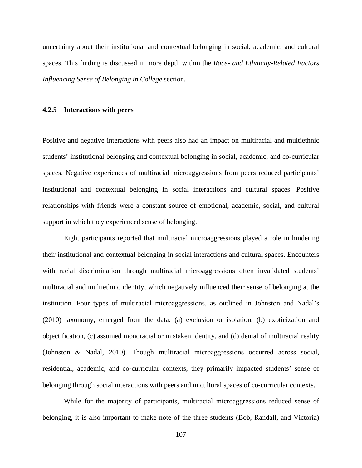uncertainty about their institutional and contextual belonging in social, academic, and cultural spaces. This finding is discussed in more depth within the *Race- and Ethnicity-Related Factors Influencing Sense of Belonging in College* section.

### **4.2.5 Interactions with peers**

Positive and negative interactions with peers also had an impact on multiracial and multiethnic students' institutional belonging and contextual belonging in social, academic, and co-curricular spaces. Negative experiences of multiracial microaggressions from peers reduced participants' institutional and contextual belonging in social interactions and cultural spaces. Positive relationships with friends were a constant source of emotional, academic, social, and cultural support in which they experienced sense of belonging.

Eight participants reported that multiracial microaggressions played a role in hindering their institutional and contextual belonging in social interactions and cultural spaces. Encounters with racial discrimination through multiracial microaggressions often invalidated students' multiracial and multiethnic identity, which negatively influenced their sense of belonging at the institution. Four types of multiracial microaggressions, as outlined in Johnston and Nadal's (2010) taxonomy, emerged from the data: (a) exclusion or isolation, (b) exoticization and objectification, (c) assumed monoracial or mistaken identity, and (d) denial of multiracial reality (Johnston & Nadal, 2010). Though multiracial microaggressions occurred across social, residential, academic, and co-curricular contexts, they primarily impacted students' sense of belonging through social interactions with peers and in cultural spaces of co-curricular contexts.

While for the majority of participants, multiracial microaggressions reduced sense of belonging, it is also important to make note of the three students (Bob, Randall, and Victoria)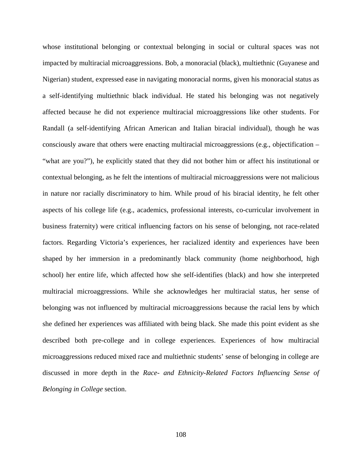whose institutional belonging or contextual belonging in social or cultural spaces was not impacted by multiracial microaggressions. Bob, a monoracial (black), multiethnic (Guyanese and Nigerian) student, expressed ease in navigating monoracial norms, given his monoracial status as a self-identifying multiethnic black individual. He stated his belonging was not negatively affected because he did not experience multiracial microaggressions like other students. For Randall (a self-identifying African American and Italian biracial individual), though he was consciously aware that others were enacting multiracial microaggressions (e.g., objectification – "what are you?"), he explicitly stated that they did not bother him or affect his institutional or contextual belonging, as he felt the intentions of multiracial microaggressions were not malicious in nature nor racially discriminatory to him. While proud of his biracial identity, he felt other aspects of his college life (e.g., academics, professional interests, co-curricular involvement in business fraternity) were critical influencing factors on his sense of belonging, not race-related factors. Regarding Victoria's experiences, her racialized identity and experiences have been shaped by her immersion in a predominantly black community (home neighborhood, high school) her entire life, which affected how she self-identifies (black) and how she interpreted multiracial microaggressions. While she acknowledges her multiracial status, her sense of belonging was not influenced by multiracial microaggressions because the racial lens by which she defined her experiences was affiliated with being black. She made this point evident as she described both pre-college and in college experiences. Experiences of how multiracial microaggressions reduced mixed race and multiethnic students' sense of belonging in college are discussed in more depth in the *Race- and Ethnicity-Related Factors Influencing Sense of Belonging in College* section.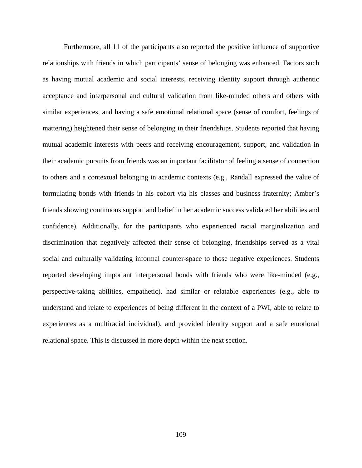Furthermore, all 11 of the participants also reported the positive influence of supportive relationships with friends in which participants' sense of belonging was enhanced. Factors such as having mutual academic and social interests, receiving identity support through authentic acceptance and interpersonal and cultural validation from like-minded others and others with similar experiences, and having a safe emotional relational space (sense of comfort, feelings of mattering) heightened their sense of belonging in their friendships. Students reported that having mutual academic interests with peers and receiving encouragement, support, and validation in their academic pursuits from friends was an important facilitator of feeling a sense of connection to others and a contextual belonging in academic contexts (e.g., Randall expressed the value of formulating bonds with friends in his cohort via his classes and business fraternity; Amber's friends showing continuous support and belief in her academic success validated her abilities and confidence). Additionally, for the participants who experienced racial marginalization and discrimination that negatively affected their sense of belonging, friendships served as a vital social and culturally validating informal counter-space to those negative experiences. Students reported developing important interpersonal bonds with friends who were like-minded (e.g., perspective-taking abilities, empathetic), had similar or relatable experiences (e.g., able to understand and relate to experiences of being different in the context of a PWI, able to relate to experiences as a multiracial individual), and provided identity support and a safe emotional relational space. This is discussed in more depth within the next section.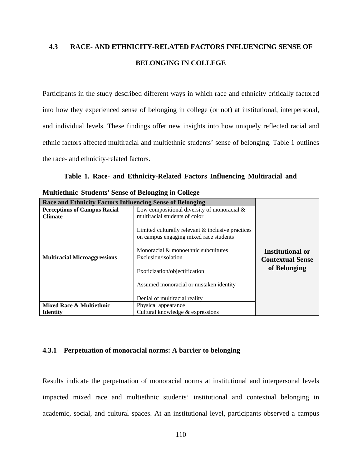# **4.3 RACE- AND ETHNICITY-RELATED FACTORS INFLUENCING SENSE OF BELONGING IN COLLEGE**

Participants in the study described different ways in which race and ethnicity critically factored into how they experienced sense of belonging in college (or not) at institutional, interpersonal, and individual levels. These findings offer new insights into how uniquely reflected racial and ethnic factors affected multiracial and multiethnic students' sense of belonging. Table 1 outlines the race- and ethnicity-related factors.

**Table 1. Race- and Ethnicity-Related Factors Influencing Multiracial and** 

| <b>Race and Ethnicity Factors Influencing Sense of Belonging</b> |                                                                                                |                         |
|------------------------------------------------------------------|------------------------------------------------------------------------------------------------|-------------------------|
| <b>Perceptions of Campus Racial</b>                              | Low compositional diversity of monoracial $&$                                                  |                         |
| <b>Climate</b>                                                   | multiracial students of color                                                                  |                         |
|                                                                  | Limited culturally relevant $\&$ inclusive practices<br>on campus engaging mixed race students |                         |
|                                                                  | Monoracial & monoethnic subcultures                                                            | <b>Institutional or</b> |
| <b>Multiracial Microaggressions</b>                              | Exclusion/isolation                                                                            | <b>Contextual Sense</b> |
|                                                                  | Exoticization/objectification                                                                  | of Belonging            |
|                                                                  | Assumed monoracial or mistaken identity                                                        |                         |
|                                                                  |                                                                                                |                         |
|                                                                  | Denial of multiracial reality                                                                  |                         |
| Mixed Race & Multiethnic                                         | Physical appearance                                                                            |                         |
| <b>Identity</b>                                                  | Cultural knowledge $&$ expressions                                                             |                         |

**Multiethnic Students' Sense of Belonging in College** 

### **4.3.1 Perpetuation of monoracial norms: A barrier to belonging**

Results indicate the perpetuation of monoracial norms at institutional and interpersonal levels impacted mixed race and multiethnic students' institutional and contextual belonging in academic, social, and cultural spaces. At an institutional level, participants observed a campus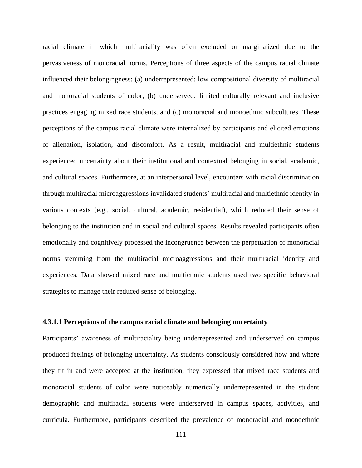racial climate in which multiraciality was often excluded or marginalized due to the pervasiveness of monoracial norms. Perceptions of three aspects of the campus racial climate influenced their belongingness: (a) underrepresented: low compositional diversity of multiracial and monoracial students of color, (b) underserved: limited culturally relevant and inclusive practices engaging mixed race students, and (c) monoracial and monoethnic subcultures. These perceptions of the campus racial climate were internalized by participants and elicited emotions of alienation, isolation, and discomfort. As a result, multiracial and multiethnic students experienced uncertainty about their institutional and contextual belonging in social, academic, and cultural spaces. Furthermore, at an interpersonal level, encounters with racial discrimination through multiracial microaggressions invalidated students' multiracial and multiethnic identity in various contexts (e.g., social, cultural, academic, residential), which reduced their sense of belonging to the institution and in social and cultural spaces. Results revealed participants often emotionally and cognitively processed the incongruence between the perpetuation of monoracial norms stemming from the multiracial microaggressions and their multiracial identity and experiences. Data showed mixed race and multiethnic students used two specific behavioral strategies to manage their reduced sense of belonging.

## **4.3.1.1 Perceptions of the campus racial climate and belonging uncertainty**

Participants' awareness of multiraciality being underrepresented and underserved on campus produced feelings of belonging uncertainty. As students consciously considered how and where they fit in and were accepted at the institution, they expressed that mixed race students and monoracial students of color were noticeably numerically underrepresented in the student demographic and multiracial students were underserved in campus spaces, activities, and curricula. Furthermore, participants described the prevalence of monoracial and monoethnic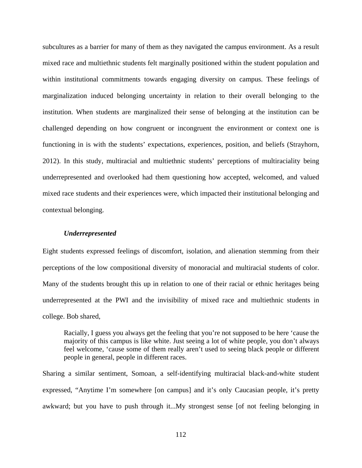subcultures as a barrier for many of them as they navigated the campus environment. As a result mixed race and multiethnic students felt marginally positioned within the student population and within institutional commitments towards engaging diversity on campus. These feelings of marginalization induced belonging uncertainty in relation to their overall belonging to the institution. When students are marginalized their sense of belonging at the institution can be challenged depending on how congruent or incongruent the environment or context one is functioning in is with the students' expectations, experiences, position, and beliefs (Strayhorn, 2012). In this study, multiracial and multiethnic students' perceptions of multiraciality being underrepresented and overlooked had them questioning how accepted, welcomed, and valued mixed race students and their experiences were, which impacted their institutional belonging and contextual belonging.

### *Underrepresented*

Eight students expressed feelings of discomfort, isolation, and alienation stemming from their perceptions of the low compositional diversity of monoracial and multiracial students of color. Many of the students brought this up in relation to one of their racial or ethnic heritages being underrepresented at the PWI and the invisibility of mixed race and multiethnic students in college. Bob shared,

Racially, I guess you always get the feeling that you're not supposed to be here 'cause the majority of this campus is like white. Just seeing a lot of white people, you don't always feel welcome, 'cause some of them really aren't used to seeing black people or different people in general, people in different races.

Sharing a similar sentiment, Somoan, a self-identifying multiracial black-and-white student expressed, "Anytime I'm somewhere [on campus] and it's only Caucasian people, it's pretty awkward; but you have to push through it...My strongest sense [of not feeling belonging in

112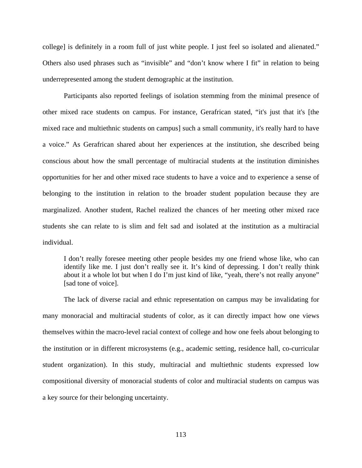college] is definitely in a room full of just white people. I just feel so isolated and alienated." Others also used phrases such as "invisible" and "don't know where I fit" in relation to being underrepresented among the student demographic at the institution.

Participants also reported feelings of isolation stemming from the minimal presence of other mixed race students on campus. For instance, Gerafrican stated, "it's just that it's [the mixed race and multiethnic students on campus] such a small community, it's really hard to have a voice." As Gerafrican shared about her experiences at the institution, she described being conscious about how the small percentage of multiracial students at the institution diminishes opportunities for her and other mixed race students to have a voice and to experience a sense of belonging to the institution in relation to the broader student population because they are marginalized. Another student, Rachel realized the chances of her meeting other mixed race students she can relate to is slim and felt sad and isolated at the institution as a multiracial individual.

I don't really foresee meeting other people besides my one friend whose like, who can identify like me. I just don't really see it. It's kind of depressing. I don't really think about it a whole lot but when I do I'm just kind of like, "yeah, there's not really anyone" [sad tone of voice].

The lack of diverse racial and ethnic representation on campus may be invalidating for many monoracial and multiracial students of color, as it can directly impact how one views themselves within the macro-level racial context of college and how one feels about belonging to the institution or in different microsystems (e.g., academic setting, residence hall, co-curricular student organization). In this study, multiracial and multiethnic students expressed low compositional diversity of monoracial students of color and multiracial students on campus was a key source for their belonging uncertainty.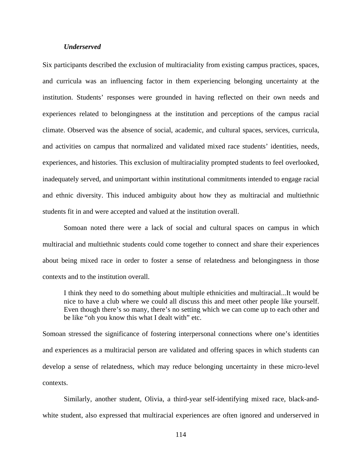### *Underserved*

Six participants described the exclusion of multiraciality from existing campus practices, spaces, and curricula was an influencing factor in them experiencing belonging uncertainty at the institution. Students' responses were grounded in having reflected on their own needs and experiences related to belongingness at the institution and perceptions of the campus racial climate. Observed was the absence of social, academic, and cultural spaces, services, curricula, and activities on campus that normalized and validated mixed race students' identities, needs, experiences, and histories. This exclusion of multiraciality prompted students to feel overlooked, inadequately served, and unimportant within institutional commitments intended to engage racial and ethnic diversity. This induced ambiguity about how they as multiracial and multiethnic students fit in and were accepted and valued at the institution overall.

Somoan noted there were a lack of social and cultural spaces on campus in which multiracial and multiethnic students could come together to connect and share their experiences about being mixed race in order to foster a sense of relatedness and belongingness in those contexts and to the institution overall.

I think they need to do something about multiple ethnicities and multiracial...It would be nice to have a club where we could all discuss this and meet other people like yourself. Even though there's so many, there's no setting which we can come up to each other and be like "oh you know this what I dealt with" etc.

Somoan stressed the significance of fostering interpersonal connections where one's identities and experiences as a multiracial person are validated and offering spaces in which students can develop a sense of relatedness, which may reduce belonging uncertainty in these micro-level contexts.

Similarly, another student, Olivia, a third-year self-identifying mixed race, black-andwhite student, also expressed that multiracial experiences are often ignored and underserved in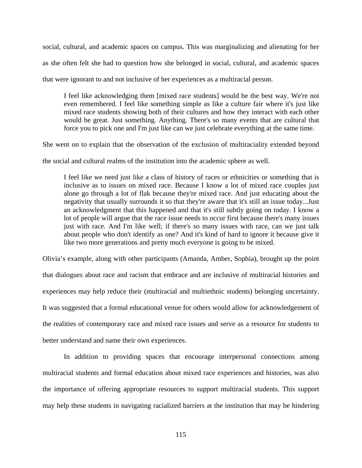social, cultural, and academic spaces on campus. This was marginalizing and alienating for her as she often felt she had to question how she belonged in social, cultural, and academic spaces that were ignorant to and not inclusive of her experiences as a multiracial person.

I feel like acknowledging them [mixed race students] would be the best way. We're not even remembered. I feel like something simple as like a culture fair where it's just like mixed race students showing both of their cultures and how they interact with each other would be great. Just something. Anything. There's so many events that are cultural that force you to pick one and I'm just like can we just celebrate everything at the same time.

She went on to explain that the observation of the exclusion of multiraciality extended beyond

the social and cultural realms of the institution into the academic sphere as well.

I feel like we need just like a class of history of races or ethnicities or something that is inclusive as to issues on mixed race. Because I know a lot of mixed race couples just alone go through a lot of flak because they're mixed race. And just educating about the negativity that usually surrounds it so that they're aware that it's still an issue today...Just an acknowledgment that this happened and that it's still subtly going on today. I know a lot of people will argue that the race issue needs to occur first because there's many issues just with race. And I'm like well; if there's so many issues with race, can we just talk about people who don't identify as one? And it's kind of hard to ignore it because give it like two more generations and pretty much everyone is going to be mixed.

Olivia's example, along with other participants (Amanda, Amber, Sophia), brought up the point that dialogues about race and racism that embrace and are inclusive of multiracial histories and experiences may help reduce their (multiracial and multiethnic students) belonging uncertainty. It was suggested that a formal educational venue for others would allow for acknowledgement of the realities of contemporary race and mixed race issues and serve as a resource for students to better understand and name their own experiences.

In addition to providing spaces that encourage interpersonal connections among multiracial students and formal education about mixed race experiences and histories, was also the importance of offering appropriate resources to support multiracial students. This support may help these students in navigating racialized barriers at the institution that may be hindering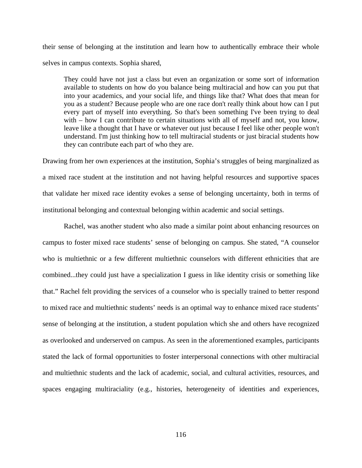their sense of belonging at the institution and learn how to authentically embrace their whole selves in campus contexts. Sophia shared,

They could have not just a class but even an organization or some sort of information available to students on how do you balance being multiracial and how can you put that into your academics, and your social life, and things like that? What does that mean for you as a student? Because people who are one race don't really think about how can I put every part of myself into everything. So that's been something I've been trying to deal with – how I can contribute to certain situations with all of myself and not, you know, leave like a thought that I have or whatever out just because I feel like other people won't understand. I'm just thinking how to tell multiracial students or just biracial students how they can contribute each part of who they are.

Drawing from her own experiences at the institution, Sophia's struggles of being marginalized as a mixed race student at the institution and not having helpful resources and supportive spaces that validate her mixed race identity evokes a sense of belonging uncertainty, both in terms of institutional belonging and contextual belonging within academic and social settings.

Rachel, was another student who also made a similar point about enhancing resources on campus to foster mixed race students' sense of belonging on campus. She stated, "A counselor who is multiethnic or a few different multiethnic counselors with different ethnicities that are combined...they could just have a specialization I guess in like identity crisis or something like that." Rachel felt providing the services of a counselor who is specially trained to better respond to mixed race and multiethnic students' needs is an optimal way to enhance mixed race students' sense of belonging at the institution, a student population which she and others have recognized as overlooked and underserved on campus. As seen in the aforementioned examples, participants stated the lack of formal opportunities to foster interpersonal connections with other multiracial and multiethnic students and the lack of academic, social, and cultural activities, resources, and spaces engaging multiraciality (e.g., histories, heterogeneity of identities and experiences,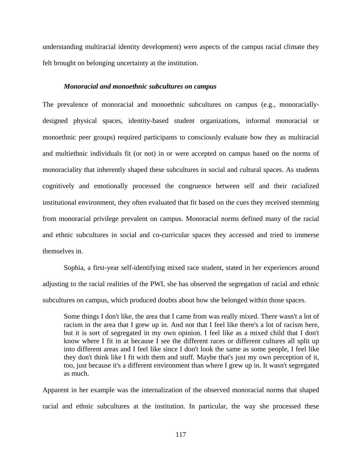understanding multiracial identity development) were aspects of the campus racial climate they felt brought on belonging uncertainty at the institution.

### *Monoracial and monoethnic subcultures on campus*

The prevalence of monoracial and monoethnic subcultures on campus (e.g., monoraciallydesigned physical spaces, identity-based student organizations, informal monoracial or monoethnic peer groups) required participants to consciously evaluate how they as multiracial and multiethnic individuals fit (or not) in or were accepted on campus based on the norms of monoraciality that inherently shaped these subcultures in social and cultural spaces. As students cognitively and emotionally processed the congruence between self and their racialized institutional environment, they often evaluated that fit based on the cues they received stemming from monoracial privilege prevalent on campus. Monoracial norms defined many of the racial and ethnic subcultures in social and co-curricular spaces they accessed and tried to immerse themselves in.

Sophia, a first-year self-identifying mixed race student, stated in her experiences around adjusting to the racial realities of the PWI, she has observed the segregation of racial and ethnic subcultures on campus, which produced doubts about how she belonged within those spaces.

Some things I don't like, the area that I came from was really mixed. There wasn't a lot of racism in the area that I grew up in. And not that I feel like there's a lot of racism here, but it is sort of segregated in my own opinion. I feel like as a mixed child that I don't know where I fit in at because I see the different races or different cultures all split up into different areas and I feel like since I don't look the same as some people, I feel like they don't think like I fit with them and stuff. Maybe that's just my own perception of it, too, just because it's a different environment than where I grew up in. It wasn't segregated as much.

Apparent in her example was the internalization of the observed monoracial norms that shaped racial and ethnic subcultures at the institution. In particular, the way she processed these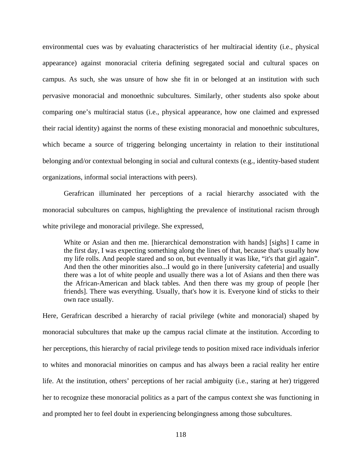environmental cues was by evaluating characteristics of her multiracial identity (i.e., physical appearance) against monoracial criteria defining segregated social and cultural spaces on campus. As such, she was unsure of how she fit in or belonged at an institution with such pervasive monoracial and monoethnic subcultures. Similarly, other students also spoke about comparing one's multiracial status (i.e., physical appearance, how one claimed and expressed their racial identity) against the norms of these existing monoracial and monoethnic subcultures, which became a source of triggering belonging uncertainty in relation to their institutional belonging and/or contextual belonging in social and cultural contexts (e.g., identity-based student organizations, informal social interactions with peers).

Gerafrican illuminated her perceptions of a racial hierarchy associated with the monoracial subcultures on campus, highlighting the prevalence of institutional racism through white privilege and monoracial privilege. She expressed,

White or Asian and then me. [hierarchical demonstration with hands] [sighs] I came in the first day, I was expecting something along the lines of that, because that's usually how my life rolls. And people stared and so on, but eventually it was like, "it's that girl again". And then the other minorities also...I would go in there [university cafeteria] and usually there was a lot of white people and usually there was a lot of Asians and then there was the African-American and black tables. And then there was my group of people [her friends]. There was everything. Usually, that's how it is. Everyone kind of sticks to their own race usually.

Here, Gerafrican described a hierarchy of racial privilege (white and monoracial) shaped by monoracial subcultures that make up the campus racial climate at the institution. According to her perceptions, this hierarchy of racial privilege tends to position mixed race individuals inferior to whites and monoracial minorities on campus and has always been a racial reality her entire life. At the institution, others' perceptions of her racial ambiguity (i.e., staring at her) triggered her to recognize these monoracial politics as a part of the campus context she was functioning in and prompted her to feel doubt in experiencing belongingness among those subcultures.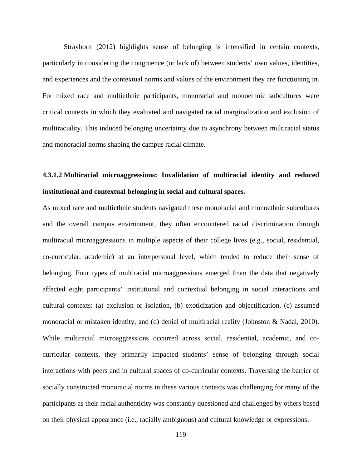Strayhorn (2012) highlights sense of belonging is intensified in certain contexts, particularly in considering the congruence (or lack of) between students' own values, identities, and experiences and the contextual norms and values of the environment they are functioning in. For mixed race and multiethnic participants, monoracial and monoethnic subcultures were critical contexts in which they evaluated and navigated racial marginalization and exclusion of multiraciality. This induced belonging uncertainty due to asynchrony between multiracial status and monoracial norms shaping the campus racial climate.

# **4.3.1.2 Multiracial microaggressions: Invalidation of multiracial identity and reduced institutional and contextual belonging in social and cultural spaces.**

As mixed race and multiethnic students navigated these monoracial and monoethnic subcultures and the overall campus environment, they often encountered racial discrimination through multiracial microaggressions in multiple aspects of their college lives (e.g., social, residential, co-curricular, academic) at an interpersonal level, which tended to reduce their sense of belonging. Four types of multiracial microaggressions emerged from the data that negatively affected eight participants' institutional and contextual belonging in social interactions and cultural contexts: (a) exclusion or isolation, (b) exoticization and objectification, (c) assumed monoracial or mistaken identity, and (d) denial of multiracial reality (Johnston & Nadal, 2010). While multiracial microaggressions occurred across social, residential, academic, and cocurricular contexts, they primarily impacted students' sense of belonging through social interactions with peers and in cultural spaces of co-curricular contexts. Traversing the barrier of socially constructed monoracial norms in these various contexts was challenging for many of the participants as their racial authenticity was constantly questioned and challenged by others based on their physical appearance (i.e., racially ambiguous) and cultural knowledge or expressions.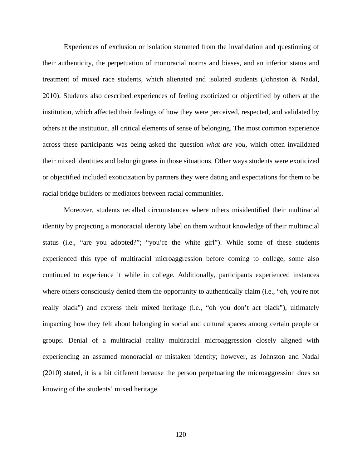Experiences of exclusion or isolation stemmed from the invalidation and questioning of their authenticity, the perpetuation of monoracial norms and biases, and an inferior status and treatment of mixed race students, which alienated and isolated students (Johnston & Nadal, 2010). Students also described experiences of feeling exoticized or objectified by others at the institution, which affected their feelings of how they were perceived, respected, and validated by others at the institution, all critical elements of sense of belonging. The most common experience across these participants was being asked the question *what are you*, which often invalidated their mixed identities and belongingness in those situations. Other ways students were exoticized or objectified included exoticization by partners they were dating and expectations for them to be racial bridge builders or mediators between racial communities.

Moreover, students recalled circumstances where others misidentified their multiracial identity by projecting a monoracial identity label on them without knowledge of their multiracial status (i.e., "are you adopted?"; "you're the white girl"). While some of these students experienced this type of multiracial microaggression before coming to college, some also continued to experience it while in college. Additionally, participants experienced instances where others consciously denied them the opportunity to authentically claim (i.e., "oh, you're not really black") and express their mixed heritage (i.e., "oh you don't act black"), ultimately impacting how they felt about belonging in social and cultural spaces among certain people or groups. Denial of a multiracial reality multiracial microaggression closely aligned with experiencing an assumed monoracial or mistaken identity; however, as Johnston and Nadal (2010) stated, it is a bit different because the person perpetuating the microaggression does so knowing of the students' mixed heritage.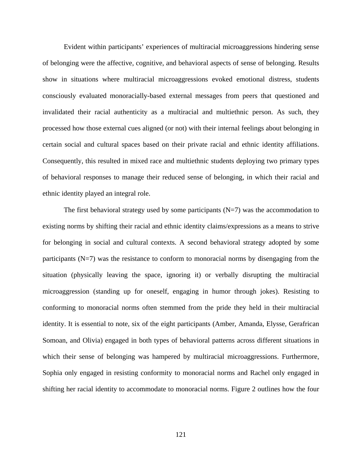Evident within participants' experiences of multiracial microaggressions hindering sense of belonging were the affective, cognitive, and behavioral aspects of sense of belonging. Results show in situations where multiracial microaggressions evoked emotional distress, students consciously evaluated monoracially-based external messages from peers that questioned and invalidated their racial authenticity as a multiracial and multiethnic person. As such, they processed how those external cues aligned (or not) with their internal feelings about belonging in certain social and cultural spaces based on their private racial and ethnic identity affiliations. Consequently, this resulted in mixed race and multiethnic students deploying two primary types of behavioral responses to manage their reduced sense of belonging, in which their racial and ethnic identity played an integral role.

The first behavioral strategy used by some participants  $(N=7)$  was the accommodation to existing norms by shifting their racial and ethnic identity claims/expressions as a means to strive for belonging in social and cultural contexts. A second behavioral strategy adopted by some participants (N=7) was the resistance to conform to monoracial norms by disengaging from the situation (physically leaving the space, ignoring it) or verbally disrupting the multiracial microaggression (standing up for oneself, engaging in humor through jokes). Resisting to conforming to monoracial norms often stemmed from the pride they held in their multiracial identity. It is essential to note, six of the eight participants (Amber, Amanda, Elysse, Gerafrican Somoan, and Olivia) engaged in both types of behavioral patterns across different situations in which their sense of belonging was hampered by multiracial microaggressions. Furthermore, Sophia only engaged in resisting conformity to monoracial norms and Rachel only engaged in shifting her racial identity to accommodate to monoracial norms. Figure 2 outlines how the four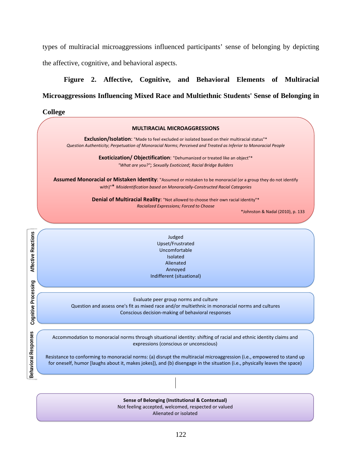types of multiracial microaggressions influenced participants' sense of belonging by depicting the affective, cognitive, and behavioral aspects.

# **Figure 2. Affective, Cognitive, and Behavioral Elements of Multiracial Microaggressions Influencing Mixed Race and Multiethnic Students' Sense of Belonging in**

**College MULTIRACIAL MICROAGGRESSIONS Exclusion/Isolation**: "Made to feel excluded or isolated based on their multiracial status"\* *Question Authenticity*; *Perpetuation of Monoracial Norms*; *Perceived and Treated as Inferior to Monoracial People* **Exoticization/ Objectification**: "Dehumanized or treated like an object"\* *"What are you?"*; *Sexually Exoticized*; *Racial Bridge Builders* **Assumed Monoracial or Mistaken Identity**: "Assumed or mistaken to be monoracial (or a group they do not identify with)"\* *Misidentification based on Monoracially-Constructed Racial Categories* **Denial of Multiracial Reality:** "Not allowed to choose their own racial identity"\* *Racialized Expressions; Forced to Choose* \*Johnston & Nadal (2010), p. 133 Affective Reactions **Affective Reactions** Judged Upset/Frustrated Uncomfortable Isolated Alienated Annoyed Indifferent (situational) Cognitive Processing **Cognitive Processing** Evaluate peer group norms and culture Question and assess one's fit as mixed race and/or multiethnic in monoracial norms and cultures Conscious decision-making of behavioral responses **Behavioral Responses Behavioral Responses**Accommodation to monoracial norms through situational identity: shifting of racial and ethnic identity claims and expressions (conscious or unconscious) Resistance to conforming to monoracial norms: (a) disrupt the multiracial microaggression (i.e., empowered to stand up for oneself, humor [laughs about it, makes jokes]), and (b) disengage in the situation (i.e., physically leaves the space) **Sense of Belonging (Institutional & Contextual)**

Not feeling accepted, welcomed, respected or valued

ׇ֦֘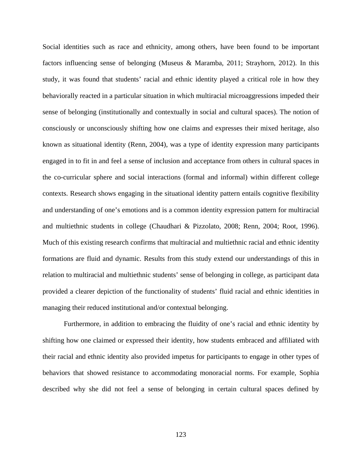Social identities such as race and ethnicity, among others, have been found to be important factors influencing sense of belonging (Museus & Maramba, 2011; Strayhorn, 2012). In this study, it was found that students' racial and ethnic identity played a critical role in how they behaviorally reacted in a particular situation in which multiracial microaggressions impeded their sense of belonging (institutionally and contextually in social and cultural spaces). The notion of consciously or unconsciously shifting how one claims and expresses their mixed heritage, also known as situational identity (Renn, 2004), was a type of identity expression many participants engaged in to fit in and feel a sense of inclusion and acceptance from others in cultural spaces in the co-curricular sphere and social interactions (formal and informal) within different college contexts. Research shows engaging in the situational identity pattern entails cognitive flexibility and understanding of one's emotions and is a common identity expression pattern for multiracial and multiethnic students in college (Chaudhari & Pizzolato, 2008; Renn, 2004; Root, 1996). Much of this existing research confirms that multiracial and multiethnic racial and ethnic identity formations are fluid and dynamic. Results from this study extend our understandings of this in relation to multiracial and multiethnic students' sense of belonging in college, as participant data provided a clearer depiction of the functionality of students' fluid racial and ethnic identities in managing their reduced institutional and/or contextual belonging.

Furthermore, in addition to embracing the fluidity of one's racial and ethnic identity by shifting how one claimed or expressed their identity, how students embraced and affiliated with their racial and ethnic identity also provided impetus for participants to engage in other types of behaviors that showed resistance to accommodating monoracial norms. For example, Sophia described why she did not feel a sense of belonging in certain cultural spaces defined by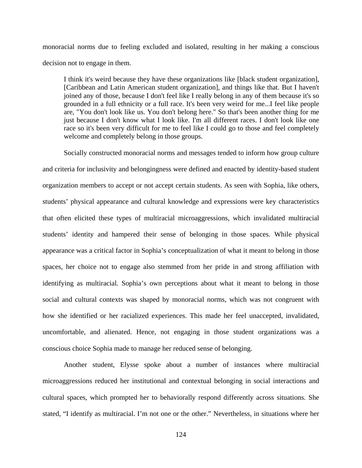monoracial norms due to feeling excluded and isolated, resulting in her making a conscious decision not to engage in them.

I think it's weird because they have these organizations like [black student organization], [Caribbean and Latin American student organization], and things like that. But I haven't joined any of those, because I don't feel like I really belong in any of them because it's so grounded in a full ethnicity or a full race. It's been very weird for me...I feel like people are, "You don't look like us. You don't belong here." So that's been another thing for me just because I don't know what I look like. I'm all different races. I don't look like one race so it's been very difficult for me to feel like I could go to those and feel completely welcome and completely belong in those groups.

Socially constructed monoracial norms and messages tended to inform how group culture and criteria for inclusivity and belongingness were defined and enacted by identity-based student organization members to accept or not accept certain students. As seen with Sophia, like others, students' physical appearance and cultural knowledge and expressions were key characteristics that often elicited these types of multiracial microaggressions, which invalidated multiracial students' identity and hampered their sense of belonging in those spaces. While physical appearance was a critical factor in Sophia's conceptualization of what it meant to belong in those spaces, her choice not to engage also stemmed from her pride in and strong affiliation with identifying as multiracial. Sophia's own perceptions about what it meant to belong in those social and cultural contexts was shaped by monoracial norms, which was not congruent with how she identified or her racialized experiences. This made her feel unaccepted, invalidated, uncomfortable, and alienated. Hence, not engaging in those student organizations was a conscious choice Sophia made to manage her reduced sense of belonging.

Another student, Elysse spoke about a number of instances where multiracial microaggressions reduced her institutional and contextual belonging in social interactions and cultural spaces, which prompted her to behaviorally respond differently across situations. She stated, "I identify as multiracial. I'm not one or the other." Nevertheless, in situations where her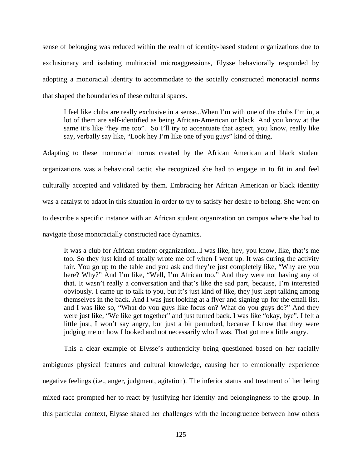sense of belonging was reduced within the realm of identity-based student organizations due to exclusionary and isolating multiracial microaggressions, Elysse behaviorally responded by adopting a monoracial identity to accommodate to the socially constructed monoracial norms that shaped the boundaries of these cultural spaces.

I feel like clubs are really exclusive in a sense...When I'm with one of the clubs I'm in, a lot of them are self-identified as being African-American or black. And you know at the same it's like "hey me too". So I'll try to accentuate that aspect, you know, really like say, verbally say like, "Look hey I'm like one of you guys" kind of thing.

Adapting to these monoracial norms created by the African American and black student organizations was a behavioral tactic she recognized she had to engage in to fit in and feel culturally accepted and validated by them. Embracing her African American or black identity was a catalyst to adapt in this situation in order to try to satisfy her desire to belong. She went on to describe a specific instance with an African student organization on campus where she had to navigate those monoracially constructed race dynamics.

It was a club for African student organization...I was like, hey, you know, like, that's me too. So they just kind of totally wrote me off when I went up. It was during the activity fair. You go up to the table and you ask and they're just completely like, "Why are you here? Why?" And I'm like, "Well, I'm African too." And they were not having any of that. It wasn't really a conversation and that's like the sad part, because, I'm interested obviously. I came up to talk to you, but it's just kind of like, they just kept talking among themselves in the back. And I was just looking at a flyer and signing up for the email list, and I was like so, "What do you guys like focus on? What do you guys do?" And they were just like, "We like get together" and just turned back. I was like "okay, bye". I felt a little just, I won't say angry, but just a bit perturbed, because I know that they were judging me on how I looked and not necessarily who I was. That got me a little angry.

This a clear example of Elysse's authenticity being questioned based on her racially ambiguous physical features and cultural knowledge, causing her to emotionally experience negative feelings (i.e., anger, judgment, agitation). The inferior status and treatment of her being mixed race prompted her to react by justifying her identity and belongingness to the group. In this particular context, Elysse shared her challenges with the incongruence between how others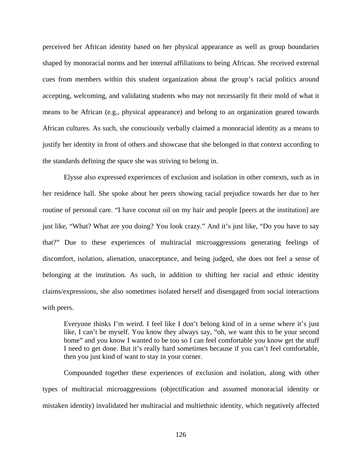perceived her African identity based on her physical appearance as well as group boundaries shaped by monoracial norms and her internal affiliations to being African. She received external cues from members within this student organization about the group's racial politics around accepting, welcoming, and validating students who may not necessarily fit their mold of what it means to be African (e.g., physical appearance) and belong to an organization geared towards African cultures. As such, she consciously verbally claimed a monoracial identity as a means to justify her identity in front of others and showcase that she belonged in that context according to the standards defining the space she was striving to belong in.

Elysse also expressed experiences of exclusion and isolation in other contexts, such as in her residence hall. She spoke about her peers showing racial prejudice towards her due to her routine of personal care. "I have coconut oil on my hair and people [peers at the institution] are just like, "What? What are you doing? You look crazy." And it's just like, "Do you have to say that?" Due to these experiences of multiracial microaggressions generating feelings of discomfort, isolation, alienation, unacceptance, and being judged, she does not feel a sense of belonging at the institution. As such, in addition to shifting her racial and ethnic identity claims/expressions, she also sometimes isolated herself and disengaged from social interactions with peers.

Everyone thinks I'm weird. I feel like I don't belong kind of in a sense where it's just like, I can't be myself. You know they always say, "oh, we want this to be your second home" and you know I wanted to be too so I can feel comfortable you know get the stuff I need to get done. But it's really hard sometimes because if you can't feel comfortable, then you just kind of want to stay in your corner.

Compounded together these experiences of exclusion and isolation, along with other types of multiracial microaggressions (objectification and assumed monoracial identity or mistaken identity) invalidated her multiracial and multiethnic identity, which negatively affected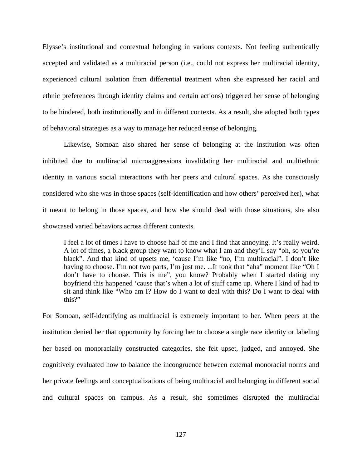Elysse's institutional and contextual belonging in various contexts. Not feeling authentically accepted and validated as a multiracial person (i.e., could not express her multiracial identity, experienced cultural isolation from differential treatment when she expressed her racial and ethnic preferences through identity claims and certain actions) triggered her sense of belonging to be hindered, both institutionally and in different contexts. As a result, she adopted both types of behavioral strategies as a way to manage her reduced sense of belonging.

Likewise, Somoan also shared her sense of belonging at the institution was often inhibited due to multiracial microaggressions invalidating her multiracial and multiethnic identity in various social interactions with her peers and cultural spaces. As she consciously considered who she was in those spaces (self-identification and how others' perceived her), what it meant to belong in those spaces, and how she should deal with those situations, she also showcased varied behaviors across different contexts.

I feel a lot of times I have to choose half of me and I find that annoying. It's really weird. A lot of times, a black group they want to know what I am and they'll say "oh, so you're black". And that kind of upsets me, 'cause I'm like "no, I'm multiracial". I don't like having to choose. I'm not two parts, I'm just me. ...It took that "aha" moment like "Oh I don't have to choose. This is me", you know? Probably when I started dating my boyfriend this happened 'cause that's when a lot of stuff came up. Where I kind of had to sit and think like "Who am I? How do I want to deal with this? Do I want to deal with this?"

For Somoan, self-identifying as multiracial is extremely important to her. When peers at the institution denied her that opportunity by forcing her to choose a single race identity or labeling her based on monoracially constructed categories, she felt upset, judged, and annoyed. She cognitively evaluated how to balance the incongruence between external monoracial norms and her private feelings and conceptualizations of being multiracial and belonging in different social and cultural spaces on campus. As a result, she sometimes disrupted the multiracial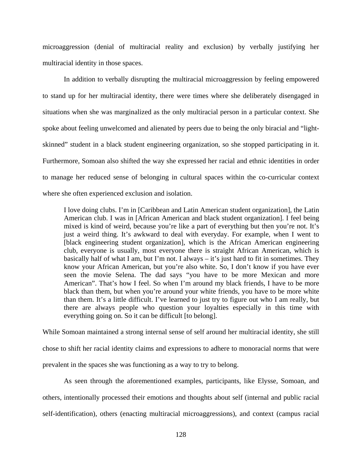microaggression (denial of multiracial reality and exclusion) by verbally justifying her multiracial identity in those spaces.

In addition to verbally disrupting the multiracial microaggression by feeling empowered to stand up for her multiracial identity, there were times where she deliberately disengaged in situations when she was marginalized as the only multiracial person in a particular context. She spoke about feeling unwelcomed and alienated by peers due to being the only biracial and "lightskinned" student in a black student engineering organization, so she stopped participating in it. Furthermore, Somoan also shifted the way she expressed her racial and ethnic identities in order to manage her reduced sense of belonging in cultural spaces within the co-curricular context where she often experienced exclusion and isolation.

I love doing clubs. I'm in [Caribbean and Latin American student organization], the Latin American club. I was in [African American and black student organization]. I feel being mixed is kind of weird, because you're like a part of everything but then you're not. It's just a weird thing. It's awkward to deal with everyday. For example, when I went to [black engineering student organization], which is the African American engineering club, everyone is usually, most everyone there is straight African American, which is basically half of what I am, but I'm not. I always  $-$  it's just hard to fit in sometimes. They know your African American, but you're also white. So, I don't know if you have ever seen the movie Selena. The dad says "you have to be more Mexican and more American". That's how I feel. So when I'm around my black friends, I have to be more black than them, but when you're around your white friends, you have to be more white than them. It's a little difficult. I've learned to just try to figure out who I am really, but there are always people who question your loyalties especially in this time with everything going on. So it can be difficult [to belong].

While Somoan maintained a strong internal sense of self around her multiracial identity, she still chose to shift her racial identity claims and expressions to adhere to monoracial norms that were prevalent in the spaces she was functioning as a way to try to belong.

As seen through the aforementioned examples, participants, like Elysse, Somoan, and others, intentionally processed their emotions and thoughts about self (internal and public racial self-identification), others (enacting multiracial microaggressions), and context (campus racial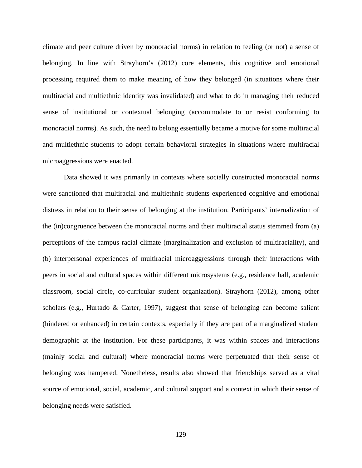climate and peer culture driven by monoracial norms) in relation to feeling (or not) a sense of belonging. In line with Strayhorn's (2012) core elements, this cognitive and emotional processing required them to make meaning of how they belonged (in situations where their multiracial and multiethnic identity was invalidated) and what to do in managing their reduced sense of institutional or contextual belonging (accommodate to or resist conforming to monoracial norms). As such, the need to belong essentially became a motive for some multiracial and multiethnic students to adopt certain behavioral strategies in situations where multiracial microaggressions were enacted.

Data showed it was primarily in contexts where socially constructed monoracial norms were sanctioned that multiracial and multiethnic students experienced cognitive and emotional distress in relation to their sense of belonging at the institution. Participants' internalization of the (in)congruence between the monoracial norms and their multiracial status stemmed from (a) perceptions of the campus racial climate (marginalization and exclusion of multiraciality), and (b) interpersonal experiences of multiracial microaggressions through their interactions with peers in social and cultural spaces within different microsystems (e.g., residence hall, academic classroom, social circle, co-curricular student organization). Strayhorn (2012), among other scholars (e.g., Hurtado & Carter, 1997), suggest that sense of belonging can become salient (hindered or enhanced) in certain contexts, especially if they are part of a marginalized student demographic at the institution. For these participants, it was within spaces and interactions (mainly social and cultural) where monoracial norms were perpetuated that their sense of belonging was hampered. Nonetheless, results also showed that friendships served as a vital source of emotional, social, academic, and cultural support and a context in which their sense of belonging needs were satisfied.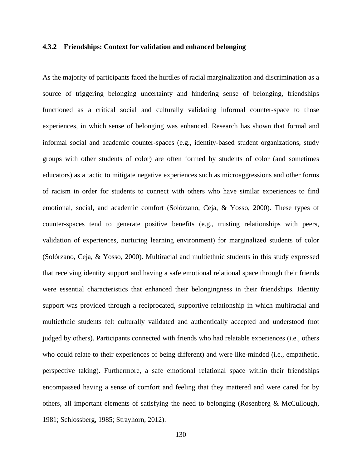### **4.3.2 Friendships: Context for validation and enhanced belonging**

As the majority of participants faced the hurdles of racial marginalization and discrimination as a source of triggering belonging uncertainty and hindering sense of belonging, friendships functioned as a critical social and culturally validating informal counter-space to those experiences, in which sense of belonging was enhanced. Research has shown that formal and informal social and academic counter-spaces (e.g., identity-based student organizations, study groups with other students of color) are often formed by students of color (and sometimes educators) as a tactic to mitigate negative experiences such as microaggressions and other forms of racism in order for students to connect with others who have similar experiences to find emotional, social, and academic comfort (Solórzano, Ceja, & Yosso, 2000). These types of counter-spaces tend to generate positive benefits (e.g., trusting relationships with peers, validation of experiences, nurturing learning environment) for marginalized students of color (Solórzano, Ceja, & Yosso, 2000). Multiracial and multiethnic students in this study expressed that receiving identity support and having a safe emotional relational space through their friends were essential characteristics that enhanced their belongingness in their friendships. Identity support was provided through a reciprocated, supportive relationship in which multiracial and multiethnic students felt culturally validated and authentically accepted and understood (not judged by others). Participants connected with friends who had relatable experiences (i.e., others who could relate to their experiences of being different) and were like-minded (i.e., empathetic, perspective taking). Furthermore, a safe emotional relational space within their friendships encompassed having a sense of comfort and feeling that they mattered and were cared for by others, all important elements of satisfying the need to belonging (Rosenberg & McCullough, 1981; Schlossberg, 1985; Strayhorn, 2012).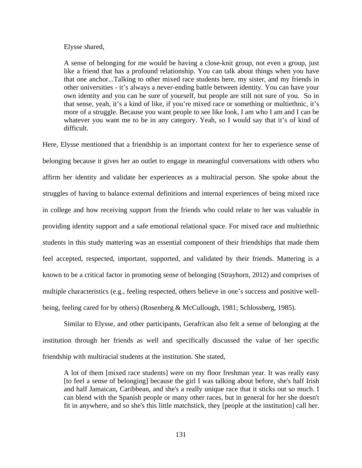#### Elysse shared,

A sense of belonging for me would be having a close-knit group, not even a group, just like a friend that has a profound relationship. You can talk about things when you have that one anchor...Talking to other mixed race students here, my sister, and my friends in other universities - it's always a never-ending battle between identity. You can have your own identity and you can be sure of yourself, but people are still not sure of you. So in that sense, yeah, it's a kind of like, if you're mixed race or something or multiethnic, it's more of a struggle. Because you want people to see like look, I am who I am and I can be whatever you want me to be in any category. Yeah, so I would say that it's of kind of difficult.

Here, Elysse mentioned that a friendship is an important context for her to experience sense of belonging because it gives her an outlet to engage in meaningful conversations with others who affirm her identity and validate her experiences as a multiracial person. She spoke about the struggles of having to balance external definitions and internal experiences of being mixed race in college and how receiving support from the friends who could relate to her was valuable in providing identity support and a safe emotional relational space. For mixed race and multiethnic students in this study mattering was an essential component of their friendships that made them feel accepted, respected, important, supported, and validated by their friends. Mattering is a known to be a critical factor in promoting sense of belonging (Strayhorn, 2012) and comprises of multiple characteristics (e.g., feeling respected, others believe in one's success and positive wellbeing, feeling cared for by others) (Rosenberg & McCullough, 1981; Schlossberg, 1985).

Similar to Elysse, and other participants, Gerafrican also felt a sense of belonging at the institution through her friends as well and specifically discussed the value of her specific friendship with multiracial students at the institution. She stated,

A lot of them [mixed race students] were on my floor freshman year. It was really easy [to feel a sense of belonging] because the girl I was talking about before, she's half Irish and half Jamaican, Caribbean, and she's a really unique race that it sticks out so much. I can blend with the Spanish people or many other races, but in general for her she doesn't fit in anywhere, and so she's this little matchstick, they [people at the institution] call her.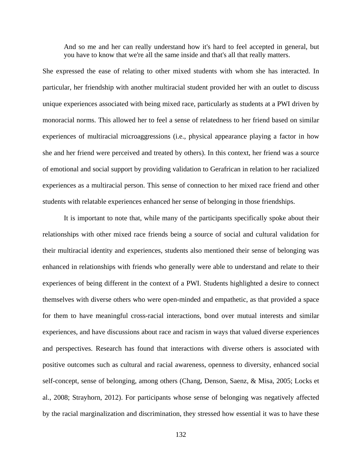And so me and her can really understand how it's hard to feel accepted in general, but you have to know that we're all the same inside and that's all that really matters.

She expressed the ease of relating to other mixed students with whom she has interacted. In particular, her friendship with another multiracial student provided her with an outlet to discuss unique experiences associated with being mixed race, particularly as students at a PWI driven by monoracial norms. This allowed her to feel a sense of relatedness to her friend based on similar experiences of multiracial microaggressions (i.e., physical appearance playing a factor in how she and her friend were perceived and treated by others). In this context, her friend was a source of emotional and social support by providing validation to Gerafrican in relation to her racialized experiences as a multiracial person. This sense of connection to her mixed race friend and other students with relatable experiences enhanced her sense of belonging in those friendships.

It is important to note that, while many of the participants specifically spoke about their relationships with other mixed race friends being a source of social and cultural validation for their multiracial identity and experiences, students also mentioned their sense of belonging was enhanced in relationships with friends who generally were able to understand and relate to their experiences of being different in the context of a PWI. Students highlighted a desire to connect themselves with diverse others who were open-minded and empathetic, as that provided a space for them to have meaningful cross-racial interactions, bond over mutual interests and similar experiences, and have discussions about race and racism in ways that valued diverse experiences and perspectives. Research has found that interactions with diverse others is associated with positive outcomes such as cultural and racial awareness, openness to diversity, enhanced social self-concept, sense of belonging, among others (Chang, Denson, Saenz, & Misa, 2005; Locks et al., 2008; Strayhorn, 2012). For participants whose sense of belonging was negatively affected by the racial marginalization and discrimination, they stressed how essential it was to have these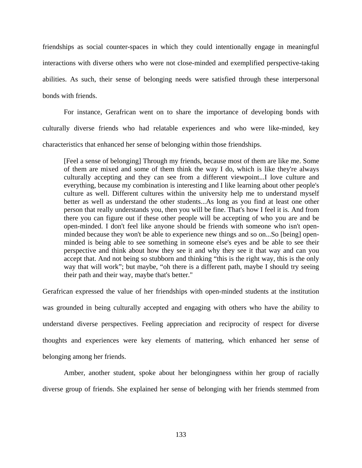friendships as social counter-spaces in which they could intentionally engage in meaningful interactions with diverse others who were not close-minded and exemplified perspective-taking abilities. As such, their sense of belonging needs were satisfied through these interpersonal bonds with friends.

For instance, Gerafrican went on to share the importance of developing bonds with culturally diverse friends who had relatable experiences and who were like-minded, key characteristics that enhanced her sense of belonging within those friendships.

[Feel a sense of belonging] Through my friends, because most of them are like me. Some of them are mixed and some of them think the way I do, which is like they're always culturally accepting and they can see from a different viewpoint...I love culture and everything, because my combination is interesting and I like learning about other people's culture as well. Different cultures within the university help me to understand myself better as well as understand the other students...As long as you find at least one other person that really understands you, then you will be fine. That's how I feel it is. And from there you can figure out if these other people will be accepting of who you are and be open-minded. I don't feel like anyone should be friends with someone who isn't openminded because they won't be able to experience new things and so on...So [being] openminded is being able to see something in someone else's eyes and be able to see their perspective and think about how they see it and why they see it that way and can you accept that. And not being so stubborn and thinking "this is the right way, this is the only way that will work"; but maybe, "oh there is a different path, maybe I should try seeing their path and their way, maybe that's better."

Gerafrican expressed the value of her friendships with open-minded students at the institution was grounded in being culturally accepted and engaging with others who have the ability to understand diverse perspectives. Feeling appreciation and reciprocity of respect for diverse thoughts and experiences were key elements of mattering, which enhanced her sense of belonging among her friends.

Amber, another student, spoke about her belongingness within her group of racially diverse group of friends. She explained her sense of belonging with her friends stemmed from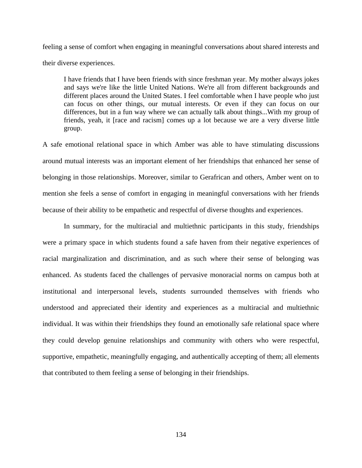feeling a sense of comfort when engaging in meaningful conversations about shared interests and their diverse experiences.

I have friends that I have been friends with since freshman year. My mother always jokes and says we're like the little United Nations. We're all from different backgrounds and different places around the United States. I feel comfortable when I have people who just can focus on other things, our mutual interests. Or even if they can focus on our differences, but in a fun way where we can actually talk about things...With my group of friends, yeah, it [race and racism] comes up a lot because we are a very diverse little group.

A safe emotional relational space in which Amber was able to have stimulating discussions around mutual interests was an important element of her friendships that enhanced her sense of belonging in those relationships. Moreover, similar to Gerafrican and others, Amber went on to mention she feels a sense of comfort in engaging in meaningful conversations with her friends because of their ability to be empathetic and respectful of diverse thoughts and experiences.

In summary, for the multiracial and multiethnic participants in this study, friendships were a primary space in which students found a safe haven from their negative experiences of racial marginalization and discrimination, and as such where their sense of belonging was enhanced. As students faced the challenges of pervasive monoracial norms on campus both at institutional and interpersonal levels, students surrounded themselves with friends who understood and appreciated their identity and experiences as a multiracial and multiethnic individual. It was within their friendships they found an emotionally safe relational space where they could develop genuine relationships and community with others who were respectful, supportive, empathetic, meaningfully engaging, and authentically accepting of them; all elements that contributed to them feeling a sense of belonging in their friendships.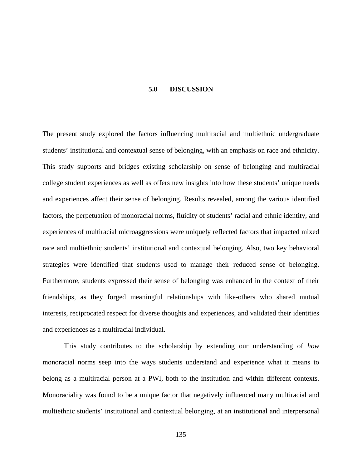#### **5.0 DISCUSSION**

The present study explored the factors influencing multiracial and multiethnic undergraduate students' institutional and contextual sense of belonging, with an emphasis on race and ethnicity. This study supports and bridges existing scholarship on sense of belonging and multiracial college student experiences as well as offers new insights into how these students' unique needs and experiences affect their sense of belonging. Results revealed, among the various identified factors, the perpetuation of monoracial norms, fluidity of students' racial and ethnic identity, and experiences of multiracial microaggressions were uniquely reflected factors that impacted mixed race and multiethnic students' institutional and contextual belonging. Also, two key behavioral strategies were identified that students used to manage their reduced sense of belonging. Furthermore, students expressed their sense of belonging was enhanced in the context of their friendships, as they forged meaningful relationships with like-others who shared mutual interests, reciprocated respect for diverse thoughts and experiences, and validated their identities and experiences as a multiracial individual.

This study contributes to the scholarship by extending our understanding of *how*  monoracial norms seep into the ways students understand and experience what it means to belong as a multiracial person at a PWI, both to the institution and within different contexts. Monoraciality was found to be a unique factor that negatively influenced many multiracial and multiethnic students' institutional and contextual belonging, at an institutional and interpersonal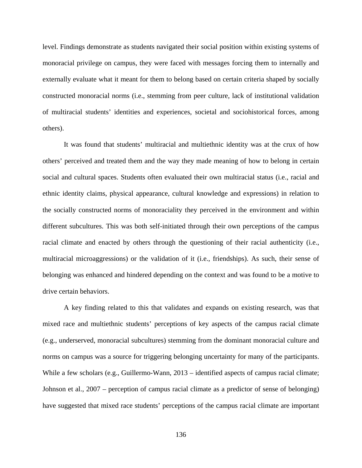level. Findings demonstrate as students navigated their social position within existing systems of monoracial privilege on campus, they were faced with messages forcing them to internally and externally evaluate what it meant for them to belong based on certain criteria shaped by socially constructed monoracial norms (i.e., stemming from peer culture, lack of institutional validation of multiracial students' identities and experiences, societal and sociohistorical forces, among others).

It was found that students' multiracial and multiethnic identity was at the crux of how others' perceived and treated them and the way they made meaning of how to belong in certain social and cultural spaces. Students often evaluated their own multiracial status (i.e., racial and ethnic identity claims, physical appearance, cultural knowledge and expressions) in relation to the socially constructed norms of monoraciality they perceived in the environment and within different subcultures. This was both self-initiated through their own perceptions of the campus racial climate and enacted by others through the questioning of their racial authenticity (i.e., multiracial microaggressions) or the validation of it (i.e., friendships). As such, their sense of belonging was enhanced and hindered depending on the context and was found to be a motive to drive certain behaviors.

A key finding related to this that validates and expands on existing research, was that mixed race and multiethnic students' perceptions of key aspects of the campus racial climate (e.g., underserved, monoracial subcultures) stemming from the dominant monoracial culture and norms on campus was a source for triggering belonging uncertainty for many of the participants. While a few scholars (e.g., Guillermo-Wann, 2013 – identified aspects of campus racial climate; Johnson et al., 2007 – perception of campus racial climate as a predictor of sense of belonging) have suggested that mixed race students' perceptions of the campus racial climate are important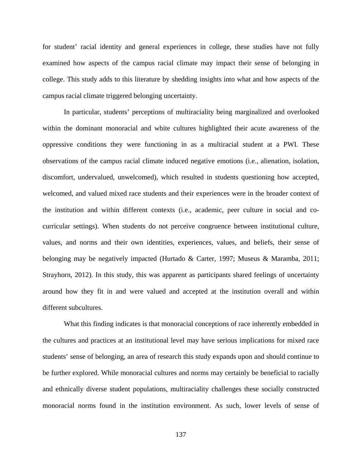for student' racial identity and general experiences in college, these studies have not fully examined how aspects of the campus racial climate may impact their sense of belonging in college. This study adds to this literature by shedding insights into what and how aspects of the campus racial climate triggered belonging uncertainty.

In particular, students' perceptions of multiraciality being marginalized and overlooked within the dominant monoracial and white cultures highlighted their acute awareness of the oppressive conditions they were functioning in as a multiracial student at a PWI. These observations of the campus racial climate induced negative emotions (i.e., alienation, isolation, discomfort, undervalued, unwelcomed), which resulted in students questioning how accepted, welcomed, and valued mixed race students and their experiences were in the broader context of the institution and within different contexts (i.e., academic, peer culture in social and cocurricular settings). When students do not perceive congruence between institutional culture, values, and norms and their own identities, experiences, values, and beliefs, their sense of belonging may be negatively impacted (Hurtado & Carter, 1997; Museus & Maramba, 2011; Strayhorn, 2012). In this study, this was apparent as participants shared feelings of uncertainty around how they fit in and were valued and accepted at the institution overall and within different subcultures.

What this finding indicates is that monoracial conceptions of race inherently embedded in the cultures and practices at an institutional level may have serious implications for mixed race students' sense of belonging, an area of research this study expands upon and should continue to be further explored. While monoracial cultures and norms may certainly be beneficial to racially and ethnically diverse student populations, multiraciality challenges these socially constructed monoracial norms found in the institution environment. As such, lower levels of sense of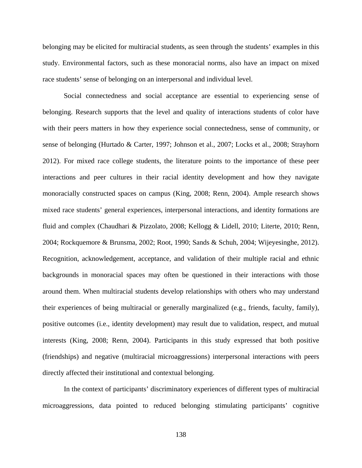belonging may be elicited for multiracial students, as seen through the students' examples in this study. Environmental factors, such as these monoracial norms, also have an impact on mixed race students' sense of belonging on an interpersonal and individual level.

Social connectedness and social acceptance are essential to experiencing sense of belonging. Research supports that the level and quality of interactions students of color have with their peers matters in how they experience social connectedness, sense of community, or sense of belonging (Hurtado & Carter, 1997; Johnson et al., 2007; Locks et al., 2008; Strayhorn 2012). For mixed race college students, the literature points to the importance of these peer interactions and peer cultures in their racial identity development and how they navigate monoracially constructed spaces on campus (King, 2008; Renn, 2004). Ample research shows mixed race students' general experiences, interpersonal interactions, and identity formations are fluid and complex (Chaudhari & Pizzolato, 2008; Kellogg & Lidell, 2010; Literte, 2010; Renn, 2004; Rockquemore & Brunsma, 2002; Root, 1990; Sands & Schuh, 2004; Wijeyesinghe, 2012). Recognition, acknowledgement, acceptance, and validation of their multiple racial and ethnic backgrounds in monoracial spaces may often be questioned in their interactions with those around them. When multiracial students develop relationships with others who may understand their experiences of being multiracial or generally marginalized (e.g., friends, faculty, family), positive outcomes (i.e., identity development) may result due to validation, respect, and mutual interests (King, 2008; Renn, 2004). Participants in this study expressed that both positive (friendships) and negative (multiracial microaggressions) interpersonal interactions with peers directly affected their institutional and contextual belonging.

In the context of participants' discriminatory experiences of different types of multiracial microaggressions, data pointed to reduced belonging stimulating participants' cognitive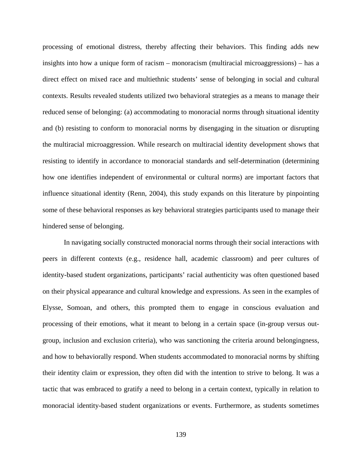processing of emotional distress, thereby affecting their behaviors. This finding adds new insights into how a unique form of racism – monoracism (multiracial microaggressions) – has a direct effect on mixed race and multiethnic students' sense of belonging in social and cultural contexts. Results revealed students utilized two behavioral strategies as a means to manage their reduced sense of belonging: (a) accommodating to monoracial norms through situational identity and (b) resisting to conform to monoracial norms by disengaging in the situation or disrupting the multiracial microaggression. While research on multiracial identity development shows that resisting to identify in accordance to monoracial standards and self-determination (determining how one identifies independent of environmental or cultural norms) are important factors that influence situational identity (Renn, 2004), this study expands on this literature by pinpointing some of these behavioral responses as key behavioral strategies participants used to manage their hindered sense of belonging.

In navigating socially constructed monoracial norms through their social interactions with peers in different contexts (e.g., residence hall, academic classroom) and peer cultures of identity-based student organizations, participants' racial authenticity was often questioned based on their physical appearance and cultural knowledge and expressions. As seen in the examples of Elysse, Somoan, and others, this prompted them to engage in conscious evaluation and processing of their emotions, what it meant to belong in a certain space (in-group versus outgroup, inclusion and exclusion criteria), who was sanctioning the criteria around belongingness, and how to behaviorally respond. When students accommodated to monoracial norms by shifting their identity claim or expression, they often did with the intention to strive to belong. It was a tactic that was embraced to gratify a need to belong in a certain context, typically in relation to monoracial identity-based student organizations or events. Furthermore, as students sometimes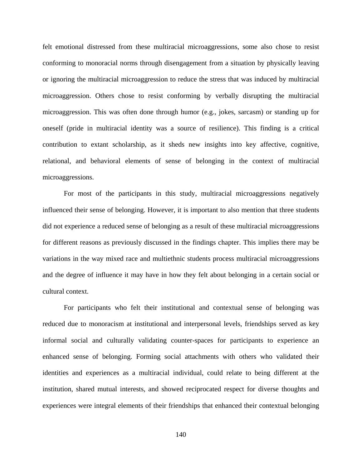felt emotional distressed from these multiracial microaggressions, some also chose to resist conforming to monoracial norms through disengagement from a situation by physically leaving or ignoring the multiracial microaggression to reduce the stress that was induced by multiracial microaggression. Others chose to resist conforming by verbally disrupting the multiracial microaggression. This was often done through humor (e.g., jokes, sarcasm) or standing up for oneself (pride in multiracial identity was a source of resilience). This finding is a critical contribution to extant scholarship, as it sheds new insights into key affective, cognitive, relational, and behavioral elements of sense of belonging in the context of multiracial microaggressions.

For most of the participants in this study, multiracial microaggressions negatively influenced their sense of belonging. However, it is important to also mention that three students did not experience a reduced sense of belonging as a result of these multiracial microaggressions for different reasons as previously discussed in the findings chapter. This implies there may be variations in the way mixed race and multiethnic students process multiracial microaggressions and the degree of influence it may have in how they felt about belonging in a certain social or cultural context.

For participants who felt their institutional and contextual sense of belonging was reduced due to monoracism at institutional and interpersonal levels, friendships served as key informal social and culturally validating counter-spaces for participants to experience an enhanced sense of belonging. Forming social attachments with others who validated their identities and experiences as a multiracial individual, could relate to being different at the institution, shared mutual interests, and showed reciprocated respect for diverse thoughts and experiences were integral elements of their friendships that enhanced their contextual belonging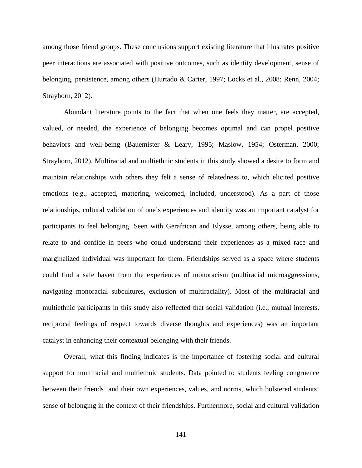among those friend groups. These conclusions support existing literature that illustrates positive peer interactions are associated with positive outcomes, such as identity development, sense of belonging, persistence, among others (Hurtado & Carter, 1997; Locks et al., 2008; Renn, 2004; Strayhorn, 2012).

Abundant literature points to the fact that when one feels they matter, are accepted, valued, or needed, the experience of belonging becomes optimal and can propel positive behaviors and well-being (Bauemister & Leary, 1995; Maslow, 1954; Osterman, 2000; Strayhorn, 2012). Multiracial and multiethnic students in this study showed a desire to form and maintain relationships with others they felt a sense of relatedness to, which elicited positive emotions (e.g., accepted, mattering, welcomed, included, understood). As a part of those relationships, cultural validation of one's experiences and identity was an important catalyst for participants to feel belonging. Seen with Gerafrican and Elysse, among others, being able to relate to and confide in peers who could understand their experiences as a mixed race and marginalized individual was important for them. Friendships served as a space where students could find a safe haven from the experiences of monoracism (multiracial microaggressions, navigating monoracial subcultures, exclusion of multiraciality). Most of the multiracial and multiethnic participants in this study also reflected that social validation (i.e., mutual interests, reciprocal feelings of respect towards diverse thoughts and experiences) was an important catalyst in enhancing their contextual belonging with their friends.

Overall, what this finding indicates is the importance of fostering social and cultural support for multiracial and multiethnic students. Data pointed to students feeling congruence between their friends' and their own experiences, values, and norms, which bolstered students' sense of belonging in the context of their friendships. Furthermore, social and cultural validation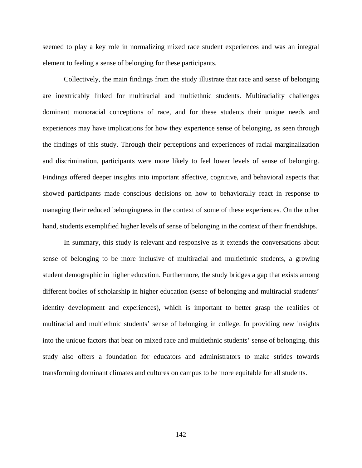seemed to play a key role in normalizing mixed race student experiences and was an integral element to feeling a sense of belonging for these participants.

Collectively, the main findings from the study illustrate that race and sense of belonging are inextricably linked for multiracial and multiethnic students. Multiraciality challenges dominant monoracial conceptions of race, and for these students their unique needs and experiences may have implications for how they experience sense of belonging, as seen through the findings of this study. Through their perceptions and experiences of racial marginalization and discrimination, participants were more likely to feel lower levels of sense of belonging. Findings offered deeper insights into important affective, cognitive, and behavioral aspects that showed participants made conscious decisions on how to behaviorally react in response to managing their reduced belongingness in the context of some of these experiences. On the other hand, students exemplified higher levels of sense of belonging in the context of their friendships.

In summary, this study is relevant and responsive as it extends the conversations about sense of belonging to be more inclusive of multiracial and multiethnic students, a growing student demographic in higher education. Furthermore, the study bridges a gap that exists among different bodies of scholarship in higher education (sense of belonging and multiracial students' identity development and experiences), which is important to better grasp the realities of multiracial and multiethnic students' sense of belonging in college. In providing new insights into the unique factors that bear on mixed race and multiethnic students' sense of belonging, this study also offers a foundation for educators and administrators to make strides towards transforming dominant climates and cultures on campus to be more equitable for all students.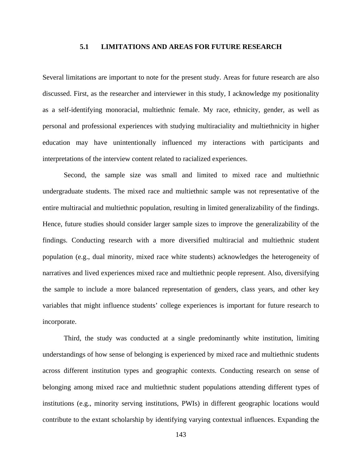### **5.1 LIMITATIONS AND AREAS FOR FUTURE RESEARCH**

Several limitations are important to note for the present study. Areas for future research are also discussed. First, as the researcher and interviewer in this study, I acknowledge my positionality as a self-identifying monoracial, multiethnic female. My race, ethnicity, gender, as well as personal and professional experiences with studying multiraciality and multiethnicity in higher education may have unintentionally influenced my interactions with participants and interpretations of the interview content related to racialized experiences.

Second, the sample size was small and limited to mixed race and multiethnic undergraduate students. The mixed race and multiethnic sample was not representative of the entire multiracial and multiethnic population, resulting in limited generalizability of the findings. Hence, future studies should consider larger sample sizes to improve the generalizability of the findings. Conducting research with a more diversified multiracial and multiethnic student population (e.g., dual minority, mixed race white students) acknowledges the heterogeneity of narratives and lived experiences mixed race and multiethnic people represent. Also, diversifying the sample to include a more balanced representation of genders, class years, and other key variables that might influence students' college experiences is important for future research to incorporate.

Third, the study was conducted at a single predominantly white institution, limiting understandings of how sense of belonging is experienced by mixed race and multiethnic students across different institution types and geographic contexts. Conducting research on sense of belonging among mixed race and multiethnic student populations attending different types of institutions (e.g., minority serving institutions, PWIs) in different geographic locations would contribute to the extant scholarship by identifying varying contextual influences. Expanding the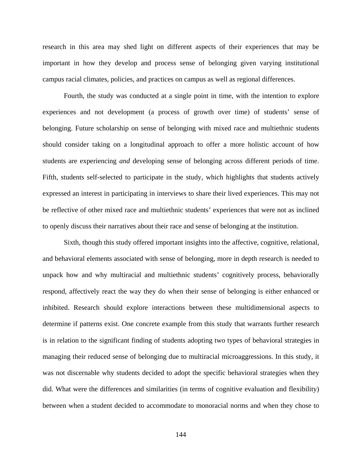research in this area may shed light on different aspects of their experiences that may be important in how they develop and process sense of belonging given varying institutional campus racial climates, policies, and practices on campus as well as regional differences.

Fourth, the study was conducted at a single point in time, with the intention to explore experiences and not development (a process of growth over time) of students' sense of belonging. Future scholarship on sense of belonging with mixed race and multiethnic students should consider taking on a longitudinal approach to offer a more holistic account of how students are experiencing *and* developing sense of belonging across different periods of time. Fifth, students self-selected to participate in the study, which highlights that students actively expressed an interest in participating in interviews to share their lived experiences. This may not be reflective of other mixed race and multiethnic students' experiences that were not as inclined to openly discuss their narratives about their race and sense of belonging at the institution.

Sixth, though this study offered important insights into the affective, cognitive, relational, and behavioral elements associated with sense of belonging, more in depth research is needed to unpack how and why multiracial and multiethnic students' cognitively process, behaviorally respond, affectively react the way they do when their sense of belonging is either enhanced or inhibited. Research should explore interactions between these multidimensional aspects to determine if patterns exist. One concrete example from this study that warrants further research is in relation to the significant finding of students adopting two types of behavioral strategies in managing their reduced sense of belonging due to multiracial microaggressions. In this study, it was not discernable why students decided to adopt the specific behavioral strategies when they did. What were the differences and similarities (in terms of cognitive evaluation and flexibility) between when a student decided to accommodate to monoracial norms and when they chose to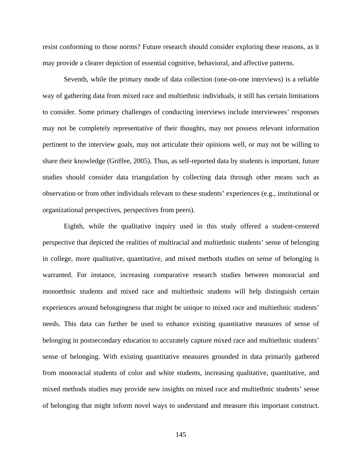resist conforming to those norms? Future research should consider exploring these reasons, as it may provide a clearer depiction of essential cognitive, behavioral, and affective patterns.

Seventh, while the primary mode of data collection (one-on-one interviews) is a reliable way of gathering data from mixed race and multiethnic individuals, it still has certain limitations to consider. Some primary challenges of conducting interviews include interviewees' responses may not be completely representative of their thoughts, may not possess relevant information pertinent to the interview goals, may not articulate their opinions well, or may not be willing to share their knowledge (Griffee, 2005). Thus, as self-reported data by students is important, future studies should consider data triangulation by collecting data through other means such as observation or from other individuals relevant to these students' experiences (e.g., institutional or organizational perspectives, perspectives from peers).

Eighth, while the qualitative inquiry used in this study offered a student-centered perspective that depicted the realities of multiracial and multiethnic students' sense of belonging in college, more qualitative, quantitative, and mixed methods studies on sense of belonging is warranted. For instance, increasing comparative research studies between monoracial and monoethnic students and mixed race and multiethnic students will help distinguish certain experiences around belongingness that might be unique to mixed race and multiethnic students' needs. This data can further be used to enhance existing quantitative measures of sense of belonging in postsecondary education to accurately capture mixed race and multiethnic students' sense of belonging. With existing quantitative measures grounded in data primarily gathered from monoracial students of color and white students, increasing qualitative, quantitative, and mixed methods studies may provide new insights on mixed race and multiethnic students' sense of belonging that might inform novel ways to understand and measure this important construct.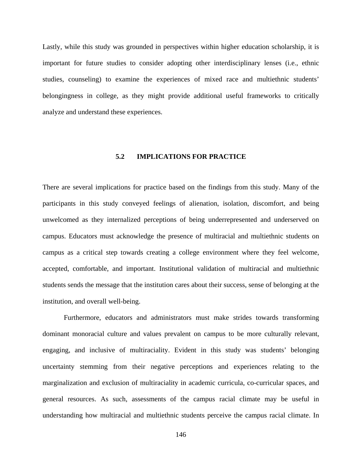Lastly, while this study was grounded in perspectives within higher education scholarship, it is important for future studies to consider adopting other interdisciplinary lenses (i.e., ethnic studies, counseling) to examine the experiences of mixed race and multiethnic students' belongingness in college, as they might provide additional useful frameworks to critically analyze and understand these experiences.

### **5.2 IMPLICATIONS FOR PRACTICE**

There are several implications for practice based on the findings from this study. Many of the participants in this study conveyed feelings of alienation, isolation, discomfort, and being unwelcomed as they internalized perceptions of being underrepresented and underserved on campus. Educators must acknowledge the presence of multiracial and multiethnic students on campus as a critical step towards creating a college environment where they feel welcome, accepted, comfortable, and important. Institutional validation of multiracial and multiethnic students sends the message that the institution cares about their success, sense of belonging at the institution, and overall well-being.

Furthermore, educators and administrators must make strides towards transforming dominant monoracial culture and values prevalent on campus to be more culturally relevant, engaging, and inclusive of multiraciality. Evident in this study was students' belonging uncertainty stemming from their negative perceptions and experiences relating to the marginalization and exclusion of multiraciality in academic curricula, co-curricular spaces, and general resources. As such, assessments of the campus racial climate may be useful in understanding how multiracial and multiethnic students perceive the campus racial climate. In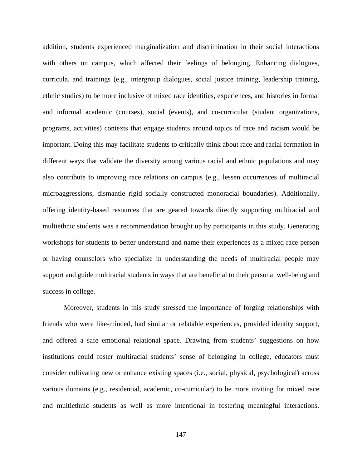addition, students experienced marginalization and discrimination in their social interactions with others on campus, which affected their feelings of belonging. Enhancing dialogues, curricula, and trainings (e.g., intergroup dialogues, social justice training, leadership training, ethnic studies) to be more inclusive of mixed race identities, experiences, and histories in formal and informal academic (courses), social (events), and co-curricular (student organizations, programs, activities) contexts that engage students around topics of race and racism would be important. Doing this may facilitate students to critically think about race and racial formation in different ways that validate the diversity among various racial and ethnic populations and may also contribute to improving race relations on campus (e.g., lessen occurrences of multiracial microaggressions, dismantle rigid socially constructed monoracial boundaries). Additionally, offering identity-based resources that are geared towards directly supporting multiracial and multiethnic students was a recommendation brought up by participants in this study. Generating workshops for students to better understand and name their experiences as a mixed race person or having counselors who specialize in understanding the needs of multiracial people may support and guide multiracial students in ways that are beneficial to their personal well-being and success in college.

Moreover, students in this study stressed the importance of forging relationships with friends who were like-minded, had similar or relatable experiences, provided identity support, and offered a safe emotional relational space. Drawing from students' suggestions on how institutions could foster multiracial students' sense of belonging in college, educators must consider cultivating new or enhance existing spaces (i.e., social, physical, psychological) across various domains (e.g., residential, academic, co-curricular) to be more inviting for mixed race and multiethnic students as well as more intentional in fostering meaningful interactions.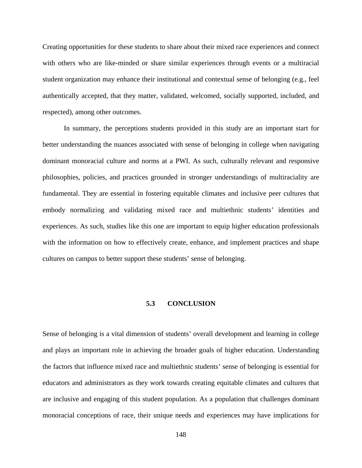Creating opportunities for these students to share about their mixed race experiences and connect with others who are like-minded or share similar experiences through events or a multiracial student organization may enhance their institutional and contextual sense of belonging (e.g., feel authentically accepted, that they matter, validated, welcomed, socially supported, included, and respected), among other outcomes.

In summary, the perceptions students provided in this study are an important start for better understanding the nuances associated with sense of belonging in college when navigating dominant monoracial culture and norms at a PWI. As such, culturally relevant and responsive philosophies, policies, and practices grounded in stronger understandings of multiraciality are fundamental. They are essential in fostering equitable climates and inclusive peer cultures that embody normalizing and validating mixed race and multiethnic students' identities and experiences. As such, studies like this one are important to equip higher education professionals with the information on how to effectively create, enhance, and implement practices and shape cultures on campus to better support these students' sense of belonging.

### **5.3 CONCLUSION**

Sense of belonging is a vital dimension of students' overall development and learning in college and plays an important role in achieving the broader goals of higher education. Understanding the factors that influence mixed race and multiethnic students' sense of belonging is essential for educators and administrators as they work towards creating equitable climates and cultures that are inclusive and engaging of this student population. As a population that challenges dominant monoracial conceptions of race, their unique needs and experiences may have implications for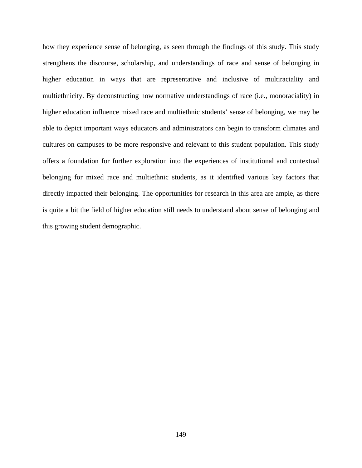how they experience sense of belonging, as seen through the findings of this study. This study strengthens the discourse, scholarship, and understandings of race and sense of belonging in higher education in ways that are representative and inclusive of multiraciality and multiethnicity. By deconstructing how normative understandings of race (i.e., monoraciality) in higher education influence mixed race and multiethnic students' sense of belonging, we may be able to depict important ways educators and administrators can begin to transform climates and cultures on campuses to be more responsive and relevant to this student population. This study offers a foundation for further exploration into the experiences of institutional and contextual belonging for mixed race and multiethnic students, as it identified various key factors that directly impacted their belonging. The opportunities for research in this area are ample, as there is quite a bit the field of higher education still needs to understand about sense of belonging and this growing student demographic.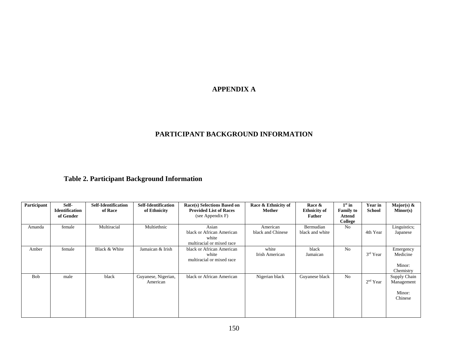# **APPENDIX A**

# **PARTICIPANT BACKGROUND INFORMATION**

# **Table 2. Participant Background Information**

| Participant | Self-<br><b>Identification</b> | <b>Self-Identification</b><br>of Race | Self-Identification<br>of Ethnicity | Race(s) Selections Based on<br><b>Provided List of Races</b> | Race & Ethnicity of<br><b>Mother</b> | Race &<br><b>Ethnicity of</b> | $1st$ in<br><b>Family to</b> | <b>Year in</b><br>School | Major(s) $\&$<br>Minor(s) |
|-------------|--------------------------------|---------------------------------------|-------------------------------------|--------------------------------------------------------------|--------------------------------------|-------------------------------|------------------------------|--------------------------|---------------------------|
|             | of Gender                      |                                       |                                     | (see Appendix F)                                             |                                      | Father                        | Attend                       |                          |                           |
|             |                                |                                       |                                     |                                                              |                                      |                               | College                      |                          |                           |
| Amanda      | female                         | Multiracial                           | Multiethnic                         | Asian                                                        | American                             | Bermudian                     | No.                          |                          | Linguistics;              |
|             |                                |                                       |                                     | black or African American                                    | black and Chinese                    | black and white               |                              | 4th Year                 | Japanese                  |
|             |                                |                                       |                                     | white                                                        |                                      |                               |                              |                          |                           |
|             |                                |                                       |                                     | multiracial or mixed race                                    |                                      |                               |                              |                          |                           |
| Amber       | female                         | Black & White                         | Jamaican & Irish                    | black or African American                                    | white                                | black                         | No                           |                          | Emergency                 |
|             |                                |                                       |                                     | white                                                        | Irish American                       | Jamaican                      |                              | $3rd$ Year               | Medicine                  |
|             |                                |                                       |                                     | multiracial or mixed race                                    |                                      |                               |                              |                          |                           |
|             |                                |                                       |                                     |                                                              |                                      |                               |                              |                          | Minor:                    |
|             |                                |                                       |                                     |                                                              |                                      |                               |                              |                          | Chemistry                 |
| Bob         | male                           | black                                 | Guyanese, Nigerian,                 | black or African American                                    | Nigerian black                       | Guyanese black                | No                           |                          | Supply Chain              |
|             |                                |                                       | American                            |                                                              |                                      |                               |                              | $2nd$ Year               | Management                |
|             |                                |                                       |                                     |                                                              |                                      |                               |                              |                          |                           |
|             |                                |                                       |                                     |                                                              |                                      |                               |                              |                          | Minor:<br>Chinese         |
|             |                                |                                       |                                     |                                                              |                                      |                               |                              |                          |                           |
|             |                                |                                       |                                     |                                                              |                                      |                               |                              |                          |                           |
|             |                                |                                       |                                     |                                                              |                                      |                               |                              |                          |                           |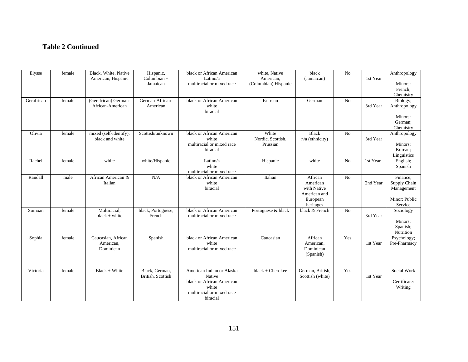# **Table 2 Continued**

| Elysse     | female | Black, White, Native<br>American, Hispanic   | Hispanic,<br>Columbian +<br>Jamaican | black or African American<br>Latino/a<br>multiracial or mixed race                                                 | white, Native<br>American,<br>(Columbian) Hispanic | black<br>(Jamaican)                                                         | $\overline{N_0}$ | 1st Year | Anthropology<br>Minors:<br>French;<br>Chemistry                    |
|------------|--------|----------------------------------------------|--------------------------------------|--------------------------------------------------------------------------------------------------------------------|----------------------------------------------------|-----------------------------------------------------------------------------|------------------|----------|--------------------------------------------------------------------|
| Gerafrican | female | (Gerafrican) German-<br>African-American     | German-African-<br>American          | black or African American<br>white<br>biracial                                                                     | Eritrean                                           | German                                                                      | No               | 3rd Year | Biology;<br>Anthropology<br>Minors:<br>German;<br>Chemistry        |
| Olivia     | female | mixed (self-identify),<br>black and white    | Scottish/unknown                     | black or African American<br>white<br>multiracial or mixed race<br>biracial                                        | White<br>Nordic, Scottish,<br>Prussian             | Black<br>$n/a$ (ethnicity)                                                  | No               | 3rd Year | Anthropology<br>Minors:<br>Korean;<br>Linguistics                  |
| Rachel     | female | white                                        | white/Hispanic                       | Latino/a<br>white<br>multiracial or mixed race                                                                     | Hispanic                                           | white                                                                       | No               | 1st Year | English;<br>Spanish                                                |
| Randall    | male   | African American &<br>Italian                | N/A                                  | black or African American<br>white<br>biracial                                                                     | Italian                                            | African<br>American<br>with Native<br>American and<br>European<br>heritages | No               | 2nd Year | Finance:<br>Supply Chain<br>Management<br>Minor: Public<br>Service |
| Somoan     | female | Multiracial,<br>$black + white$              | black, Portuguese,<br>French         | black or African American<br>multiracial or mixed race                                                             | Portuguese & black                                 | black & French                                                              | No               | 3rd Year | Sociology<br>Minors:<br>Spanish;<br>Nutrition                      |
| Sophia     | female | Caucasian, African<br>American,<br>Dominican | Spanish                              | black or African American<br>white<br>multiracial or mixed race                                                    | Caucasian                                          | African<br>American,<br>Dominican<br>(Spanish)                              | Yes              | 1st Year | Psychology;<br>Pre-Pharmacy                                        |
| Victoria   | female | Black + White                                | Black, German,<br>British, Scottish  | American Indian or Alaska<br>Native<br>black or African American<br>white<br>multiracial or mixed race<br>biracial | black + Cherokee                                   | German, British,<br>Scottish (white)                                        | Yes              | 1st Year | Social Work<br>Certificate:<br>Writing                             |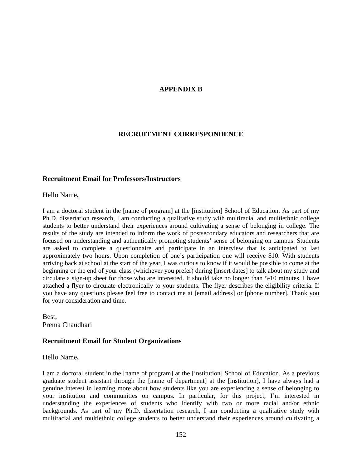## **APPENDIX B**

### **RECRUITMENT CORRESPONDENCE**

### **Recruitment Email for Professors/Instructors**

Hello Name**,** 

I am a doctoral student in the [name of program] at the [institution] School of Education. As part of my Ph.D. dissertation research, I am conducting a qualitative study with multiracial and multiethnic college students to better understand their experiences around cultivating a sense of belonging in college. The results of the study are intended to inform the work of postsecondary educators and researchers that are focused on understanding and authentically promoting students' sense of belonging on campus. Students are asked to complete a questionnaire and participate in an interview that is anticipated to last approximately two hours. Upon completion of one's participation one will receive \$10. With students arriving back at school at the start of the year, I was curious to know if it would be possible to come at the beginning or the end of your class (whichever you prefer) during [insert dates] to talk about my study and circulate a sign-up sheet for those who are interested. It should take no longer than 5-10 minutes. I have attached a flyer to circulate electronically to your students. The flyer describes the eligibility criteria. If you have any questions please feel free to contact me at [email address] or [phone number]. Thank you for your consideration and time.

Best, Prema Chaudhari

### **Recruitment Email for Student Organizations**

Hello Name**,** 

I am a doctoral student in the [name of program] at the [institution] School of Education. As a previous graduate student assistant through the [name of department] at the [institution], I have always had a genuine interest in learning more about how students like you are experiencing a sense of belonging to your institution and communities on campus. In particular, for this project, I'm interested in understanding the experiences of students who identify with two or more racial and/or ethnic backgrounds. As part of my Ph.D. dissertation research, I am conducting a qualitative study with multiracial and multiethnic college students to better understand their experiences around cultivating a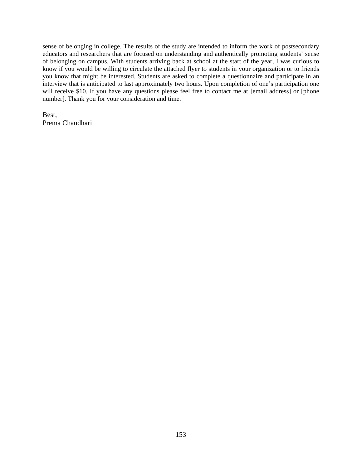sense of belonging in college. The results of the study are intended to inform the work of postsecondary educators and researchers that are focused on understanding and authentically promoting students' sense of belonging on campus. With students arriving back at school at the start of the year, I was curious to know if you would be willing to circulate the attached flyer to students in your organization or to friends you know that might be interested. Students are asked to complete a questionnaire and participate in an interview that is anticipated to last approximately two hours. Upon completion of one's participation one will receive \$10. If you have any questions please feel free to contact me at [email address] or [phone number]. Thank you for your consideration and time.

Best, Prema Chaudhari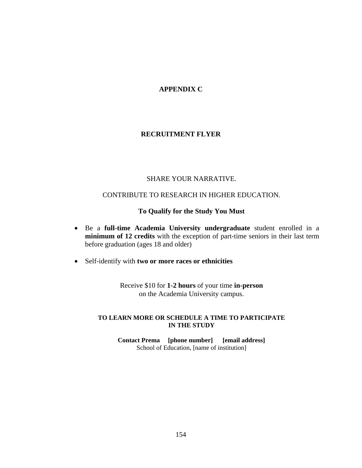# **APPENDIX C**

## **RECRUITMENT FLYER**

## SHARE YOUR NARRATIVE.

## CONTRIBUTE TO RESEARCH IN HIGHER EDUCATION.

## **To Qualify for the Study You Must**

- Be a **full-time Academia University undergraduate** student enrolled in a **minimum of 12 credits** with the exception of part-time seniors in their last term before graduation (ages 18 and older)
- Self-identify with **two or more races or ethnicities**

Receive \$10 for **1-2 hours** of your time **in-person** on the Academia University campus.

### **TO LEARN MORE OR SCHEDULE A TIME TO PARTICIPATE IN THE STUDY**

**Contact Prema [phone number] [email address]** School of Education, [name of institution]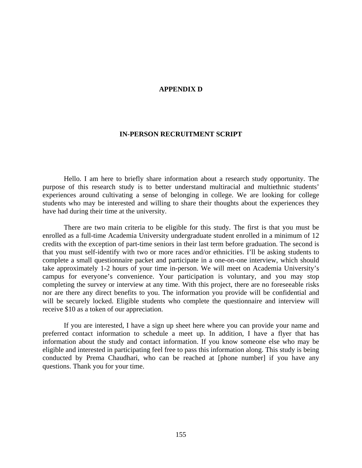### **APPENDIX D**

#### **IN-PERSON RECRUITMENT SCRIPT**

Hello. I am here to briefly share information about a research study opportunity. The purpose of this research study is to better understand multiracial and multiethnic students' experiences around cultivating a sense of belonging in college. We are looking for college students who may be interested and willing to share their thoughts about the experiences they have had during their time at the university.

There are two main criteria to be eligible for this study. The first is that you must be enrolled as a full-time Academia University undergraduate student enrolled in a minimum of 12 credits with the exception of part-time seniors in their last term before graduation. The second is that you must self-identify with two or more races and/or ethnicities. I'll be asking students to complete a small questionnaire packet and participate in a one-on-one interview, which should take approximately 1-2 hours of your time in-person. We will meet on Academia University's campus for everyone's convenience. Your participation is voluntary, and you may stop completing the survey or interview at any time. With this project, there are no foreseeable risks nor are there any direct benefits to you. The information you provide will be confidential and will be securely locked. Eligible students who complete the questionnaire and interview will receive \$10 as a token of our appreciation.

If you are interested, I have a sign up sheet here where you can provide your name and preferred contact information to schedule a meet up. In addition, I have a flyer that has information about the study and contact information. If you know someone else who may be eligible and interested in participating feel free to pass this information along. This study is being conducted by Prema Chaudhari, who can be reached at [phone number] if you have any questions. Thank you for your time.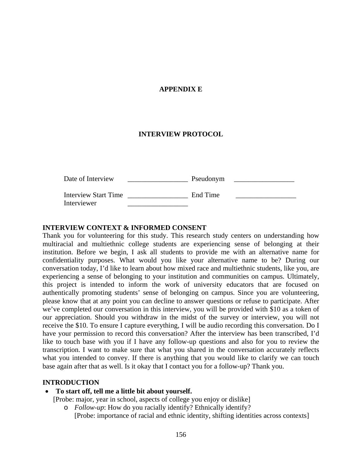## **APPENDIX E**

### **INTERVIEW PROTOCOL**

| Date of Interview                          | Pseudonym |  |
|--------------------------------------------|-----------|--|
| <b>Interview Start Time</b><br>Interviewer | End Time  |  |

### **INTERVIEW CONTEXT & INFORMED CONSENT**

Thank you for volunteering for this study. This research study centers on understanding how multiracial and multiethnic college students are experiencing sense of belonging at their institution. Before we begin, I ask all students to provide me with an alternative name for confidentiality purposes. What would you like your alternative name to be? During our conversation today, I'd like to learn about how mixed race and multiethnic students, like you, are experiencing a sense of belonging to your institution and communities on campus. Ultimately, this project is intended to inform the work of university educators that are focused on authentically promoting students' sense of belonging on campus. Since you are volunteering, please know that at any point you can decline to answer questions or refuse to participate. After we've completed our conversation in this interview, you will be provided with \$10 as a token of our appreciation. Should you withdraw in the midst of the survey or interview, you will not receive the \$10. To ensure I capture everything, I will be audio recording this conversation. Do I have your permission to record this conversation? After the interview has been transcribed, I'd like to touch base with you if I have any follow-up questions and also for you to review the transcription. I want to make sure that what you shared in the conversation accurately reflects what you intended to convey. If there is anything that you would like to clarify we can touch base again after that as well. Is it okay that I contact you for a follow-up? Thank you.

## **INTRODUCTION**

• **To start off, tell me a little bit about yourself.** 

[Probe: major, year in school, aspects of college you enjoy or dislike]

o *Follow-up*: How do you racially identify? Ethnically identify? [Probe: importance of racial and ethnic identity, shifting identities across contexts]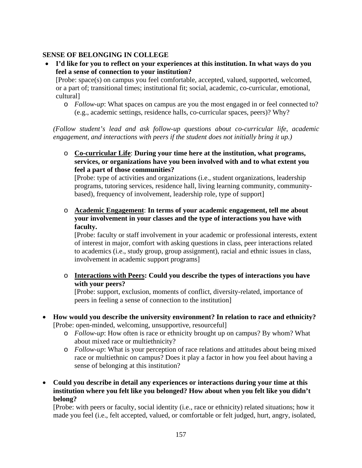# **SENSE OF BELONGING IN COLLEGE**

• **I'd like for you to reflect on your experiences at this institution. In what ways do you feel a sense of connection to your institution?** 

[Probe: space(s) on campus you feel comfortable, accepted, valued, supported, welcomed, or a part of; transitional times; institutional fit; social, academic, co-curricular, emotional, cultural]

o *Follow-up*: What spaces on campus are you the most engaged in or feel connected to? (e.g., academic settings, residence halls, co-curricular spaces, peers)? Why?

*(Follow student's lead and ask follow-up questions about co-curricular life, academic engagement, and interactions with peers if the student does not initially bring it up.)*

o **Co-curricular Life**: **During your time here at the institution, what programs, services, or organizations have you been involved with and to what extent you feel a part of those communities?**

[Probe: type of activities and organizations (i.e., student organizations, leadership programs, tutoring services, residence hall, living learning community, communitybased), frequency of involvement, leadership role, type of support]

o **Academic Engagement**: **In terms of your academic engagement, tell me about your involvement in your classes and the type of interactions you have with faculty.**

[Probe: faculty or staff involvement in your academic or professional interests, extent of interest in major, comfort with asking questions in class, peer interactions related to academics (i.e., study group, group assignment), racial and ethnic issues in class, involvement in academic support programs]

o **Interactions with Peers: Could you describe the types of interactions you have with your peers?** 

[Probe: support, exclusion, moments of conflict, diversity-related, importance of peers in feeling a sense of connection to the institution]

- **How would you describe the university environment? In relation to race and ethnicity?** [Probe: open-minded, welcoming, unsupportive, resourceful]
	- o *Follow-up*: How often is race or ethnicity brought up on campus? By whom? What about mixed race or multiethnicity?
	- o *Follow-up*: What is your perception of race relations and attitudes about being mixed race or multiethnic on campus? Does it play a factor in how you feel about having a sense of belonging at this institution?
- **Could you describe in detail any experiences or interactions during your time at this institution where you felt like you belonged? How about when you felt like you didn't belong?**

[Probe: with peers or faculty, social identity (i.e., race or ethnicity) related situations; how it made you feel (i.e., felt accepted, valued, or comfortable or felt judged, hurt, angry, isolated,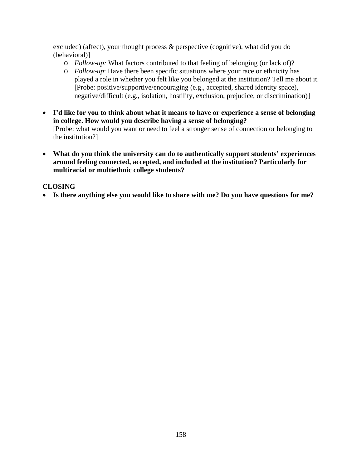excluded) (affect), your thought process & perspective (cognitive), what did you do (behavioral)]

- o *Follow-up:* What factors contributed to that feeling of belonging (or lack of)?
- o *Follow-up*: Have there been specific situations where your race or ethnicity has played a role in whether you felt like you belonged at the institution? Tell me about it. [Probe: positive/supportive/encouraging (e.g., accepted, shared identity space), negative/difficult (e.g., isolation, hostility, exclusion, prejudice, or discrimination)]
- **I'd like for you to think about what it means to have or experience a sense of belonging in college. How would you describe having a sense of belonging?**  [Probe: what would you want or need to feel a stronger sense of connection or belonging to the institution?]
- **What do you think the university can do to authentically support students' experiences around feeling connected, accepted, and included at the institution? Particularly for multiracial or multiethnic college students?**

# **CLOSING**

• **Is there anything else you would like to share with me? Do you have questions for me?**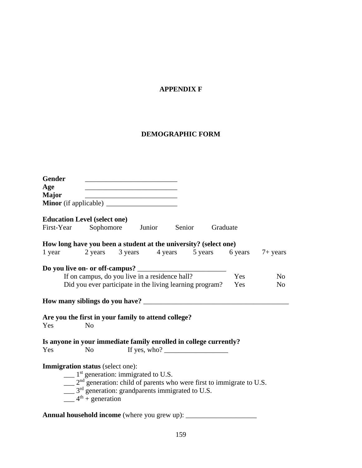# **APPENDIX F**

# **DEMOGRAPHIC FORM**

| <b>Gender</b>                                                     |                                                                                                | <u> 1989 - Johann Barn, mars ann an t-Amhair an t-Amhair an t-Amhair an t-Amhair an t-Amhair an t-Amhair an t-Amh</u> |                                                                             |  |     |                |
|-------------------------------------------------------------------|------------------------------------------------------------------------------------------------|-----------------------------------------------------------------------------------------------------------------------|-----------------------------------------------------------------------------|--|-----|----------------|
| Age                                                               |                                                                                                |                                                                                                                       |                                                                             |  |     |                |
| <b>Major</b>                                                      |                                                                                                | <u> 1989 - Johann Barn, fransk politik amerikansk politik (</u>                                                       |                                                                             |  |     |                |
|                                                                   |                                                                                                |                                                                                                                       |                                                                             |  |     |                |
| <b>Education Level (select one)</b>                               |                                                                                                |                                                                                                                       |                                                                             |  |     |                |
| First-Year Sophomore Junior Senior Graduate                       |                                                                                                |                                                                                                                       |                                                                             |  |     |                |
| How long have you been a student at the university? (select one)  |                                                                                                |                                                                                                                       |                                                                             |  |     |                |
| 1 year 2 years 3 years 4 years 5 years 6 years 7+ years           |                                                                                                |                                                                                                                       |                                                                             |  |     |                |
|                                                                   |                                                                                                |                                                                                                                       |                                                                             |  |     |                |
|                                                                   | If on campus, do you live in a residence hall?                                                 |                                                                                                                       |                                                                             |  | Yes | N <sub>o</sub> |
|                                                                   | Did you ever participate in the living learning program?                                       |                                                                                                                       |                                                                             |  | Yes | No             |
|                                                                   |                                                                                                |                                                                                                                       |                                                                             |  |     |                |
| Are you the first in your family to attend college?               |                                                                                                |                                                                                                                       |                                                                             |  |     |                |
| Yes                                                               | N <sub>o</sub>                                                                                 |                                                                                                                       |                                                                             |  |     |                |
| Is anyone in your immediate family enrolled in college currently? |                                                                                                |                                                                                                                       |                                                                             |  |     |                |
| Yes                                                               | N <sub>0</sub>                                                                                 |                                                                                                                       | If yes, who? $\frac{1}{\sqrt{1-\frac{1}{2}}}\left  \int_{-\infty}^{\infty}$ |  |     |                |
| <b>Immigration status</b> (select one):                           |                                                                                                |                                                                                                                       |                                                                             |  |     |                |
|                                                                   | $\frac{1}{1}$ as a generation: immigrated to U.S.                                              |                                                                                                                       |                                                                             |  |     |                |
|                                                                   | $\frac{1}{2}$ 2 <sup>nd</sup> generation: child of parents who were first to immigrate to U.S. |                                                                                                                       |                                                                             |  |     |                |
|                                                                   | $\frac{1}{2}$ 3 <sup>rd</sup> generation: grandparents immigrated to U.S.                      |                                                                                                                       |                                                                             |  |     |                |
|                                                                   | $\frac{4^{\text{th}} + \text{generation}}{4^{\text{th}} + \text{generation}}$                  |                                                                                                                       |                                                                             |  |     |                |
|                                                                   |                                                                                                |                                                                                                                       |                                                                             |  |     |                |

**Annual household income** (where you grew up): \_\_\_\_\_\_\_\_\_\_\_\_\_\_\_\_\_\_\_\_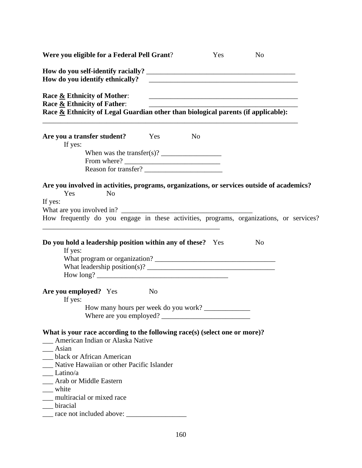| Were you eligible for a Federal Pell Grant?                                                                                                                                                                                                                                                                                                                                                                                                                                      |                |                | Yes | N <sub>o</sub>                                                       |  |
|----------------------------------------------------------------------------------------------------------------------------------------------------------------------------------------------------------------------------------------------------------------------------------------------------------------------------------------------------------------------------------------------------------------------------------------------------------------------------------|----------------|----------------|-----|----------------------------------------------------------------------|--|
| How do you identify ethnically?                                                                                                                                                                                                                                                                                                                                                                                                                                                  |                |                |     | <u> 1980 - Andrea Andrewski, politik američki profesor (d. 1980)</u> |  |
| Race & Ethnicity of Mother:<br>Race & Ethnicity of Father:<br>Race & Ethnicity of Legal Guardian other than biological parents (if applicable):                                                                                                                                                                                                                                                                                                                                  |                |                |     | <u> 1989 - Johann Barn, amerikansk politiker (d. 1989)</u>           |  |
| Are you a transfer student? Yes<br>If yes:<br>When was the transfer(s)? $\frac{1}{\sqrt{1-\frac{1}{\sqrt{1-\frac{1}{\sqrt{1-\frac{1}{\sqrt{1-\frac{1}{\sqrt{1-\frac{1}{\sqrt{1-\frac{1}{\sqrt{1-\frac{1}{\sqrt{1-\frac{1}{\sqrt{1-\frac{1}{\sqrt{1-\frac{1}{\sqrt{1-\frac{1}{\sqrt{1-\frac{1}{\sqrt{1-\frac{1}{\sqrt{1-\frac{1}{\sqrt{1-\frac{1}{\sqrt{1-\frac{1}{\sqrt{1-\frac{1}{\sqrt{1-\frac{1}{\sqrt{1-\frac{1}{\sqrt{1-\frac{1}{\sqrt{1-\frac{1}{$<br>Reason for transfer? |                | N <sub>0</sub> |     |                                                                      |  |
| Are you involved in activities, programs, organizations, or services outside of academics?<br>Yes<br>N <sub>o</sub><br>If yes:<br>How frequently do you engage in these activities, programs, organizations, or services?                                                                                                                                                                                                                                                        |                |                |     |                                                                      |  |
| Do you hold a leadership position within any of these? Yes<br>If yes:                                                                                                                                                                                                                                                                                                                                                                                                            |                |                |     | N <sub>o</sub>                                                       |  |
| Are you employed? Yes<br>If yes:<br>How many hours per week do you work?<br>Where are you employed?                                                                                                                                                                                                                                                                                                                                                                              | N <sub>0</sub> |                |     |                                                                      |  |
| What is your race according to the following race(s) (select one or more)?<br>American Indian or Alaska Native<br>$\_\_\$ Asian<br>black or African American<br>Native Hawaiian or other Pacific Islander<br>$\rule{1em}{0.15mm} Latino/a$<br>__ Arab or Middle Eastern<br>$\equiv$ white<br>multiracial or mixed race<br>biracial                                                                                                                                               |                |                |     |                                                                      |  |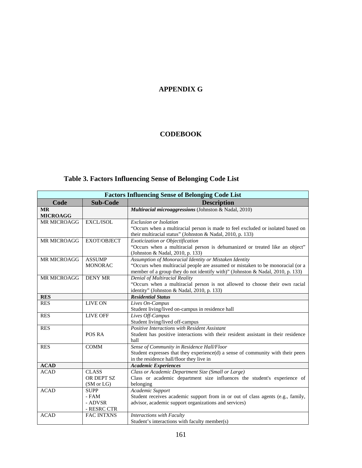# **APPENDIX G**

# **CODEBOOK**

# **Table 3. Factors Influencing Sense of Belonging Code List**

|                              | <b>Factors Influencing Sense of Belonging Code List</b> |                                                                                                                                                                                                                            |  |  |  |  |
|------------------------------|---------------------------------------------------------|----------------------------------------------------------------------------------------------------------------------------------------------------------------------------------------------------------------------------|--|--|--|--|
| Code                         | <b>Sub-Code</b>                                         | <b>Description</b>                                                                                                                                                                                                         |  |  |  |  |
| <b>MR</b><br><b>MICROAGG</b> |                                                         | Multiracial microaggressions (Johnston & Nadal, 2010)                                                                                                                                                                      |  |  |  |  |
| <b>MR MICROAGG</b>           | EXCL/ISOL                                               | <b>Exclusion or Isolation</b><br>"Occurs when a multiracial person is made to feel excluded or isolated based on<br>their multiracial status" (Johnston & Nadal, 2010, p. 133)                                             |  |  |  |  |
| <b>MR MICROAGG</b>           | <b>EXOT/OBJECT</b>                                      | Exoticization or Objectification<br>"Occurs when a multiracial person is dehumanized or treated like an object"<br>(Johnston & Nadal, 2010, p. 133)                                                                        |  |  |  |  |
| <b>MR MICROAGG</b>           | <b>ASSUMP</b><br><b>MONORAC</b>                         | Assumption of Monoracial Identity or Mistaken Identity<br>"Occurs when multiracial people are assumed or mistaken to be monoracial (or a<br>member of a group they do not identify with)" (Johnston & Nadal, 2010, p. 133) |  |  |  |  |
| MR MICROAGG                  | <b>DENY MR</b>                                          | Denial of Multiracial Reality<br>"Occurs when a multiracial person is not allowed to choose their own racial<br>identity" (Johnston & Nadal, 2010, p. 133)                                                                 |  |  |  |  |
| <b>RES</b>                   |                                                         | <b>Residential Status</b>                                                                                                                                                                                                  |  |  |  |  |
| <b>RES</b>                   | <b>LIVE ON</b>                                          | Lives On-Campus<br>Student living/lived on-campus in residence hall                                                                                                                                                        |  |  |  |  |
| <b>RES</b>                   | <b>LIVE OFF</b>                                         | Lives Off-Campus<br>Student living/lived off-campus                                                                                                                                                                        |  |  |  |  |
| <b>RES</b>                   | POS RA                                                  | Positive Interactions with Resident Assistant<br>Student has positive interactions with their resident assistant in their residence<br>hall                                                                                |  |  |  |  |
| <b>RES</b>                   | <b>COMM</b>                                             | Sense of Community in Residence Hall/Floor<br>Student expresses that they experience(d) a sense of community with their peers<br>in the residence hall/floor they live in                                                  |  |  |  |  |
| <b>ACAD</b>                  |                                                         | <b>Academic Experiences</b>                                                                                                                                                                                                |  |  |  |  |
| <b>ACAD</b>                  | <b>CLASS</b><br>OR DEPT SZ<br>(SM or LG)                | Class or Academic Department Size (Small or Large)<br>Class or academic department size influences the student's experience of<br>belonging                                                                                |  |  |  |  |
| <b>ACAD</b>                  | <b>SUPP</b><br>- FAM<br>- ADVSR<br>- RESRC CTR          | Academic Support<br>Student receives academic support from in or out of class agents (e.g., family,<br>advisor, academic support organizations and services)                                                               |  |  |  |  |
| <b>ACAD</b>                  | <b>FAC INTXNS</b>                                       | Interactions with Faculty<br>Student's interactions with faculty member(s)                                                                                                                                                 |  |  |  |  |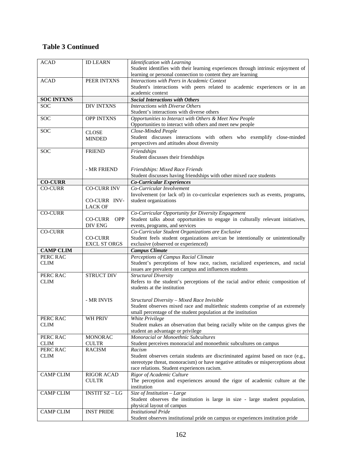# **Table 3 Continued**

| <b>ACAD</b>       | <b>ID LEARN</b>       | <b>Identification with Learning</b><br>Student identifies with their learning experiences through intrinsic enjoyment of |
|-------------------|-----------------------|--------------------------------------------------------------------------------------------------------------------------|
|                   |                       | learning or personal connection to content they are learning                                                             |
| <b>ACAD</b>       | PEER INTXNS           | Interactions with Peers in Academic Context                                                                              |
|                   |                       | Student's interactions with peers related to academic experiences or in an                                               |
|                   |                       | academic context                                                                                                         |
| <b>SOC INTXNS</b> |                       | <b>Social Interactions with Others</b>                                                                                   |
| <b>SOC</b>        | <b>DIV INTXNS</b>     | Interactions with Diverse Others                                                                                         |
|                   |                       | Student's interactions with diverse others                                                                               |
| <b>SOC</b>        | <b>OPP INTXNS</b>     | Opportunities to Interact with Others & Meet New People                                                                  |
|                   |                       | Opportunities to interact with others and meet new people                                                                |
| <b>SOC</b>        | <b>CLOSE</b>          | Close-Minded People                                                                                                      |
|                   | <b>MINDED</b>         | Student discusses interactions with others who exemplify close-minded                                                    |
|                   |                       | perspectives and attitudes about diversity                                                                               |
| <b>SOC</b>        | <b>FRIEND</b>         | Friendships                                                                                                              |
|                   |                       | Student discusses their friendships                                                                                      |
|                   |                       |                                                                                                                          |
|                   | - MR FRIEND           | Friendships: Mixed Race Friends                                                                                          |
| <b>CO-CURR</b>    |                       | Student discusses having friendships with other mixed race students                                                      |
| <b>CO-CURR</b>    | <b>CO-CURR INV</b>    | <b>Co-Curricular Experiences</b><br>Co-Curricular Involvement                                                            |
|                   |                       | Involvement (or lack of) in co-curricular experiences such as events, programs,                                          |
|                   | CO-CURR INV-          | student organizations                                                                                                    |
|                   | <b>LACK OF</b>        |                                                                                                                          |
| <b>CO-CURR</b>    |                       | Co-Curricular Opportunity for Diversity Engagement                                                                       |
|                   | <b>OPP</b><br>CO-CURR | Student talks about opportunities to engage in culturally relevant initiatives,                                          |
|                   | DIV ENG               | events, programs, and services                                                                                           |
| <b>CO-CURR</b>    |                       | Co-Curricular Student Organizations are Exclusive                                                                        |
|                   | <b>CO-CURR</b>        | Student feels student organizations are/can be intentionally or unintentionally                                          |
|                   | <b>EXCL ST ORGS</b>   | exclusive (observed or experienced)                                                                                      |
| <b>CAMP CLIM</b>  |                       | <b>Campus Climate</b>                                                                                                    |
| PERC RAC          |                       | Perceptions of Campus Racial Climate                                                                                     |
| <b>CLIM</b>       |                       | Student's perceptions of how race, racism, racialized experiences, and racial                                            |
|                   |                       | issues are prevalent on campus and influences students                                                                   |
| PERC RAC          | <b>STRUCT DIV</b>     | <b>Structural Diversity</b>                                                                                              |
| <b>CLIM</b>       |                       | Refers to the student's perceptions of the racial and/or ethnic composition of                                           |
|                   |                       | students at the institution                                                                                              |
|                   | - MR INVIS            | Structural Diversity - Mixed Race Invisible                                                                              |
|                   |                       | Student observes mixed race and multiethnic students comprise of an extremely                                            |
|                   |                       | small percentage of the student population at the institution                                                            |
| PERC RAC          | WH PRIV               | White Privilege                                                                                                          |
| CLIM              |                       | Student makes an observation that being racially white on the campus gives the                                           |
|                   |                       | student an advantage or privilege                                                                                        |
| PERC RAC          | <b>MONORAC</b>        | Monoracial or Monoethnic Subcultures                                                                                     |
| <b>CLIM</b>       | <b>CULTR</b>          | Student perceives monoracial and monoethnic subcultures on campus                                                        |
| PERC RAC          | <b>RACISM</b>         | Racism                                                                                                                   |
| <b>CLIM</b>       |                       | Student observes certain students are discriminated against based on race (e.g.,                                         |
|                   |                       | stereotype threat, monoracism) or have negative attitudes or misperceptions about                                        |
|                   |                       | race relations. Student experiences racism.                                                                              |
| <b>CAMP CLIM</b>  | <b>RIGOR ACAD</b>     | Rigor of Academic Culture                                                                                                |
|                   |                       |                                                                                                                          |
|                   | <b>CULTR</b>          | The perception and experiences around the rigor of academic culture at the                                               |
|                   |                       | institution                                                                                                              |
| <b>CAMP CLIM</b>  | <b>INSTIT SZ-LG</b>   | Size of Institution - Large                                                                                              |
|                   |                       | Student observes the institution is large in size - large student population,                                            |
|                   |                       | physical layout of campus                                                                                                |
| <b>CAMP CLIM</b>  | <b>INST PRIDE</b>     | <b>Institutional Pride</b><br>Student observes institutional pride on campus or experiences institution pride            |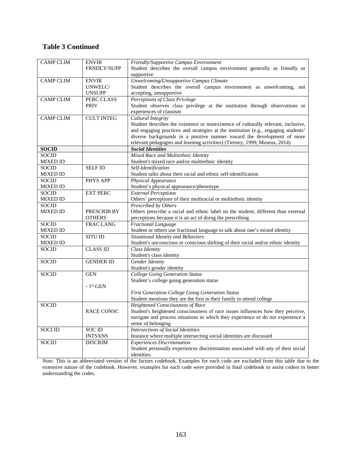# **Table 3 Continued**

| <b>CAMP CLIM</b> | <b>ENVIR</b>      | Friendly/Supportive Campus Environment                                             |
|------------------|-------------------|------------------------------------------------------------------------------------|
|                  | FRNDLY/SUPP       | Student describes the overall campus environment generally as friendly or          |
|                  |                   | supportive                                                                         |
| <b>CAMP CLIM</b> | <b>ENVIR</b>      | Unwelcoming/Unsupportive Campus Climate                                            |
|                  | UNWELC/           | Student describes the overall campus environment as unwelcoming, not               |
|                  | <b>UNSUPP</b>     | accepting, unsupportive                                                            |
| <b>CAMP CLIM</b> | PERC CLASS        | <b>Perceptions of Class Privilege</b>                                              |
|                  | <b>PRIV</b>       | Student observes class privilege at the institution through observations or        |
|                  |                   | experiences of classism                                                            |
| <b>CAMP CLIM</b> | <b>CULT INTEG</b> | <b>Cultural Integrity</b>                                                          |
|                  |                   | Student describes the existence or nonexistence of culturally relevant, inclusive, |
|                  |                   | and engaging practices and strategies at the institution (e.g., engaging students' |
|                  |                   | diverse backgrounds in a positive manner toward the development of more            |
|                  |                   | relevant pedagogies and learning activities) (Tierney, 1999, Museus, 2014)         |
| <b>SOCID</b>     |                   | <b>Social Identities</b>                                                           |
| <b>SOCID</b>     |                   | Mixed Race and Multiethnic Identity                                                |
| MIXED ID         |                   | Student's mixed race and/or multiethnic identity                                   |
| <b>SOCID</b>     | <b>SELF ID</b>    | Self-Identification                                                                |
| <b>MIXED ID</b>  |                   | Student talks about their racial and ethnic self-identification                    |
| SOCID            | PHYS APP          | <b>Physical Appearance</b>                                                         |
| MIXED ID         |                   | Student's physical appearance/phenotype                                            |
| <b>SOCID</b>     | <b>EXT PERC</b>   | <b>External Perceptions</b>                                                        |
| <b>MIXED ID</b>  |                   | Others' perceptions of their multiracial or multiethnic identity                   |
| <b>SOCID</b>     |                   | Prescribed by Others                                                               |
| <b>MIXED ID</b>  | PRESCRIB BY       | Others prescribe a racial and ethnic label on the student; different than external |
|                  | <b>OTHERS</b>     | perceptions because it is an act of doing the prescribing                          |
| <b>SOCID</b>     | <b>FRAC LANG</b>  | Fractional Language                                                                |
| <b>MIXED ID</b>  |                   | Student or others use fractional language to talk about one's mixed identity       |
| <b>SOCID</b>     | <b>SITU ID</b>    | Situational Identity and Behaviors                                                 |
| MIXED ID         |                   | Student's unconscious or conscious shifting of their racial and/or ethnic identity |
| SOCID            | <b>CLASS ID</b>   | Class Identity                                                                     |
|                  |                   | Student's class identity                                                           |
| <b>SOCID</b>     | <b>GENDER ID</b>  | <b>Gender Identity</b>                                                             |
|                  |                   | Student's gender identity                                                          |
| SOCID            | <b>GEN</b>        | <b>College Going Generation Status</b>                                             |
|                  |                   | Student's college going generation status                                          |
|                  | $-1st$ GEN        |                                                                                    |
|                  |                   | <b>First Generation College Going Generation Status</b>                            |
|                  |                   | Student mentions they are the first in their family to attend college              |
| <b>SOCID</b>     |                   | <b>Heightened Consciousness of Race</b>                                            |
|                  | <b>RACE CONSC</b> | Student's heightened consciousness of race issues influences how they perceive,    |
|                  |                   | navigate and process situations in which they experience or do not experience a    |
|                  |                   | sense of belonging                                                                 |
| <b>SOCI ID</b>   | <b>SOCID</b>      | <b>Intersections of Social Identities</b>                                          |
|                  | <b>INTSXNS</b>    | Instance where multiple intersecting social identities are discussed               |
| <b>SOCID</b>     | <b>DISCRIM</b>    | <b>Experiences Discrimination</b>                                                  |
|                  |                   | Student personally experiences discrimination associated with any of their social  |
|                  |                   | identities.                                                                        |

*Note*. This is an abbreviated version of the factors codebook. Examples for each code are excluded from this table due to the extensive nature of the codebook. However, examples for each code were provided in final codebook to assist coders in better understanding the codes.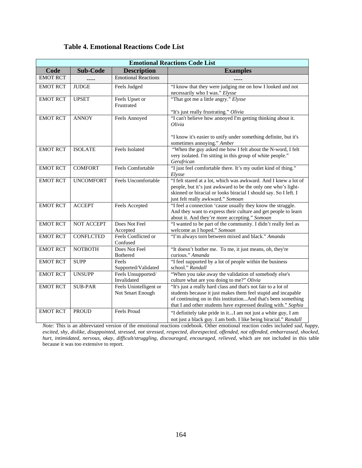| <b>Emotional Reactions Code List</b> |                   |                                            |                                                                                                                                                                                                                                                                    |  |  |  |  |
|--------------------------------------|-------------------|--------------------------------------------|--------------------------------------------------------------------------------------------------------------------------------------------------------------------------------------------------------------------------------------------------------------------|--|--|--|--|
| Code                                 | <b>Sub-Code</b>   | <b>Description</b>                         | <b>Examples</b>                                                                                                                                                                                                                                                    |  |  |  |  |
| <b>EMOT RCT</b>                      |                   | <b>Emotional Reactions</b>                 |                                                                                                                                                                                                                                                                    |  |  |  |  |
| <b>EMOT RCT</b>                      | <b>JUDGE</b>      | Feels Judged                               | "I know that they were judging me on how I looked and not<br>necessarily who I was." Elysse                                                                                                                                                                        |  |  |  |  |
| <b>EMOT RCT</b>                      | <b>UPSET</b>      | Feels Upset or<br>Frustrated               | "That got me a little angry." Elysse<br>"It's just really frustrating." Olivia                                                                                                                                                                                     |  |  |  |  |
| <b>EMOT RCT</b>                      | <b>ANNOY</b>      | Feels Annoyed                              | "I can't believe how annoyed I'm getting thinking about it.<br>Olivia<br>"I know it's easier to unify under something definite, but it's                                                                                                                           |  |  |  |  |
| <b>EMOT RCT</b>                      | <b>ISOLATE</b>    | Feels Isolated                             | sometimes annoying." Amber<br>"When the guy asked me how I felt about the N-word, I felt<br>very isolated. I'm sitting in this group of white people."<br>Gerafrican                                                                                               |  |  |  |  |
| <b>EMOT RCT</b>                      | <b>COMFORT</b>    | Feels Comfortable                          | "I just feel comfortable there. It's my outlet kind of thing."<br>Elysse                                                                                                                                                                                           |  |  |  |  |
| <b>EMOT RCT</b>                      | <b>UNCOMFORT</b>  | Feels Uncomfortable                        | "I felt stared at a lot, which was awkward. And I knew a lot of<br>people, but it's just awkward to be the only one who's light-<br>skinned or biracial or looks biracial I should say. So I left. I<br>just felt really awkward." Somoan                          |  |  |  |  |
| <b>EMOT RCT</b>                      | <b>ACCEPT</b>     | Feels Accepted                             | "I feel a connection 'cause usually they know the struggle.<br>And they want to express their culture and get people to learn<br>about it. And they're more accepting." Somoan                                                                                     |  |  |  |  |
| <b>EMOT RCT</b>                      | <b>NOT ACCEPT</b> | Does Not Feel<br>Accepted                  | "I wanted to be part of the community. I didn't really feel as<br>welcome as I hoped." Somoan                                                                                                                                                                      |  |  |  |  |
| <b>EMOT RCT</b>                      | <b>CONFLCTED</b>  | Feels Conflicted or<br>Confused            | "I'm always torn between mixed and black." Amanda                                                                                                                                                                                                                  |  |  |  |  |
| <b>EMOT RCT</b>                      | <b>NOTBOTH</b>    | Does Not Feel<br>Bothered                  | "It doesn't bother me. To me, it just means, oh, they're<br>curious." Amanda                                                                                                                                                                                       |  |  |  |  |
| <b>EMOT RCT</b>                      | <b>SUPP</b>       | Feels<br>Supported/Validated               | "I feel supported by a lot of people within the business<br>school." Randall                                                                                                                                                                                       |  |  |  |  |
| <b>EMOT RCT</b>                      | <b>UNSUPP</b>     | Feels Unsupported/<br>Invalidated          | "When you take away the validation of somebody else's<br>culture what are you doing to me?" Olivia                                                                                                                                                                 |  |  |  |  |
| <b>EMOT RCT</b>                      | <b>SUB-PAR</b>    | Feels Unintelligent or<br>Not Smart Enough | "It's just a really hard class and that's not fair to a lot of<br>students because it just makes them feel stupid and incapable<br>of continuing on in this institutionAnd that's been something<br>that I and other students have expressed dealing with." Sophia |  |  |  |  |
| <b>EMOT RCT</b>                      | <b>PROUD</b>      | Feels Proud                                | "I definitely take pride in itI am not just a white guy, I am<br>not just a black guy. I am both. I like being biracial." Randall                                                                                                                                  |  |  |  |  |

# **Table 4. Emotional Reactions Code List**

*Note:* This is an abbreviated version of the emotional reactions codebook. Other emotional reaction codes included *sad*, *happy*, *excited*, *shy*, *dislike*, *disappointed*, *stressed*, *not stressed*, *respected, disrespected*, *offended*, *not offended*, *embarrassed*, *shocked*, *hurt*, *intimidated*, *nervous*, *okay*, *difficult/struggling*, *discouraged*, *encouraged*, *relieved,* which are not included in this table because it was too extensive to report.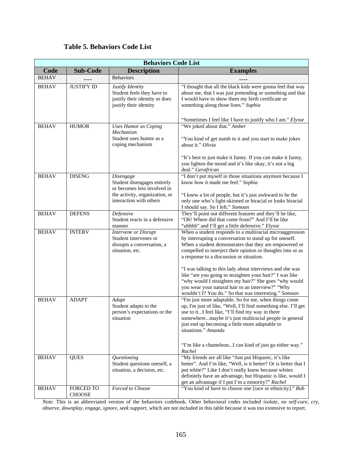# **Table 5. Behaviors Code List**

| <b>Behaviors Code List</b> |                            |                                                                                                                                      |                                                                                                                                                                                                                                                                                                                                                                                                                                                                                                                                                                                         |  |  |  |  |
|----------------------------|----------------------------|--------------------------------------------------------------------------------------------------------------------------------------|-----------------------------------------------------------------------------------------------------------------------------------------------------------------------------------------------------------------------------------------------------------------------------------------------------------------------------------------------------------------------------------------------------------------------------------------------------------------------------------------------------------------------------------------------------------------------------------------|--|--|--|--|
| Code                       | <b>Sub-Code</b>            | <b>Description</b>                                                                                                                   | <b>Examples</b>                                                                                                                                                                                                                                                                                                                                                                                                                                                                                                                                                                         |  |  |  |  |
| <b>BEHAV</b>               |                            | <b>Behaviors</b>                                                                                                                     |                                                                                                                                                                                                                                                                                                                                                                                                                                                                                                                                                                                         |  |  |  |  |
| <b>BEHAV</b>               | <b>JUSTIFY ID</b>          | Justify Identity<br>Student feels they have to<br>justify their identity or does<br>justify their identity                           | "I thought that all the black kids were gonna feel that way<br>about me, that I was just pretending or something and that<br>I would have to show them my birth certificate or<br>something along those lines." Sophia                                                                                                                                                                                                                                                                                                                                                                  |  |  |  |  |
|                            |                            |                                                                                                                                      | "Sometimes I feel like I have to justify who I am." Elysse                                                                                                                                                                                                                                                                                                                                                                                                                                                                                                                              |  |  |  |  |
| <b>BEHAV</b>               | <b>HUMOR</b>               | <b>Uses Humor as Coping</b><br>Mechanism<br>Student uses humor as a<br>coping mechanism                                              | "We joked about that." Amber<br>"You kind of get numb to it and you start to make jokes<br>about it." Olivia<br>"It's best to just make it funny. If you can make it funny,<br>you lighten the mood and it's like okay, it's not a big<br>deal." Gerafrican                                                                                                                                                                                                                                                                                                                             |  |  |  |  |
| <b>BEHAV</b>               | <b>DISENG</b>              | Disengage<br>Student disengages entirely<br>or becomes less involved in<br>the activity, organization, or<br>interaction with others | "I don't put myself in those situations anymore because I<br>know how it made me feel." Sophia<br>"I knew a lot of people, but it's just awkward to be the<br>only one who's light-skinned or biracial or looks biracial<br>I should say. So I left." Somoan                                                                                                                                                                                                                                                                                                                            |  |  |  |  |
| <b>BEHAV</b>               | <b>DEFENS</b>              | Defensive<br>Student reacts in a defensive<br>manner                                                                                 | They'll point out different features and they'll be like,<br>"Oh! Where did that come from?" And I'll be like<br>"uhhhh" and I'll get a little defensive." Elysse                                                                                                                                                                                                                                                                                                                                                                                                                       |  |  |  |  |
| <b>BEHAV</b>               | <b>INTERV</b>              | <b>Intervene</b> or Disrupt<br>Student intervenes or<br>disrupts a conversation, a<br>situation, etc.                                | When a student responds to a multiracial microaggression<br>by interrupting a conversation to stand up for oneself.<br>When a student demonstrates that they are empowered or<br>compelled to interject their opinion or thoughts into or as<br>a response to a discussion or situation.<br>"I was talking to this lady about interviews and she was<br>like "are you going to straighten your hair?" I was like<br>"why would I straighten my hair?" She goes "why would<br>you wear your natural hair to an interview?" "Why<br>wouldn't I? You do." So that was interesting." Somoan |  |  |  |  |
| <b>BEHAV</b>               | <b>ADAPT</b>               | Adapt<br>Student adapts to the<br>person's expectations or the<br>situation                                                          | "I'm just more adaptable. So for me, when things come<br>up, I'm just of like, "Well, I'll find something else. I'll get<br>use to itI feel like, "I'll find my way in there<br>somewheremaybe it's just multiracial people in general<br>just end up becoming a little more adaptable to<br>situations." Amanda<br>"I'm like a chameleonI can kind of just go either way."<br>Rachel                                                                                                                                                                                                   |  |  |  |  |
| <b>BEHAV</b>               | <b>QUES</b>                | Questioning<br>Student questions oneself, a<br>situation, a decision, etc.                                                           | "My friends are all like "Just put Hispanic, it's like<br>better". And I'm like, "Well, is it better? Or is better that I<br>put white?" Like I don't really know because whites<br>definitely have an advantage, but Hispanic is like, would I<br>get an advantage if I put I'm a minority?" Rachel                                                                                                                                                                                                                                                                                    |  |  |  |  |
| <b>BEHAV</b>               | FORCED TO<br><b>CHOOSE</b> | Forced to Choose                                                                                                                     | "You kind of have to choose one [race or ethnicity]." Bob                                                                                                                                                                                                                                                                                                                                                                                                                                                                                                                               |  |  |  |  |

*Note*. This is an abbreviated version of the behaviors codebook. Other behavioral codes included *isolate*, *no self-care*, *cry*, *observe*, *downplay*, *engage*, *ignore*, *seek support*, which are not included in this table because it was too extensive to report.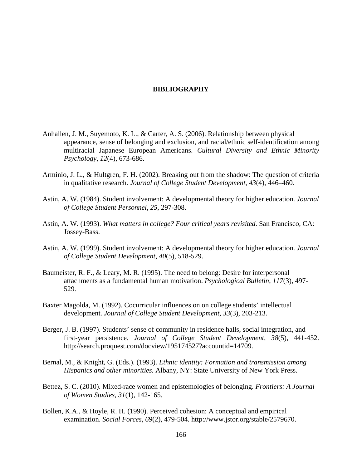### **BIBLIOGRAPHY**

- Anhallen, J. M., Suyemoto, K. L., & Carter, A. S. (2006). Relationship between physical appearance, sense of belonging and exclusion, and racial/ethnic self-identification among multiracial Japanese European Americans. *Cultural Diversity and Ethnic Minority Psychology*, *12*(4), 673-686.
- Arminio, J. L., & Hultgren, F. H. (2002). Breaking out from the shadow: The question of criteria in qualitative research. *Journal of College Student Development*, *43*(4), 446–460.
- Astin, A. W. (1984). Student involvement: A developmental theory for higher education. *Journal of College Student Personnel*, *25*, 297-308.
- Astin, A. W. (1993). *What matters in college? Four critical years revisited*. San Francisco, CA: Jossey-Bass.
- Astin, A. W. (1999). Student involvement: A developmental theory for higher education. *Journal of College Student Development*, *40*(5), 518-529.
- Baumeister, R. F., & Leary, M. R. (1995). The need to belong: Desire for interpersonal attachments as a fundamental human motivation. *Psychological Bulletin*, *117*(3), 497- 529.
- Baxter Magolda, M. (1992). Cocurricular influences on on college students' intellectual development. *Journal of College Student Development*, *33*(3), 203-213.
- Berger, J. B. (1997). Students' sense of community in residence halls, social integration, and first-year persistence. *Journal of College Student Development*, *38*(5), 441-452. http://search.proquest.com/docview/195174527?accountid=14709.
- Bernal, M., & Knight, G. (Eds.). (1993). *Ethnic identity: Formation and transmission among Hispanics and other minorities.* Albany, NY: State University of New York Press.
- Bettez, S. C. (2010). Mixed-race women and epistemologies of belonging. *Frontiers: A Journal of Women Studies*, *31*(1), 142-165.
- Bollen, K.A., & Hoyle, R. H. (1990). Perceived cohesion: A conceptual and empirical examination. *Social Forces*, *69*(2), 479-504. http://www.jstor.org/stable/2579670.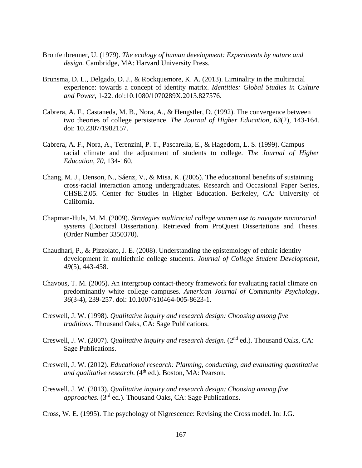- Bronfenbrenner, U. (1979). *The ecology of human development: Experiments by nature and design.* Cambridge, MA: Harvard University Press.
- Brunsma, D. L., Delgado, D. J., & Rockquemore, K. A. (2013). Liminality in the multiracial experience: towards a concept of identity matrix. *Identities: Global Studies in Culture and Power*, 1-22. doi:10.1080/1070289X.2013.827576.
- Cabrera, A. F., Castaneda, M. B., Nora, A., & Hengstler, D. (1992). The convergence between two theories of college persistence. *The Journal of Higher Education*, *63*(2), 143-164. doi: 10.2307/1982157.
- Cabrera, A. F., Nora, A., Terenzini, P. T., Pascarella, E., & Hagedorn, L. S. (1999). Campus racial climate and the adjustment of students to college. *The Journal of Higher Education*, *70*, 134-160.
- Chang, M. J., Denson, N., Sáenz, V., & Misa, K. (2005). The educational benefits of sustaining cross-racial interaction among undergraduates. Research and Occasional Paper Series, CHSE.2.05. Center for Studies in Higher Education. Berkeley, CA: University of California.
- Chapman-Huls, M. M. (2009). *Strategies multiracial college women use to navigate monoracial systems* (Doctoral Dissertation). Retrieved from ProQuest Dissertations and Theses*.*  (Order Number 3350370).
- Chaudhari, P., & Pizzolato, J. E. (2008). Understanding the epistemology of ethnic identity development in multiethnic college students. *Journal of College Student Development*, *49*(5), 443-458.
- Chavous, T. M. (2005). An intergroup contact-theory framework for evaluating racial climate on predominantly white college campuses. *American Journal of Community Psychology*, *36*(3-4), 239-257. doi: 10.1007/s10464-005-8623-1.
- Creswell, J. W. (1998). *Qualitative inquiry and research design: Choosing among five traditions*. Thousand Oaks, CA: Sage Publications.
- Creswell, J. W. (2007). *Qualitative inquiry and research design*. (2nd ed.). Thousand Oaks, CA: Sage Publications.
- Creswell, J. W. (2012). *Educational research: Planning, conducting, and evaluating quantitative and qualitative research.* (4<sup>th</sup> ed.). Boston, MA: Pearson.
- Creswell, J. W. (2013). *Qualitative inquiry and research design: Choosing among five approaches.* (3<sup>rd</sup> ed.). Thousand Oaks, CA: Sage Publications.
- Cross, W. E. (1995). The psychology of Nigrescence: Revising the Cross model. In: J.G.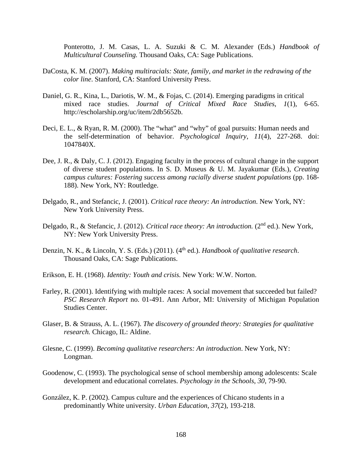Ponterotto, J. M. Casas, L. A. Suzuki & C. M. Alexander (Eds.) *Handbook of Multicultural Counseling.* Thousand Oaks, CA: Sage Publications.

- DaCosta, K. M. (2007). *Making multiracials: State, family, and market in the redrawing of the color line*. Stanford, CA: Stanford University Press.
- Daniel, G. R., Kina, L., Dariotis, W. M., & Fojas, C. (2014). Emerging paradigms in critical mixed race studies. *Journal of Critical Mixed Race Studies*, *1*(1), 6-65. http://escholarship.org/uc/item/2db5652b.
- Deci, E. L., & Ryan, R. M. (2000). The "what" and "why" of goal pursuits: Human needs and the self-determination of behavior. *Psychological Inquiry*, *11*(4), 227-268. doi: 1047840X.
- Dee, J. R., & Daly, C. J. (2012). Engaging faculty in the process of cultural change in the support of diverse student populations. In S. D. Museus & U. M. Jayakumar (Eds.), *Creating campus cultures: Fostering success among racially diverse student populations* (pp. 168-188). New York, NY: Routledge.
- Delgado, R., and Stefancic, J. (2001). *Critical race theory: An introduction*. New York, NY: New York University Press.
- Delgado, R., & Stefancic, J. (2012). *Critical race theory: An introduction.* (2nd ed.). New York, NY: New York University Press.
- Denzin, N. K., & Lincoln, Y. S. (Eds.) (2011). (4<sup>th</sup> ed.). *Handbook of qualitative research*. Thousand Oaks, CA: Sage Publications.
- Erikson, E. H. (1968). *Identity: Youth and crisis.* New York: W.W. Norton.
- Farley, R. (2001). Identifying with multiple races: A social movement that succeeded but failed? *PSC Research Report* no. 01-491. Ann Arbor, MI: University of Michigan Population Studies Center.
- Glaser, B. & Strauss, A. L. (1967). *The discovery of grounded theory: Strategies for qualitative research.* Chicago, IL: Aldine.
- Glesne, C. (1999). *Becoming qualitative researchers: An introduction*. New York, NY: Longman.
- Goodenow, C. (1993). The psychological sense of school membership among adolescents: Scale development and educational correlates. *Psychology in the Schools*, *30*, 79-90.
- González, K. P. (2002). Campus culture and the experiences of Chicano students in a predominantly White university. *Urban Education*, *37*(2), 193-218.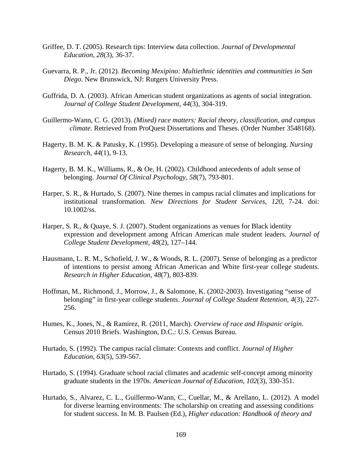- Griffee, D. T. (2005). Research tips: Interview data collection. *Journal of Developmental Education*, *28*(3), 36-37.
- Guevarra, R. P., Jr. (2012). *Becoming Mexipino: Multiethnic identities and communities in San Diego*. New Brunswick, NJ: Rutgers University Press.
- Guffrida, D. A. (2003). African American student organizations as agents of social integration. *Journal of College Student Development*, *44*(3), 304-319.
- Guillermo-Wann, C. G. (2013). *(Mixed) race matters: Racial theory, classification, and campus climate.* Retrieved from ProQuest Dissertations and Theses. (Order Number 3548168).
- Hagerty, B. M. K. & Patusky, K. (1995). Developing a measure of sense of belonging. *Nursing Research*, *44*(1), 9-13.
- Hagerty, B. M. K., Williams, R., & Oe, H. (2002). Childhood antecedents of adult sense of belonging. *Journal Of Clinical Psychology*, *58*(7), 793-801.
- Harper, S. R., & Hurtado, S. (2007). Nine themes in campus racial climates and implications for institutional transformation. *New Directions for Student Services*, *120*, 7-24. doi: 10.1002/ss.
- Harper, S. R., & Quaye, S. J. (2007). Student organizations as venues for Black identity expression and development among African American male student leaders. *Journal of College Student Development*, *48*(2), 127–144.
- Hausmann, L. R. M., Schofield, J. W., & Woods, R. L. (2007). Sense of belonging as a predictor of intentions to persist among African American and White first-year college students. *Research in Higher Education*, *48*(7), 803-839.
- Hoffman, M., Richmond, J., Morrow, J., & Salomone, K. (2002-2003). Investigating "sense of belonging" in first-year college students. *Journal of College Student Retention*, *4*(3), 227- 256.
- Humes, K., Jones, N., & Ramirez, R. (2011, March). *Overview of race and Hispanic origin*. Census 2010 Briefs. Washington, D.C.: U.S. Census Bureau.
- Hurtado, S. (1992). The campus racial climate: Contexts and conflict. *Journal of Higher Education*, *63*(5), 539-567.
- Hurtado, S. (1994). Graduate school racial climates and academic self-concept among minority graduate students in the 1970s. *American Journal of Education*, *102*(3), 330-351.
- Hurtado, S., Alvarez, C. L., Guillermo-Wann, C., Cuellar, M., & Arellano, L. (2012). A model for diverse learning environments: The scholarship on creating and assessing conditions for student success. In M. B. Paulsen (Ed.), *Higher education: Handbook of theory and*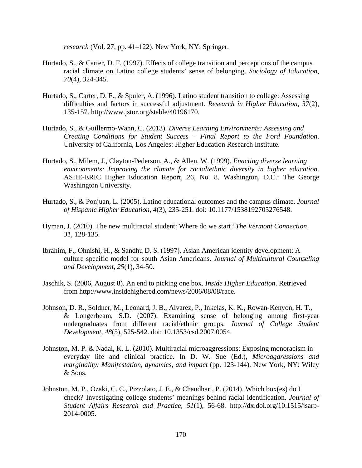*research* (Vol. 27, pp. 41–122). New York, NY: Springer.

- Hurtado, S., & Carter, D. F. (1997). Effects of college transition and perceptions of the campus racial climate on Latino college students' sense of belonging. *Sociology of Education*, *70*(4), 324-345.
- Hurtado, S., Carter, D. F., & Spuler, A. (1996). Latino student transition to college: Assessing difficulties and factors in successful adjustment. *Research in Higher Education*, *37*(2), 135-157. http://www.jstor.org/stable/40196170.
- Hurtado, S., & Guillermo-Wann, C. (2013). *Diverse Learning Environments: Assessing and Creating Conditions for Student Success – Final Report to the Ford Foundation*. University of California, Los Angeles: Higher Education Research Institute.
- Hurtado, S., Milem, J., Clayton-Pederson, A., & Allen, W. (1999). *Enacting diverse learning environments: Improving the climate for racial/ethnic diversity in higher education*. ASHE-ERIC Higher Education Report, 26, No. 8. Washington, D.C.: The George Washington University.
- Hurtado, S., & Ponjuan, L. (2005). Latino educational outcomes and the campus climate. *Journal of Hispanic Higher Education*, *4*(3), 235-251. doi: 10.1177/1538192705276548.
- Hyman, J. (2010). The new multiracial student: Where do we start? *The Vermont Connection*, *31*, 128-135.
- Ibrahim, F., Ohnishi, H., & Sandhu D. S. (1997). Asian American identity development: A culture specific model for south Asian Americans. *Journal of Multicultural Counseling and Development, 25*(1), 34-50.
- Jaschik, S. (2006, August 8). An end to picking one box. *Inside Higher Education*. Retrieved from http://www.insidehighered.com/news/2006/08/08/race.
- Johnson, D. R., Soldner, M., Leonard, J. B., Alvarez, P., Inkelas, K. K., Rowan-Kenyon, H. T., & Longerbeam, S.D. (2007). Examining sense of belonging among first-year undergraduates from different racial/ethnic groups. *Journal of College Student Development*, *48*(5), 525-542. doi: 10.1353/csd.2007.0054.
- Johnston, M. P. & Nadal, K. L. (2010). Multiracial microaggressions: Exposing monoracism in everyday life and clinical practice. In D. W. Sue (Ed.), *Microaggressions and marginality: Manifestation, dynamics, and impact* (pp. 123-144). New York, NY: Wiley & Sons.
- Johnston, M. P., Ozaki, C. C., Pizzolato, J. E., & Chaudhari, P. (2014). Which box(es) do I check? Investigating college students' meanings behind racial identification. *Journal of Student Affairs Research and Practice*, *51*(1), 56-68. http://dx.doi.org/10.1515/jsarp-2014-0005.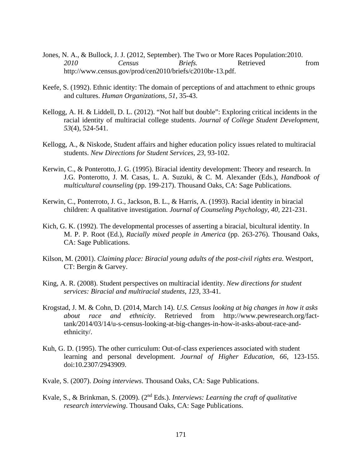- Jones, N. A., & Bullock, J. J. (2012, September). The Two or More Races Population:2010. *2010 Census Briefs.* Retrieved from http://www.census.gov/prod/cen2010/briefs/c2010br-13.pdf.
- Keefe, S. (1992). Ethnic identity: The domain of perceptions of and attachment to ethnic groups and cultures. *Human Organizations, 51,* 35-43.
- Kellogg, A. H. & Liddell, D. L. (2012). "Not half but double": Exploring critical incidents in the racial identity of multiracial college students. *Journal of College Student Development*, *53*(4), 524-541.
- Kellogg, A., & Niskode, Student affairs and higher education policy issues related to multiracial students. *New Directions for Student Services*, *23*, 93-102.
- Kerwin, C., & Ponterotto, J. G. (1995). Biracial identity development: Theory and research. In J.G. Ponterotto, J. M. Casas, L. A. Suzuki, & C. M. Alexander (Eds.), *Handbook of multicultural counseling* (pp. 199-217). Thousand Oaks, CA: Sage Publications.
- Kerwin, C., Ponterroto, J. G., Jackson, B. L., & Harris, A. (1993). Racial identity in biracial children: A qualitative investigation. *Journal of Counseling Psychology*, *40*, 221-231.
- Kich, G. K. (1992). The developmental processes of asserting a biracial, bicultural identity. In M. P. P. Root (Ed.), *Racially mixed people in America* (pp. 263-276). Thousand Oaks, CA: Sage Publications.
- Kilson, M. (2001). *Claiming place: Biracial young adults of the post-civil rights era*. Westport, CT: Bergin & Garvey.
- King, A. R. (2008). Student perspectives on multiracial identity. *New directions for student services: Biracial and multiracial students*, *123*, 33-41.
- Krogstad, J. M. & Cohn, D. (2014, March 14). *U.S. Census looking at big changes in how it asks about race and ethnicity*. Retrieved from http://www.pewresearch.org/facttank/2014/03/14/u-s-census-looking-at-big-changes-in-how-it-asks-about-race-andethnicity/.
- Kuh, G. D. (1995). The other curriculum: Out-of-class experiences associated with student learning and personal development. *Journal of Higher Education*, *66*, 123-155. doi:10.2307/2943909.
- Kvale, S. (2007). *Doing interviews*. Thousand Oaks, CA: Sage Publications.
- Kvale, S., & Brinkman, S. (2009). (2nd Eds.). *Interviews: Learning the craft of qualitative research interviewing*. Thousand Oaks, CA: Sage Publications.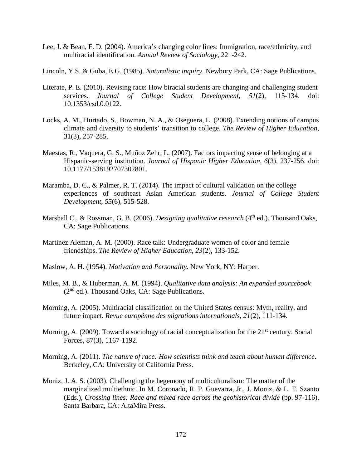- Lee, J. & Bean, F. D. (2004). America's changing color lines: Immigration, race/ethnicity, and multiracial identification. *Annual Review of Sociology*, 221-242.
- Lincoln, Y.S. & Guba, E.G. (1985). *Naturalistic inquiry*. Newbury Park, CA: Sage Publications.
- Literate, P. E. (2010). Revising race: How biracial students are changing and challenging student services. *Journal of College Student Development*, *51*(2), 115-134. doi: 10.1353/csd.0.0122.
- Locks, A. M., Hurtado, S., Bowman, N. A., & Oseguera, L. (2008). Extending notions of campus climate and diversity to students' transition to college. *The Review of Higher Education*, 31(3), 257-285.
- Maestas, R., Vaquera, G. S., Muñoz Zehr, L. (2007). Factors impacting sense of belonging at a Hispanic-serving institution. *Journal of Hispanic Higher Education*, *6*(3), 237-256. doi: 10.1177/1538192707302801.
- Maramba, D. C., & Palmer, R. T. (2014). The impact of cultural validation on the college experiences of southeast Asian American students. *Journal of College Student Development*, *55*(6), 515-528.
- Marshall C., & Rossman, G. B. (2006). *Designing qualitative research* (4<sup>th</sup> ed.). Thousand Oaks, CA: Sage Publications.
- Martinez Aleman, A. M. (2000). Race talk: Undergraduate women of color and female friendships. *The Review of Higher Education*, *23*(2), 133-152.
- Maslow, A. H. (1954). *Motivation and Personality*. New York, NY: Harper.
- Miles, M. B., & Huberman, A. M. (1994). *Qualitative data analysis: An expanded sourcebook*  $(2<sup>nd</sup>$  ed.). Thousand Oaks, CA: Sage Publications.
- Morning, A. (2005). Multiracial classification on the United States census: Myth, reality, and future impact. *Revue europénne des migrations internationals*, *21*(2), 111-134.
- Morning, A. (2009). Toward a sociology of racial conceptualization for the 21<sup>st</sup> century. Social Forces, 87(3), 1167-1192.
- Morning, A. (2011). *The nature of race: How scientists think and teach about human difference*. Berkeley, CA: University of California Press.
- Moniz, J. A. S. (2003). Challenging the hegemony of multiculturalism: The matter of the marginalized multiethnic. In M. Coronado, R. P. Guevarra, Jr., J. Moniz, & L. F. Szanto (Eds.), *Crossing lines: Race and mixed race across the geohistorical divide* (pp. 97-116). Santa Barbara, CA: AltaMira Press.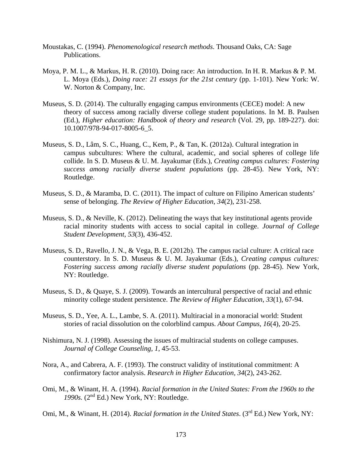- Moustakas, C. (1994). *Phenomenological research methods*. Thousand Oaks, CA: Sage Publications.
- Moya, P. M. L., & Markus, H. R. (2010). Doing race: An introduction. In H. R. Markus & P. M. L. Moya (Eds.), *Doing race: 21 essays for the 21st century* (pp. 1-101). New York: W. W. Norton & Company, Inc.
- Museus, S. D. (2014). The culturally engaging campus environments (CECE) model: A new theory of success among racially diverse college student populations. In M. B. Paulsen (Ed.), *Higher education: Handbook of theory and research* (Vol. 29, pp. 189-227). doi: 10.1007/978-94-017-8005-6\_5.
- Museus, S. D., Lâm, S. C., Huang, C., Kem, P., & Tan, K. (2012a). Cultural integration in campus subcultures: Where the cultural, academic, and social spheres of college life collide. In S. D. Museus & U. M. Jayakumar (Eds.), *Creating campus cultures: Fostering success among racially diverse student populations* (pp. 28-45). New York, NY: Routledge.
- Museus, S. D., & Maramba, D. C. (2011). The impact of culture on Filipino American students' sense of belonging. *The Review of Higher Education*, *34*(2), 231-258.
- Museus, S. D., & Neville, K. (2012). Delineating the ways that key institutional agents provide racial minority students with access to social capital in college. *Journal of College Student Development*, *53*(3), 436-452.
- Museus, S. D., Ravello, J. N., & Vega, B. E. (2012b). The campus racial culture: A critical race counterstory. In S. D. Museus & U. M. Jayakumar (Eds.), *Creating campus cultures: Fostering success among racially diverse student populations* (pp. 28-45). New York, NY: Routledge.
- Museus, S. D., & Quaye, S. J. (2009). Towards an intercultural perspective of racial and ethnic minority college student persistence. *The Review of Higher Education*, *33*(1), 67-94.
- Museus, S. D., Yee, A. L., Lambe, S. A. (2011). Multiracial in a monoracial world: Student stories of racial dissolution on the colorblind campus. *About Campus, 16*(4), 20-25.
- Nishimura, N. J. (1998). Assessing the issues of multiracial students on college campuses. *Journal of College Counseling*, *1*, 45-53.
- Nora, A., and Cabrera, A. F. (1993). The construct validity of institutional commitment: A confirmatory factor analysis. *Research in Higher Education, 34*(2), 243-262.
- Omi, M., & Winant, H. A. (1994). *Racial formation in the United States: From the 1960s to the 1990s.* (2nd Ed.) New York, NY: Routledge.
- Omi, M., & Winant, H. (2014). *Racial formation in the United States*. (3<sup>rd</sup> Ed.) New York, NY: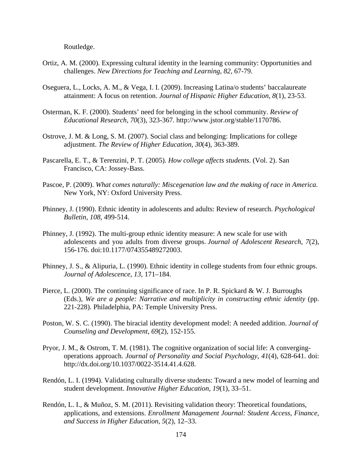Routledge.

- Ortiz, A. M. (2000). Expressing cultural identity in the learning community: Opportunities and challenges. *New Directions for Teaching and Learning*, *82*, 67-79.
- Oseguera, L., Locks, A. M., & Vega, I. I. (2009). Increasing Latina/o students' baccalaureate attainment: A focus on retention. *Journal of Hispanic Higher Education*, *8*(1), 23-53.
- Osterman, K. F. (2000). Students' need for belonging in the school community. *Review of Educational Research*, *70*(3), 323-367. http://www.jstor.org/stable/1170786.
- Ostrove, J. M. & Long, S. M. (2007). Social class and belonging: Implications for college adjustment. *The Review of Higher Education*, *30*(4), 363-389.
- Pascarella, E. T., & Terenzini, P. T. (2005). *How college affects students.* (Vol. 2). San Francisco, CA: Jossey-Bass.
- Pascoe, P. (2009). *What comes naturally: Miscegenation law and the making of race in America*. New York, NY: Oxford University Press.
- Phinney, J. (1990). Ethnic identity in adolescents and adults: Review of research. *Psychological Bulletin*, *108,* 499-514.
- Phinney, J. (1992). The multi-group ethnic identity measure: A new scale for use with adolescents and you adults from diverse groups. *Journal of Adolescent Research, 7*(2), 156-176. doi:10.1177/074355489272003.
- Phinney, J. S., & Alipuria, L. (1990). Ethnic identity in college students from four ethnic groups. *Journal of Adolescence*, *13*, 171–184.
- Pierce, L. (2000). The continuing significance of race. In P. R. Spickard & W. J. Burroughs (Eds.), *We are a people: Narrative and multiplicity in constructing ethnic identity* (pp. 221-228). Philadelphia, PA: Temple University Press.
- Poston, W. S. C. (1990). The biracial identity development model: A needed addition. *Journal of Counseling and Development, 69*(2)*,* 152-155.
- Pryor, J. M., & Ostrom, T. M. (1981). The cognitive organization of social life: A convergingoperations approach. *Journal of Personality and Social Psychology*, *41*(4), 628-641. doi: http://dx.doi.org/10.1037/0022-3514.41.4.628.
- Rendón, L. I. (1994). Validating culturally diverse students: Toward a new model of learning and student development. *Innovative Higher Education*, *19*(1), 33–51.
- Rendón, L. I., & Muñoz, S. M. (2011). Revisiting validation theory: Theoretical foundations, applications, and extensions. *Enrollment Management Journal: Student Access, Finance, and Success in Higher Education*, *5*(2), 12–33.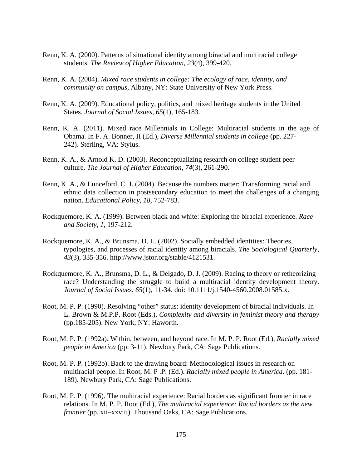- Renn, K. A. (2000). Patterns of situational identity among biracial and multiracial college students. *The Review of Higher Education*, *23*(4), 399-420.
- Renn, K. A. (2004). *Mixed race students in college: The ecology of race, identity, and community on campus,* Albany, NY: State University of New York Press.
- Renn, K. A. (2009). Educational policy, politics, and mixed heritage students in the United States. *Journal of Social Issues, 65*(1), 165-183.
- Renn, K. A. (2011). Mixed race Millennials in College: Multiracial students in the age of Obama. In F. A. Bonner, II (Ed.), *Diverse Millennial students in college* (pp. 227- 242). Sterling, VA: Stylus.
- Renn, K. A., & Arnold K. D. (2003). Reconceptualizing research on college student peer culture. *The Journal of Higher Education*, *74*(3), 261-290.
- Renn, K. A., & Lunceford, C. J. (2004). Because the numbers matter: Transforming racial and ethnic data collection in postsecondary education to meet the challenges of a changing nation. *Educational Policy*, *18*, 752-783.
- Rockquemore, K. A. (1999). Between black and white: Exploring the biracial experience. *Race and Society*, *1,* 197-212.
- Rockquemore, K. A., & Brunsma, D. L. (2002). Socially embedded identities: Theories, typologies, and processes of racial identity among biracials. *The Sociological Quarterly*, *43*(3), 335-356. http://www.jstor.org/stable/4121531.
- Rockquemore, K. A., Brunsma, D. L., & Delgado, D. J. (2009). Racing to theory or retheorizing race? Understanding the struggle to build a multiracial identity development theory. *Journal of Social Issues*, *65*(1), 11-34. doi: 10.1111/j.1540-4560.2008.01585.x.
- Root, M. P. P. (1990). Resolving "other" status: identity development of biracial individuals. In L. Brown & M.P.P. Root (Eds.), *Complexity and diversity in feminist theory and therapy* (pp.185-205). New York, NY: Haworth.
- Root, M. P. P. (1992a). Within, between, and beyond race. In M. P. P. Root (Ed.), *Racially mixed people in America* (pp. 3-11). Newbury Park, CA: Sage Publications.
- Root, M. P. P. (1992b). Back to the drawing board: Methodological issues in research on multiracial people. In Root, M. P .P. (Ed.). *Racially mixed people in America*. (pp. 181- 189). Newbury Park, CA: Sage Publications.
- Root, M. P. P. (1996). The multiracial experience: Racial borders as significant frontier in race relations. In M. P. P. Root (Ed.), *The multiracial experience: Racial borders as the new frontier* (pp. xii–xxviii). Thousand Oaks, CA: Sage Publications.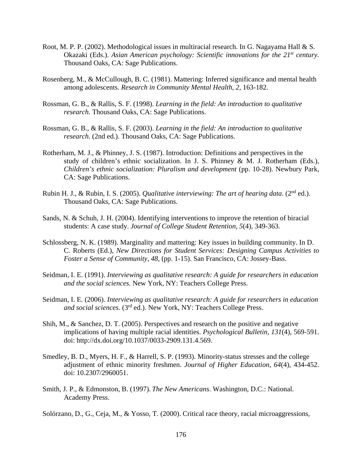- Root, M. P. P. (2002). Methodological issues in multiracial research. In G. Nagayama Hall & S. Okazaki (Eds.). *Asian American psychology: Scientific innovations for the 21<sup>st</sup> century.* Thousand Oaks, CA: Sage Publications.
- Rosenberg, M., & McCullough, B. C. (1981). Mattering: Inferred significance and mental health among adolescents. *Research in Community Mental Health*, *2*, 163-182.
- Rossman, G. B., & Rallis, S. F. (1998). *Learning in the field: An introduction to qualitative research*. Thousand Oaks, CA: Sage Publications.
- Rossman, G. B., & Rallis, S. F. (2003). *Learning in the field: An introduction to qualitative research*. (2nd ed.). Thousand Oaks, CA: Sage Publications.
- Rotherham, M. J., & Phinney, J. S. (1987). Introduction: Definitions and perspectives in the study of children's ethnic socialization. In J. S. Phinney & M. J. Rotherham (Eds.), *Children's ethnic socialization: Pluralism and development* (pp. 10-28). Newbury Park, CA: Sage Publications.
- Rubin H. J., & Rubin, I. S. (2005). *Qualitative interviewing: The art of hearing data*. (2nd ed.). Thousand Oaks, CA: Sage Publications.
- Sands, N. & Schuh, J. H. (2004). Identifying interventions to improve the retention of biracial students: A case study. *Journal of College Student Retention*, *5*(4), 349-363.
- Schlossberg, N. K. (1989). Marginality and mattering: Key issues in building community. In D. C. Roberts (Ed.), *New Directions for Student Services: Designing Campus Activities to Foster a Sense of Community*, *48*, (pp. 1-15). San Francisco, CA: Jossey-Bass.
- Seidman, I. E. (1991). *Interviewing as qualitative research: A guide for researchers in education and the social sciences.* New York, NY: Teachers College Press.
- Seidman, I. E. (2006). *Interviewing as qualitative research: A guide for researchers in education and social sciences.* (3rd ed.). New York, NY: Teachers College Press.
- Shih, M., & Sanchez, D. T. (2005). Perspectives and research on the positive and negative implications of having multiple racial identities. *Psychological Bulletin*, *131*(4), 569-591. doi: http://dx.doi.org/10.1037/0033-2909.131.4.569.
- Smedley, B. D., Myers, H. F., & Harrell, S. P. (1993). Minority-status stresses and the college adjustment of ethnic minority freshmen. *Journal of Higher Education*, *64*(4), 434-452. doi: 10.2307/2960051.
- Smith, J. P., & Edmonston, B. (1997). *The New Americans*. Washington, D.C.: National. Academy Press.
- Solórzano, D., G., Ceja, M., & Yosso, T. (2000). Critical race theory, racial microaggressions,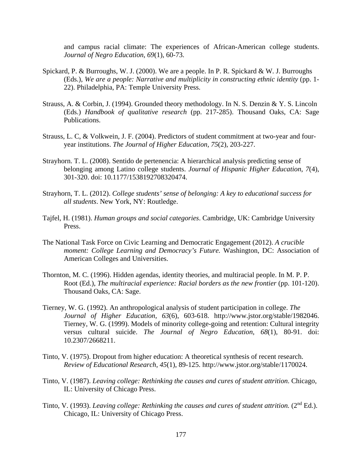and campus racial climate: The experiences of African-American college students. *Journal of Negro Education*, *69*(1), 60-73.

- Spickard, P. & Burroughs, W. J. (2000). We are a people. In P. R. Spickard & W. J. Burroughs (Eds.), *We are a people: Narrative and multiplicity in constructing ethnic identity* (pp. 1- 22). Philadelphia, PA: Temple University Press.
- Strauss, A. & Corbin, J. (1994). Grounded theory methodology. In N. S. Denzin & Y. S. Lincoln (Eds.) *Handbook of qualitative research* (pp. 217-285). Thousand Oaks, CA: Sage Publications.
- Strauss, L. C, & Volkwein, J. F. (2004). Predictors of student commitment at two-year and fouryear institutions. *The Journal of Higher Education, 75*(2), 203-227.
- Strayhorn. T. L. (2008). Sentido de pertenencia: A hierarchical analysis predicting sense of belonging among Latino college students. *Journal of Hispanic Higher Education*, *7*(4), 301-320. doi: 10.1177/1538192708320474.
- Strayhorn, T. L. (2012). *College students' sense of belonging: A key to educational success for all students*. New York, NY: Routledge.
- Tajfel, H. (1981). *Human groups and social categories*. Cambridge, UK: Cambridge University Press.
- The National Task Force on Civic Learning and Democratic Engagement (2012). *A crucible moment: College Learning and Democracy's Future.* Washington, DC: Association of American Colleges and Universities.
- Thornton, M. C. (1996). Hidden agendas, identity theories, and multiracial people. In M. P. P. Root (Ed.), *The multiracial experience: Racial borders as the new frontier* (pp. 101-120). Thousand Oaks, CA: Sage.
- Tierney, W. G. (1992). An anthropological analysis of student participation in college. *The Journal of Higher Education*, *63*(6), 603-618. http://www.jstor.org/stable/1982046. Tierney, W. G. (1999). Models of minority college-going and retention: Cultural integrity versus cultural suicide. *The Journal of Negro Education*, *68*(1), 80-91. doi: 10.2307/2668211.
- Tinto, V. (1975). Dropout from higher education: A theoretical synthesis of recent research. *Review of Educational Research*, *45*(1), 89-125. http://www.jstor.org/stable/1170024.
- Tinto, V. (1987). *Leaving college: Rethinking the causes and cures of student attrition*. Chicago, IL: University of Chicago Press.
- Tinto, V. (1993). *Leaving college: Rethinking the causes and cures of student attrition.* (2nd Ed.). Chicago, IL: University of Chicago Press.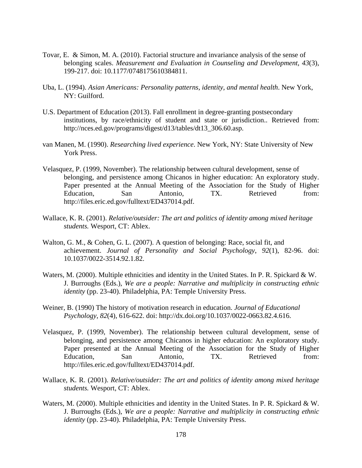- Tovar, E. & Simon, M. A. (2010). Factorial structure and invariance analysis of the sense of belonging scales. *Measurement and Evaluation in Counseling and Development*, *43*(3), 199-217. doi: 10.1177/0748175610384811.
- Uba, L. (1994). *Asian Americans: Personality patterns, identity, and mental health*. New York, NY: Guilford.
- U.S. Department of Education (2013). Fall enrollment in degree-granting postsecondary institutions, by race/ethnicity of student and state or jurisdiction.. Retrieved from: http://nces.ed.gov/programs/digest/d13/tables/dt13\_306.60.asp.
- van Manen, M. (1990). *Researching lived experience*. New York, NY: State University of New York Press.
- Velasquez, P. (1999, November). The relationship between cultural development, sense of belonging, and persistence among Chicanos in higher education: An exploratory study. Paper presented at the Annual Meeting of the Association for the Study of Higher Education. San Antonio. TX. Retrieved from: Education, San Antonio, TX. Retrieved from: http://files.eric.ed.gov/fulltext/ED437014.pdf.
- Wallace, K. R. (2001). *Relative/outsider: The art and politics of identity among mixed heritage students.* Wesport, CT: Ablex.
- Walton, G. M., & Cohen, G. L. (2007). A question of belonging: Race, social fit, and achievement. *Journal of Personality and Social Psychology*, *92*(1), 82-96. doi: 10.1037/0022-3514.92.1.82.
- Waters, M. (2000). Multiple ethnicities and identity in the United States. In P. R. Spickard & W. J. Burroughs (Eds.), *We are a people: Narrative and multiplicity in constructing ethnic identity* (pp. 23-40). Philadelphia, PA: Temple University Press.
- Weiner, B. (1990) The history of motivation research in education. *Journal of Educational Psychology*, *82*(4), 616-622. doi: http://dx.doi.org/10.1037/0022-0663.82.4.616.
- Velasquez, P. (1999, November). The relationship between cultural development, sense of belonging, and persistence among Chicanos in higher education: An exploratory study. Paper presented at the Annual Meeting of the Association for the Study of Higher Education, San Antonio, TX. Retrieved from: http://files.eric.ed.gov/fulltext/ED437014.pdf.
- Wallace, K. R. (2001). *Relative/outsider: The art and politics of identity among mixed heritage students.* Wesport, CT: Ablex.
- Waters, M. (2000). Multiple ethnicities and identity in the United States. In P. R. Spickard & W. J. Burroughs (Eds.), *We are a people: Narrative and multiplicity in constructing ethnic identity* (pp. 23-40). Philadelphia, PA: Temple University Press.